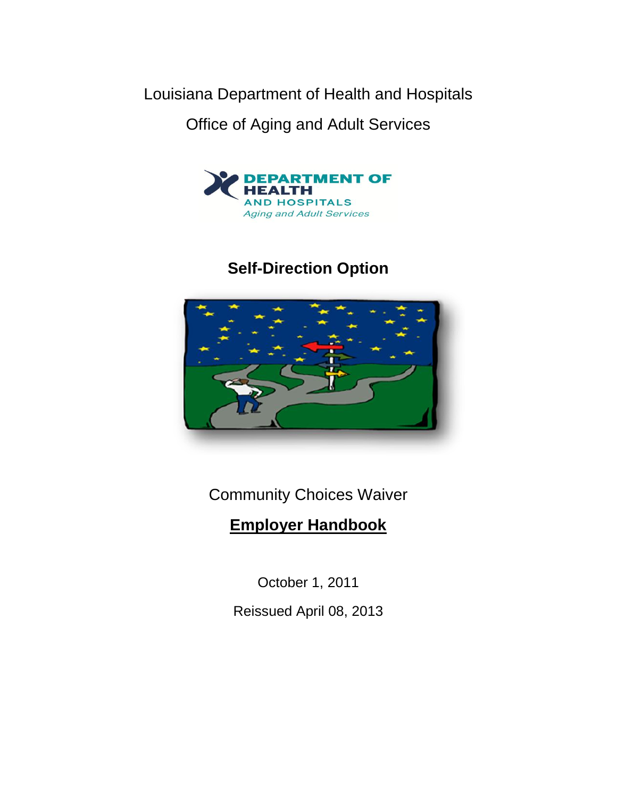Louisiana Department of Health and Hospitals

Office of Aging and Adult Services



# **Self-Direction Option**



Community Choices Waiver

# **Employer Handbook**

October 1, 2011 Reissued April 08, 2013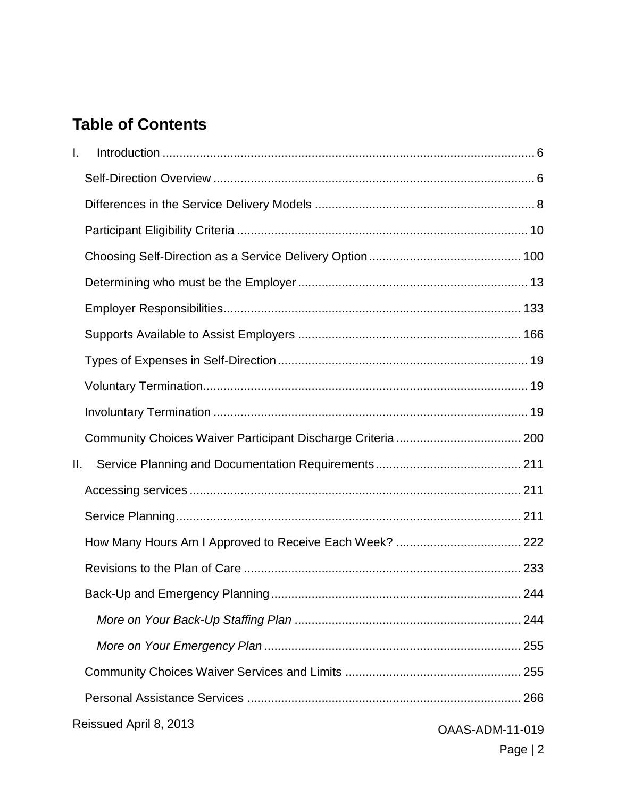# **Table of Contents**

| I. |                        |                        |
|----|------------------------|------------------------|
|    |                        |                        |
|    |                        |                        |
|    |                        |                        |
|    |                        |                        |
|    |                        |                        |
|    |                        |                        |
|    |                        |                        |
|    |                        |                        |
|    |                        |                        |
|    |                        |                        |
|    |                        |                        |
| Ш. |                        |                        |
|    |                        |                        |
|    |                        |                        |
|    |                        |                        |
|    |                        |                        |
|    |                        |                        |
|    |                        |                        |
|    |                        |                        |
|    |                        |                        |
|    |                        |                        |
|    | Reissued April 8, 2013 | <b>OAAS-ADM-11-019</b> |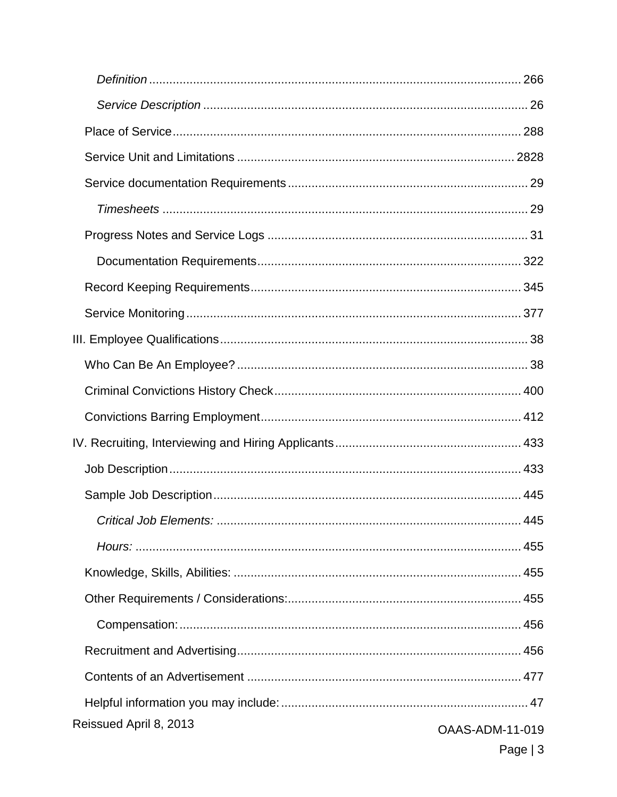| Reissued April 8, 2013 | <b>OAAS-ADM-11-019</b> |
|------------------------|------------------------|
|                        | Page $ 3 $             |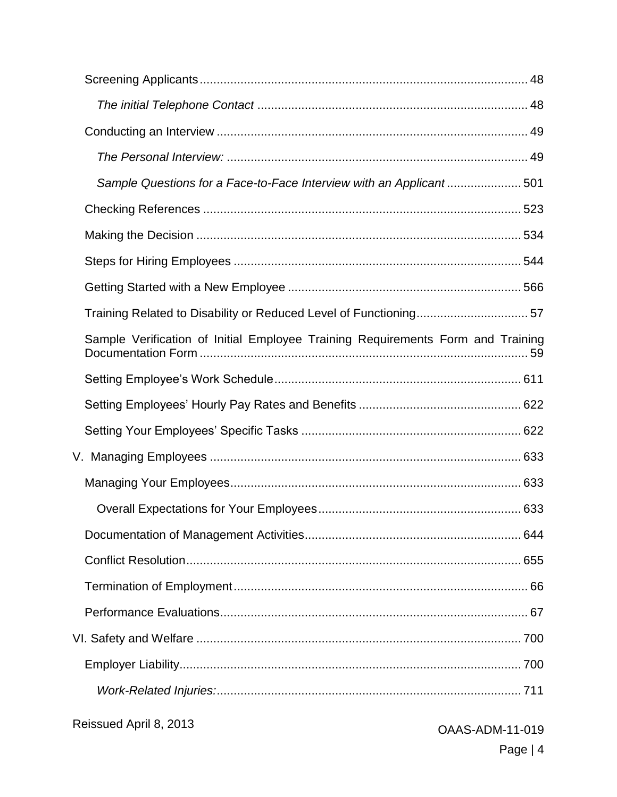| Sample Questions for a Face-to-Face Interview with an Applicant501              |                        |
|---------------------------------------------------------------------------------|------------------------|
|                                                                                 |                        |
|                                                                                 |                        |
|                                                                                 |                        |
|                                                                                 |                        |
|                                                                                 |                        |
| Sample Verification of Initial Employee Training Requirements Form and Training |                        |
|                                                                                 |                        |
|                                                                                 |                        |
|                                                                                 |                        |
|                                                                                 |                        |
|                                                                                 |                        |
|                                                                                 |                        |
|                                                                                 |                        |
|                                                                                 |                        |
|                                                                                 |                        |
|                                                                                 |                        |
|                                                                                 |                        |
|                                                                                 |                        |
|                                                                                 |                        |
| Reissued April 8, 2013                                                          | <b>OAAS-ADM-11-019</b> |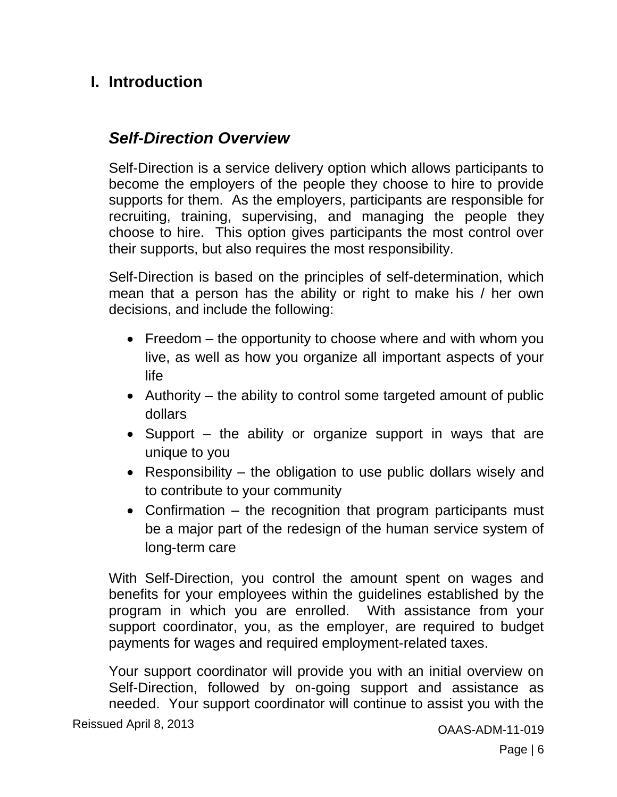## <span id="page-5-0"></span>**I. Introduction**

## <span id="page-5-1"></span>*Self-Direction Overview*

Self-Direction is a service delivery option which allows participants to become the employers of the people they choose to hire to provide supports for them. As the employers, participants are responsible for recruiting, training, supervising, and managing the people they choose to hire. This option gives participants the most control over their supports, but also requires the most responsibility.

Self-Direction is based on the principles of self-determination, which mean that a person has the ability or right to make his / her own decisions, and include the following:

- Freedom the opportunity to choose where and with whom you live, as well as how you organize all important aspects of your life
- Authority the ability to control some targeted amount of public dollars
- Support the ability or organize support in ways that are unique to you
- Responsibility the obligation to use public dollars wisely and to contribute to your community
- Confirmation the recognition that program participants must be a major part of the redesign of the human service system of long-term care

With Self-Direction, you control the amount spent on wages and benefits for your employees within the guidelines established by the program in which you are enrolled. With assistance from your support coordinator, you, as the employer, are required to budget payments for wages and required employment-related taxes.

Your support coordinator will provide you with an initial overview on Self-Direction, followed by on-going support and assistance as needed. Your support coordinator will continue to assist you with the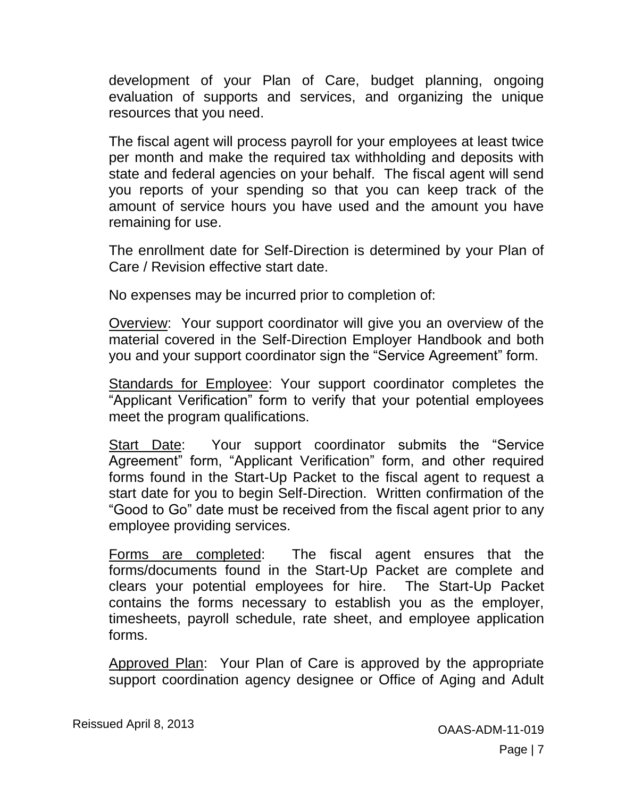development of your Plan of Care, budget planning, ongoing evaluation of supports and services, and organizing the unique resources that you need.

The fiscal agent will process payroll for your employees at least twice per month and make the required tax withholding and deposits with state and federal agencies on your behalf. The fiscal agent will send you reports of your spending so that you can keep track of the amount of service hours you have used and the amount you have remaining for use.

The enrollment date for Self-Direction is determined by your Plan of Care / Revision effective start date.

No expenses may be incurred prior to completion of:

Overview: Your support coordinator will give you an overview of the material covered in the Self-Direction Employer Handbook and both you and your support coordinator sign the "Service Agreement" form.

Standards for Employee: Your support coordinator completes the "Applicant Verification" form to verify that your potential employees meet the program qualifications.

Start Date: Your support coordinator submits the "Service Agreement" form, "Applicant Verification" form, and other required forms found in the Start-Up Packet to the fiscal agent to request a start date for you to begin Self-Direction. Written confirmation of the "Good to Go" date must be received from the fiscal agent prior to any employee providing services.

Forms are completed: The fiscal agent ensures that the forms/documents found in the Start-Up Packet are complete and clears your potential employees for hire. The Start-Up Packet contains the forms necessary to establish you as the employer, timesheets, payroll schedule, rate sheet, and employee application forms.

Approved Plan: Your Plan of Care is approved by the appropriate support coordination agency designee or Office of Aging and Adult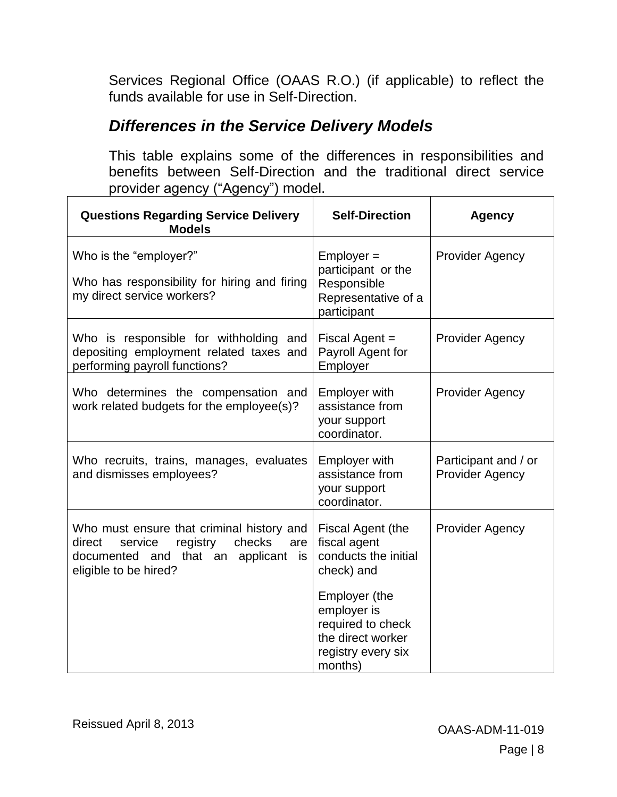Services Regional Office (OAAS R.O.) (if applicable) to reflect the funds available for use in Self-Direction.

## <span id="page-7-0"></span>*Differences in the Service Delivery Models*

This table explains some of the differences in responsibilities and benefits between Self-Direction and the traditional direct service provider agency ("Agency") model.

| <b>Questions Regarding Service Delivery</b><br><b>Models</b>                                                                                                | <b>Self-Direction</b>                                                                                   | <b>Agency</b>                                  |
|-------------------------------------------------------------------------------------------------------------------------------------------------------------|---------------------------------------------------------------------------------------------------------|------------------------------------------------|
| Who is the "employer?"<br>Who has responsibility for hiring and firing<br>my direct service workers?                                                        | $Emplayer =$<br>participant or the<br>Responsible<br>Representative of a<br>participant                 | <b>Provider Agency</b>                         |
| Who is responsible for withholding and<br>depositing employment related taxes and<br>performing payroll functions?                                          | Fiscal Agent =<br>Payroll Agent for<br>Employer                                                         | <b>Provider Agency</b>                         |
| Who determines the compensation and<br>work related budgets for the employee(s)?                                                                            | <b>Employer with</b><br>assistance from<br>your support<br>coordinator.                                 | <b>Provider Agency</b>                         |
| Who recruits, trains, manages, evaluates<br>and dismisses employees?                                                                                        | <b>Employer with</b><br>assistance from<br>your support<br>coordinator.                                 | Participant and / or<br><b>Provider Agency</b> |
| Who must ensure that criminal history and<br>registry<br>checks<br>direct<br>service<br>are<br>documented and that an applicant is<br>eligible to be hired? | Fiscal Agent (the<br>fiscal agent<br>conducts the initial<br>check) and                                 | <b>Provider Agency</b>                         |
|                                                                                                                                                             | Employer (the<br>employer is<br>required to check<br>the direct worker<br>registry every six<br>months) |                                                |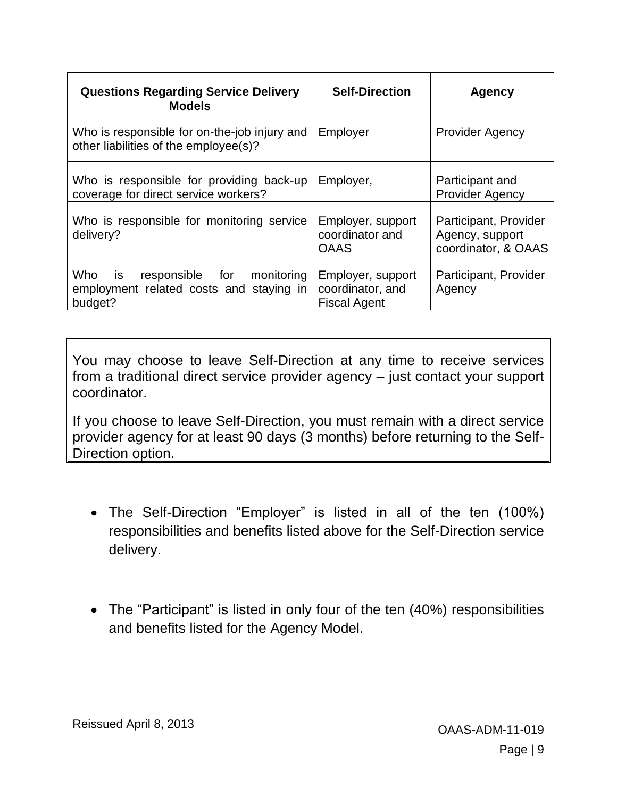| <b>Questions Regarding Service Delivery</b><br><b>Models</b>                                        | <b>Self-Direction</b>                                        | <b>Agency</b>                                                   |
|-----------------------------------------------------------------------------------------------------|--------------------------------------------------------------|-----------------------------------------------------------------|
| Who is responsible for on-the-job injury and<br>other liabilities of the employee(s)?               | Employer                                                     | <b>Provider Agency</b>                                          |
| Who is responsible for providing back-up<br>coverage for direct service workers?                    | Employer,                                                    | Participant and<br><b>Provider Agency</b>                       |
| Who is responsible for monitoring service<br>delivery?                                              | Employer, support<br>coordinator and<br><b>OAAS</b>          | Participant, Provider<br>Agency, support<br>coordinator, & OAAS |
| Who<br>monitoring<br>responsible for<br>is is<br>employment related costs and staying in<br>budget? | Employer, support<br>coordinator, and<br><b>Fiscal Agent</b> | Participant, Provider<br>Agency                                 |

You may choose to leave Self-Direction at any time to receive services from a traditional direct service provider agency – just contact your support coordinator.

If you choose to leave Self-Direction, you must remain with a direct service provider agency for at least 90 days (3 months) before returning to the Self-Direction option.

- The Self-Direction "Employer" is listed in all of the ten (100%) responsibilities and benefits listed above for the Self-Direction service delivery.
- The "Participant" is listed in only four of the ten (40%) responsibilities and benefits listed for the Agency Model.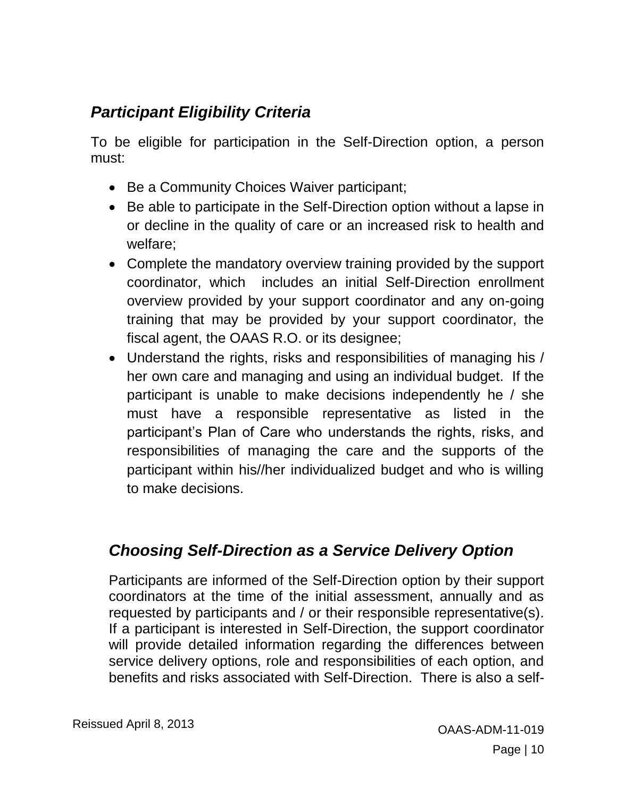# <span id="page-9-0"></span>*Participant Eligibility Criteria*

To be eligible for participation in the Self-Direction option, a person must:

- Be a Community Choices Waiver participant;
- Be able to participate in the Self-Direction option without a lapse in or decline in the quality of care or an increased risk to health and welfare;
- Complete the mandatory overview training provided by the support coordinator, which includes an initial Self-Direction enrollment overview provided by your support coordinator and any on-going training that may be provided by your support coordinator, the fiscal agent, the OAAS R.O. or its designee;
- Understand the rights, risks and responsibilities of managing his / her own care and managing and using an individual budget. If the participant is unable to make decisions independently he / she must have a responsible representative as listed in the participant's Plan of Care who understands the rights, risks, and responsibilities of managing the care and the supports of the participant within his//her individualized budget and who is willing to make decisions.

## <span id="page-9-1"></span>*Choosing Self-Direction as a Service Delivery Option*

Participants are informed of the Self-Direction option by their support coordinators at the time of the initial assessment, annually and as requested by participants and / or their responsible representative(s). If a participant is interested in Self-Direction, the support coordinator will provide detailed information regarding the differences between service delivery options, role and responsibilities of each option, and benefits and risks associated with Self-Direction. There is also a self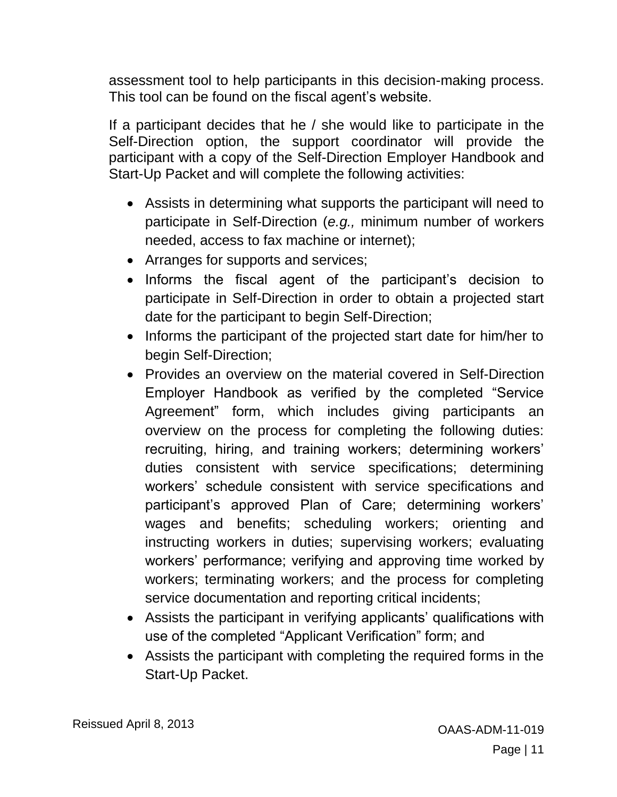assessment tool to help participants in this decision-making process. This tool can be found on the fiscal agent's website.

If a participant decides that he / she would like to participate in the Self-Direction option, the support coordinator will provide the participant with a copy of the Self-Direction Employer Handbook and Start-Up Packet and will complete the following activities:

- Assists in determining what supports the participant will need to participate in Self-Direction (*e.g.,* minimum number of workers needed, access to fax machine or internet);
- Arranges for supports and services;
- Informs the fiscal agent of the participant's decision to participate in Self-Direction in order to obtain a projected start date for the participant to begin Self-Direction;
- Informs the participant of the projected start date for him/her to begin Self-Direction;
- Provides an overview on the material covered in Self-Direction Employer Handbook as verified by the completed "Service Agreement" form, which includes giving participants an overview on the process for completing the following duties: recruiting, hiring, and training workers; determining workers' duties consistent with service specifications; determining workers' schedule consistent with service specifications and participant's approved Plan of Care; determining workers' wages and benefits; scheduling workers; orienting and instructing workers in duties; supervising workers; evaluating workers' performance; verifying and approving time worked by workers; terminating workers; and the process for completing service documentation and reporting critical incidents;
- Assists the participant in verifying applicants' qualifications with use of the completed "Applicant Verification" form; and
- Assists the participant with completing the required forms in the Start-Up Packet.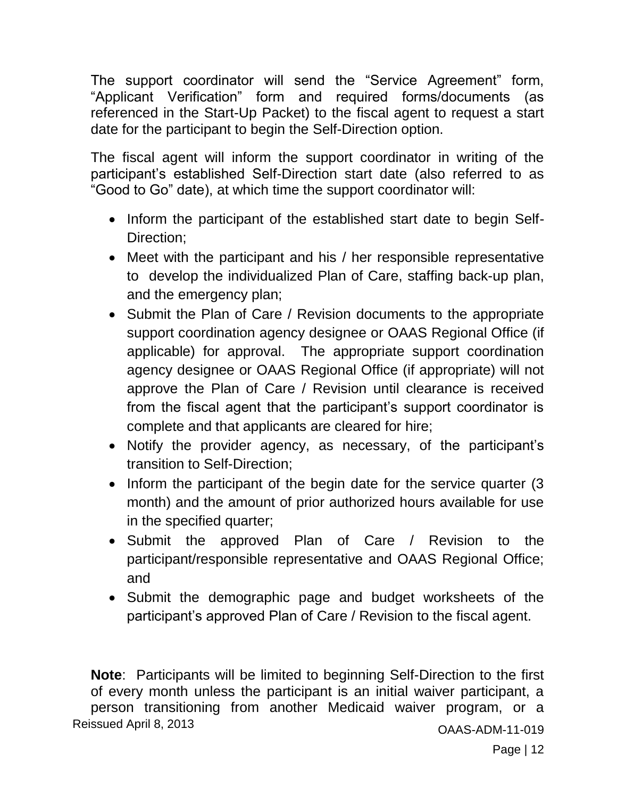The support coordinator will send the "Service Agreement" form, "Applicant Verification" form and required forms/documents (as referenced in the Start-Up Packet) to the fiscal agent to request a start date for the participant to begin the Self-Direction option.

The fiscal agent will inform the support coordinator in writing of the participant's established Self-Direction start date (also referred to as "Good to Go" date), at which time the support coordinator will:

- Inform the participant of the established start date to begin Self-Direction;
- Meet with the participant and his / her responsible representative to develop the individualized Plan of Care, staffing back-up plan, and the emergency plan;
- Submit the Plan of Care / Revision documents to the appropriate support coordination agency designee or OAAS Regional Office (if applicable) for approval. The appropriate support coordination agency designee or OAAS Regional Office (if appropriate) will not approve the Plan of Care / Revision until clearance is received from the fiscal agent that the participant's support coordinator is complete and that applicants are cleared for hire;
- Notify the provider agency, as necessary, of the participant's transition to Self-Direction;
- Inform the participant of the begin date for the service quarter (3 month) and the amount of prior authorized hours available for use in the specified quarter;
- Submit the approved Plan of Care / Revision to the participant/responsible representative and OAAS Regional Office; and
- Submit the demographic page and budget worksheets of the participant's approved Plan of Care / Revision to the fiscal agent.

Reissued April 8, 2013 **COLLECT ACCESS** COAAS-ADM-11-019 **Note**: Participants will be limited to beginning Self-Direction to the first of every month unless the participant is an initial waiver participant, a person transitioning from another Medicaid waiver program, or a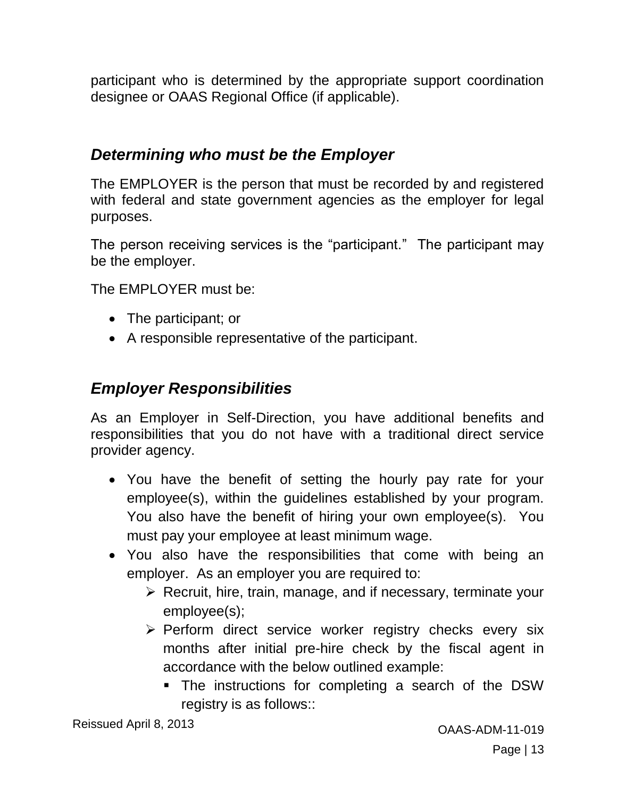participant who is determined by the appropriate support coordination designee or OAAS Regional Office (if applicable).

#### <span id="page-12-0"></span>*Determining who must be the Employer*

The EMPLOYER is the person that must be recorded by and registered with federal and state government agencies as the employer for legal purposes.

The person receiving services is the "participant." The participant may be the employer.

The EMPLOYER must be:

- The participant; or
- A responsible representative of the participant.

#### <span id="page-12-1"></span>*Employer Responsibilities*

As an Employer in Self-Direction, you have additional benefits and responsibilities that you do not have with a traditional direct service provider agency.

- You have the benefit of setting the hourly pay rate for your employee(s), within the guidelines established by your program. You also have the benefit of hiring your own employee(s). You must pay your employee at least minimum wage.
- You also have the responsibilities that come with being an employer. As an employer you are required to:
	- $\triangleright$  Recruit, hire, train, manage, and if necessary, terminate your employee(s);
	- $\triangleright$  Perform direct service worker registry checks every six months after initial pre-hire check by the fiscal agent in accordance with the below outlined example:
		- The instructions for completing a search of the DSW registry is as follows::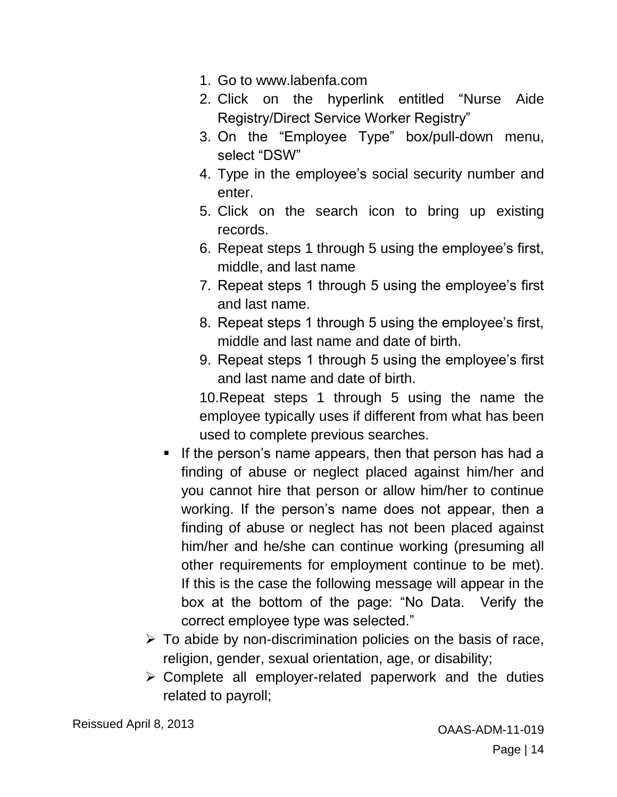- 1. Go to www.labenfa.com
- 2. Click on the hyperlink entitled "Nurse Aide Registry/Direct Service Worker Registry"
- 3. On the "Employee Type" box/pull-down menu, select "DSW"
- 4. Type in the employee's social security number and enter.
- 5. Click on the search icon to bring up existing records.
- 6. Repeat steps 1 through 5 using the employee's first, middle, and last name
- 7. Repeat steps 1 through 5 using the employee's first and last name.
- 8. Repeat steps 1 through 5 using the employee's first, middle and last name and date of birth.
- 9. Repeat steps 1 through 5 using the employee's first and last name and date of birth.

10.Repeat steps 1 through 5 using the name the employee typically uses if different from what has been used to complete previous searches.

- If the person's name appears, then that person has had a finding of abuse or neglect placed against him/her and you cannot hire that person or allow him/her to continue working. If the person's name does not appear, then a finding of abuse or neglect has not been placed against him/her and he/she can continue working (presuming all other requirements for employment continue to be met). If this is the case the following message will appear in the box at the bottom of the page: "No Data. Verify the correct employee type was selected."
- $\triangleright$  To abide by non-discrimination policies on the basis of race, religion, gender, sexual orientation, age, or disability;
- $\triangleright$  Complete all employer-related paperwork and the duties related to payroll;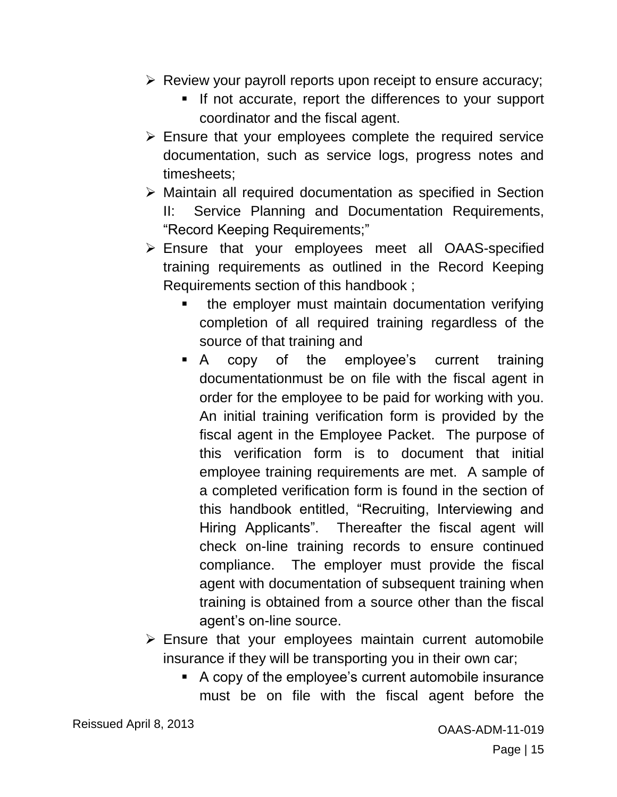- $\triangleright$  Review your payroll reports upon receipt to ensure accuracy;
	- If not accurate, report the differences to your support coordinator and the fiscal agent.
- $\triangleright$  Ensure that your employees complete the required service documentation, such as service logs, progress notes and timesheets;
- Maintain all required documentation as specified in Section II: Service Planning and Documentation Requirements, "Record Keeping Requirements;"
- Ensure that your employees meet all OAAS-specified training requirements as outlined in the Record Keeping Requirements section of this handbook ;
	- **the employer must maintain documentation verifying** completion of all required training regardless of the source of that training and
	- A copy of the employee's current training documentationmust be on file with the fiscal agent in order for the employee to be paid for working with you. An initial training verification form is provided by the fiscal agent in the Employee Packet. The purpose of this verification form is to document that initial employee training requirements are met. A sample of a completed verification form is found in the section of this handbook entitled, "Recruiting, Interviewing and Hiring Applicants". Thereafter the fiscal agent will check on-line training records to ensure continued compliance. The employer must provide the fiscal agent with documentation of subsequent training when training is obtained from a source other than the fiscal agent's on-line source.
- $\triangleright$  Ensure that your employees maintain current automobile insurance if they will be transporting you in their own car;
	- A copy of the employee's current automobile insurance must be on file with the fiscal agent before the

Reissued April 8, 2013 **CALL 1998** COAAS-ADM-11-019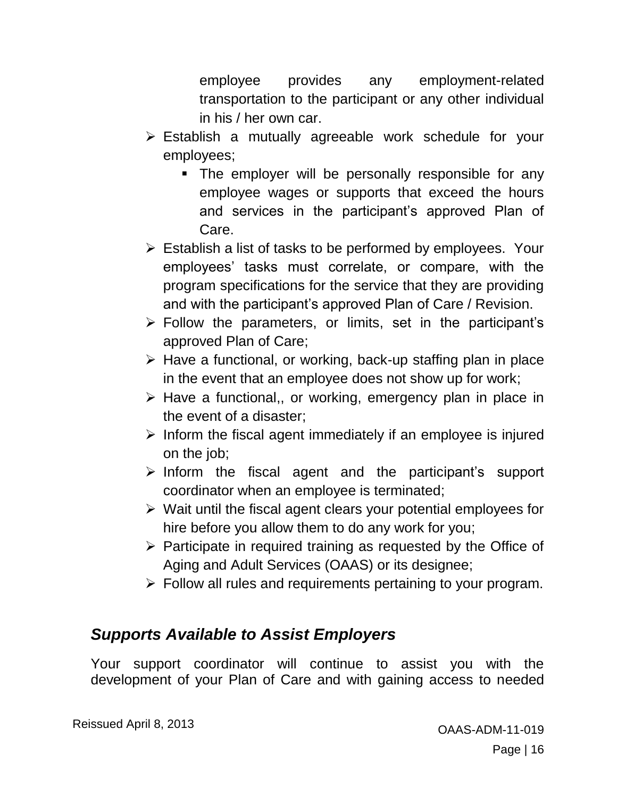employee provides any employment-related transportation to the participant or any other individual in his / her own car.

- Establish a mutually agreeable work schedule for your employees;
	- **The employer will be personally responsible for any** employee wages or supports that exceed the hours and services in the participant's approved Plan of Care.
- $\triangleright$  Establish a list of tasks to be performed by employees. Your employees' tasks must correlate, or compare, with the program specifications for the service that they are providing and with the participant's approved Plan of Care / Revision.
- $\triangleright$  Follow the parameters, or limits, set in the participant's approved Plan of Care;
- $\triangleright$  Have a functional, or working, back-up staffing plan in place in the event that an employee does not show up for work;
- $\triangleright$  Have a functional,, or working, emergency plan in place in the event of a disaster;
- $\triangleright$  Inform the fiscal agent immediately if an employee is injured on the job;
- $\triangleright$  Inform the fiscal agent and the participant's support coordinator when an employee is terminated;
- $\triangleright$  Wait until the fiscal agent clears your potential employees for hire before you allow them to do any work for you;
- $\triangleright$  Participate in required training as requested by the Office of Aging and Adult Services (OAAS) or its designee;
- $\triangleright$  Follow all rules and requirements pertaining to your program.

## <span id="page-15-0"></span>*Supports Available to Assist Employers*

Your support coordinator will continue to assist you with the development of your Plan of Care and with gaining access to needed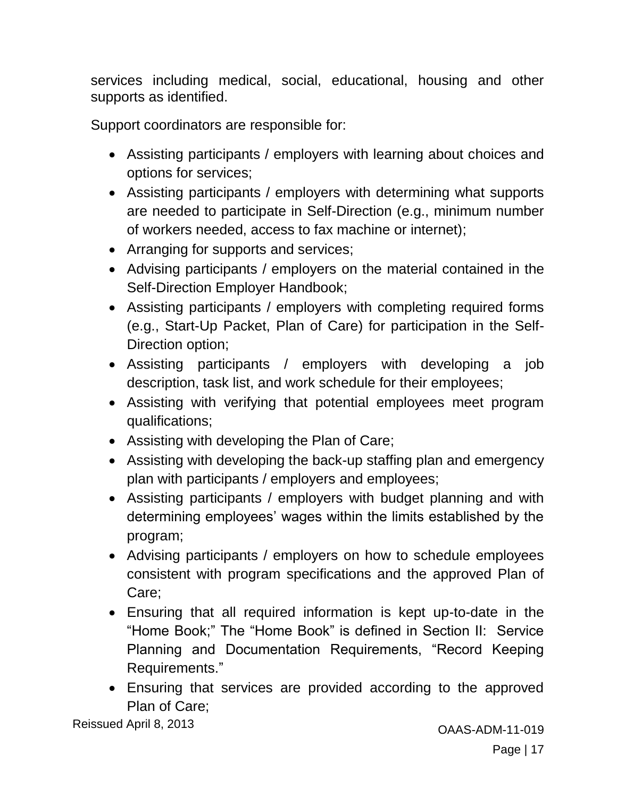services including medical, social, educational, housing and other supports as identified.

Support coordinators are responsible for:

- Assisting participants / employers with learning about choices and options for services;
- Assisting participants / employers with determining what supports are needed to participate in Self-Direction (e.g., minimum number of workers needed, access to fax machine or internet);
- Arranging for supports and services;
- Advising participants / employers on the material contained in the Self-Direction Employer Handbook;
- Assisting participants / employers with completing required forms (e.g., Start-Up Packet, Plan of Care) for participation in the Self-Direction option;
- Assisting participants / employers with developing a job description, task list, and work schedule for their employees;
- Assisting with verifying that potential employees meet program qualifications;
- Assisting with developing the Plan of Care;
- Assisting with developing the back-up staffing plan and emergency plan with participants / employers and employees;
- Assisting participants / employers with budget planning and with determining employees' wages within the limits established by the program;
- Advising participants / employers on how to schedule employees consistent with program specifications and the approved Plan of Care;
- Ensuring that all required information is kept up-to-date in the "Home Book;" The "Home Book" is defined in Section II: Service Planning and Documentation Requirements, "Record Keeping Requirements."
- Ensuring that services are provided according to the approved Plan of Care;

Reissued April 8, 2013 **CALL 1998** COAAS-ADM-11-019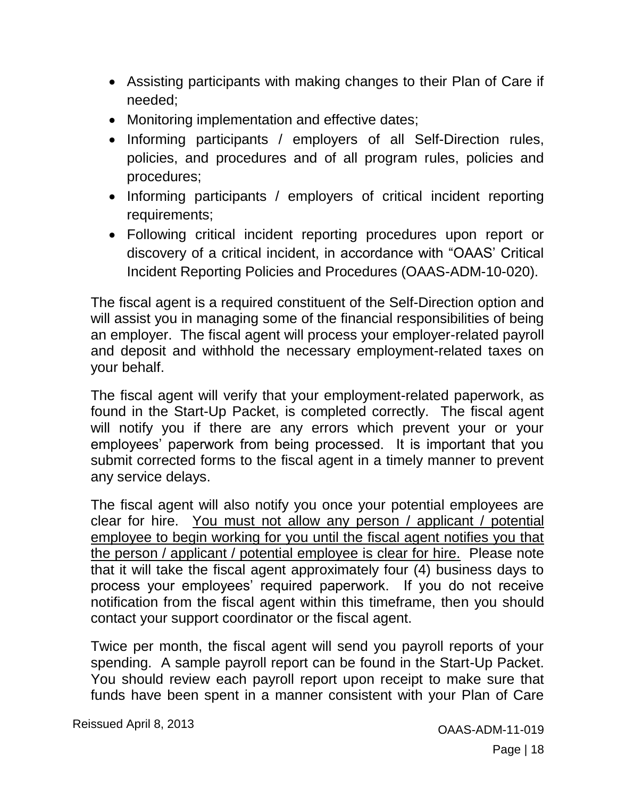- Assisting participants with making changes to their Plan of Care if needed;
- Monitoring implementation and effective dates;
- Informing participants / employers of all Self-Direction rules, policies, and procedures and of all program rules, policies and procedures;
- Informing participants / employers of critical incident reporting requirements;
- Following critical incident reporting procedures upon report or discovery of a critical incident, in accordance with "OAAS' Critical Incident Reporting Policies and Procedures (OAAS-ADM-10-020).

The fiscal agent is a required constituent of the Self-Direction option and will assist you in managing some of the financial responsibilities of being an employer. The fiscal agent will process your employer-related payroll and deposit and withhold the necessary employment-related taxes on your behalf.

The fiscal agent will verify that your employment-related paperwork, as found in the Start-Up Packet, is completed correctly. The fiscal agent will notify you if there are any errors which prevent your or your employees' paperwork from being processed. It is important that you submit corrected forms to the fiscal agent in a timely manner to prevent any service delays.

The fiscal agent will also notify you once your potential employees are clear for hire. You must not allow any person / applicant / potential employee to begin working for you until the fiscal agent notifies you that the person / applicant / potential employee is clear for hire. Please note that it will take the fiscal agent approximately four (4) business days to process your employees' required paperwork. If you do not receive notification from the fiscal agent within this timeframe, then you should contact your support coordinator or the fiscal agent.

Twice per month, the fiscal agent will send you payroll reports of your spending. A sample payroll report can be found in the Start-Up Packet. You should review each payroll report upon receipt to make sure that funds have been spent in a manner consistent with your Plan of Care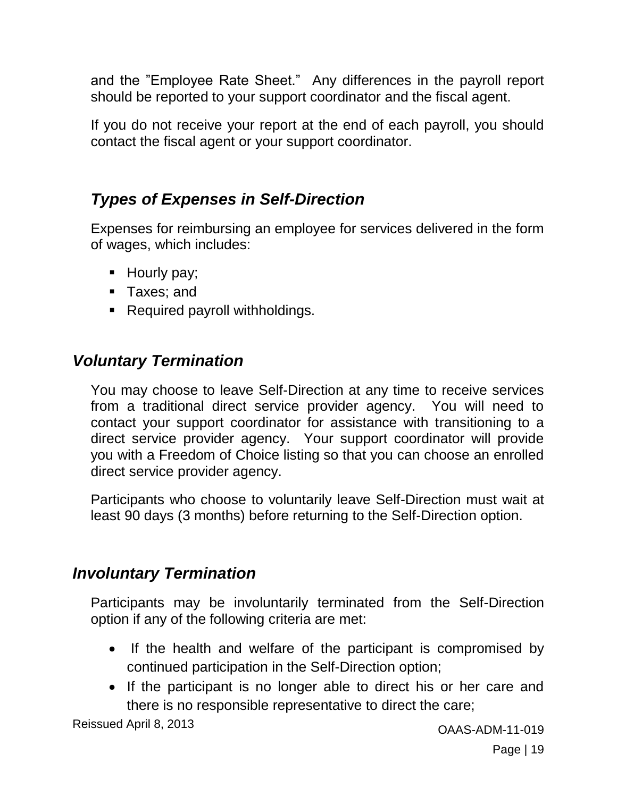and the "Employee Rate Sheet." Any differences in the payroll report should be reported to your support coordinator and the fiscal agent.

If you do not receive your report at the end of each payroll, you should contact the fiscal agent or your support coordinator.

# <span id="page-18-0"></span>*Types of Expenses in Self-Direction*

Expenses for reimbursing an employee for services delivered in the form of wages, which includes:

- Hourly pay;
- **Taxes**; and
- Required payroll withholdings.

# <span id="page-18-1"></span>*Voluntary Termination*

You may choose to leave Self-Direction at any time to receive services from a traditional direct service provider agency. You will need to contact your support coordinator for assistance with transitioning to a direct service provider agency. Your support coordinator will provide you with a Freedom of Choice listing so that you can choose an enrolled direct service provider agency.

Participants who choose to voluntarily leave Self-Direction must wait at least 90 days (3 months) before returning to the Self-Direction option.

## <span id="page-18-2"></span>*Involuntary Termination*

Participants may be involuntarily terminated from the Self-Direction option if any of the following criteria are met:

- If the health and welfare of the participant is compromised by continued participation in the Self-Direction option;
- If the participant is no longer able to direct his or her care and there is no responsible representative to direct the care;

Reissued April 8, 2013 **CONSERVING ACCESS** CONSIDER A CONSERVERSE CONSIDER A CONSERVERSE CONSERVERSE CONSERVERSE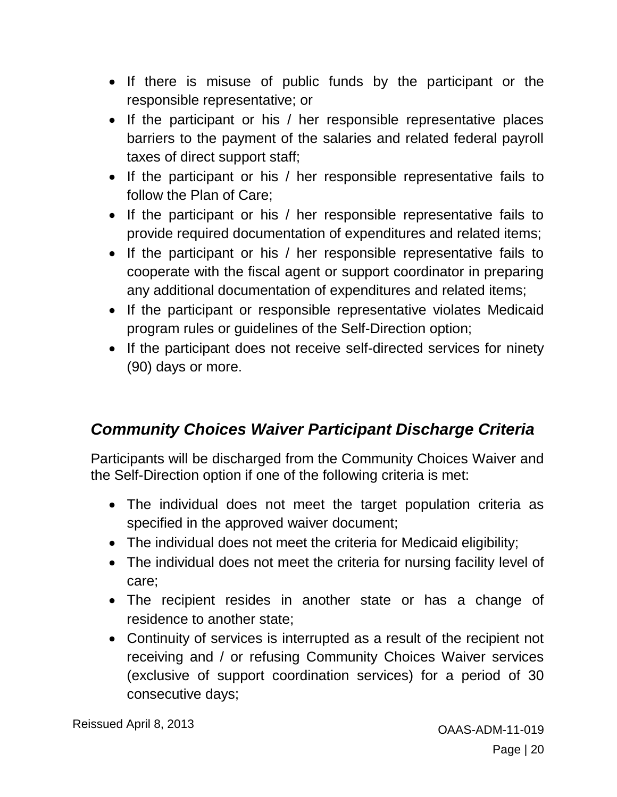- If there is misuse of public funds by the participant or the responsible representative; or
- If the participant or his / her responsible representative places barriers to the payment of the salaries and related federal payroll taxes of direct support staff;
- If the participant or his / her responsible representative fails to follow the Plan of Care;
- If the participant or his / her responsible representative fails to provide required documentation of expenditures and related items;
- If the participant or his / her responsible representative fails to cooperate with the fiscal agent or support coordinator in preparing any additional documentation of expenditures and related items;
- If the participant or responsible representative violates Medicaid program rules or guidelines of the Self-Direction option;
- If the participant does not receive self-directed services for ninety (90) days or more.

# <span id="page-19-0"></span>*Community Choices Waiver Participant Discharge Criteria*

Participants will be discharged from the Community Choices Waiver and the Self-Direction option if one of the following criteria is met:

- The individual does not meet the target population criteria as specified in the approved waiver document;
- The individual does not meet the criteria for Medicaid eligibility;
- The individual does not meet the criteria for nursing facility level of care;
- The recipient resides in another state or has a change of residence to another state;
- Continuity of services is interrupted as a result of the recipient not receiving and / or refusing Community Choices Waiver services (exclusive of support coordination services) for a period of 30 consecutive days;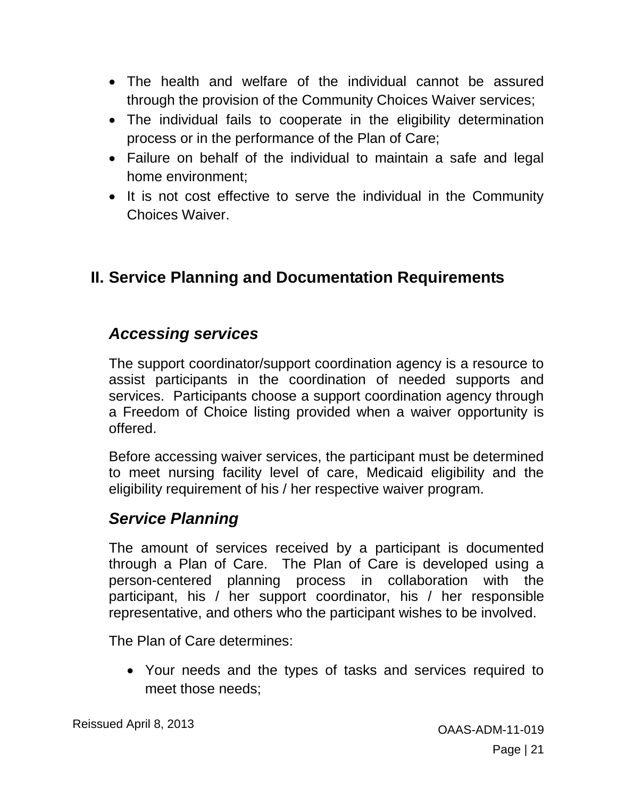- The health and welfare of the individual cannot be assured through the provision of the Community Choices Waiver services;
- The individual fails to cooperate in the eligibility determination process or in the performance of the Plan of Care;
- Failure on behalf of the individual to maintain a safe and legal home environment;
- It is not cost effective to serve the individual in the Community Choices Waiver.

# <span id="page-20-0"></span>**II. Service Planning and Documentation Requirements**

#### <span id="page-20-1"></span>*Accessing services*

The support coordinator/support coordination agency is a resource to assist participants in the coordination of needed supports and services. Participants choose a support coordination agency through a Freedom of Choice listing provided when a waiver opportunity is offered.

Before accessing waiver services, the participant must be determined to meet nursing facility level of care, Medicaid eligibility and the eligibility requirement of his / her respective waiver program.

## <span id="page-20-2"></span>*Service Planning*

The amount of services received by a participant is documented through a Plan of Care. The Plan of Care is developed using a person-centered planning process in collaboration with the participant, his / her support coordinator, his / her responsible representative, and others who the participant wishes to be involved.

The Plan of Care determines:

 Your needs and the types of tasks and services required to meet those needs;

Reissued April 8, 2013 **CALCE 10 ASSESS** CAAS-ADM-11-019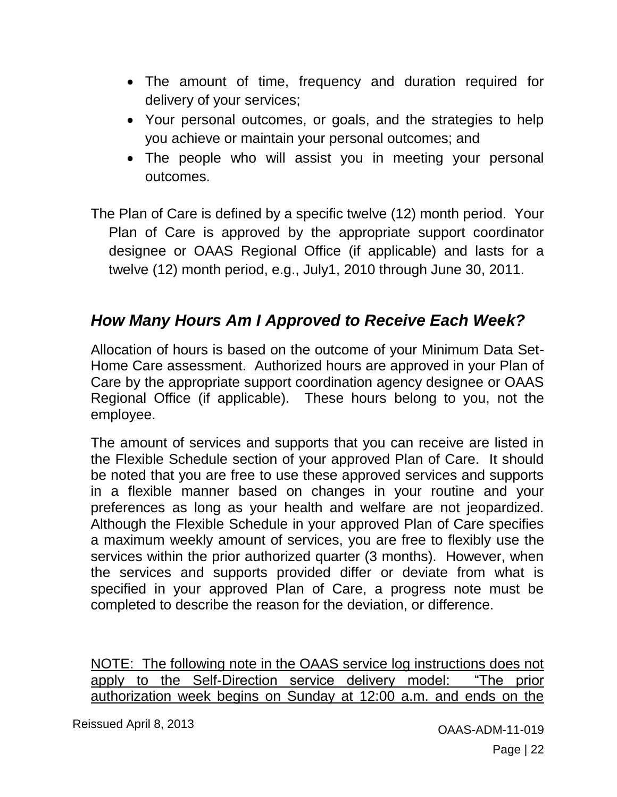- The amount of time, frequency and duration required for delivery of your services;
- Your personal outcomes, or goals, and the strategies to help you achieve or maintain your personal outcomes; and
- The people who will assist you in meeting your personal outcomes.

The Plan of Care is defined by a specific twelve (12) month period. Your Plan of Care is approved by the appropriate support coordinator designee or OAAS Regional Office (if applicable) and lasts for a twelve (12) month period, e.g., July1, 2010 through June 30, 2011.

## <span id="page-21-0"></span>*How Many Hours Am I Approved to Receive Each Week?*

Allocation of hours is based on the outcome of your Minimum Data Set-Home Care assessment. Authorized hours are approved in your Plan of Care by the appropriate support coordination agency designee or OAAS Regional Office (if applicable). These hours belong to you, not the employee.

The amount of services and supports that you can receive are listed in the Flexible Schedule section of your approved Plan of Care. It should be noted that you are free to use these approved services and supports in a flexible manner based on changes in your routine and your preferences as long as your health and welfare are not jeopardized. Although the Flexible Schedule in your approved Plan of Care specifies a maximum weekly amount of services, you are free to flexibly use the services within the prior authorized quarter (3 months). However, when the services and supports provided differ or deviate from what is specified in your approved Plan of Care, a progress note must be completed to describe the reason for the deviation, or difference.

NOTE: The following note in the OAAS service log instructions does not apply to the Self-Direction service delivery model: "The prior authorization week begins on Sunday at 12:00 a.m. and ends on the

Reissued April 8, 2013 **CALL 1998** COAAS-ADM-11-019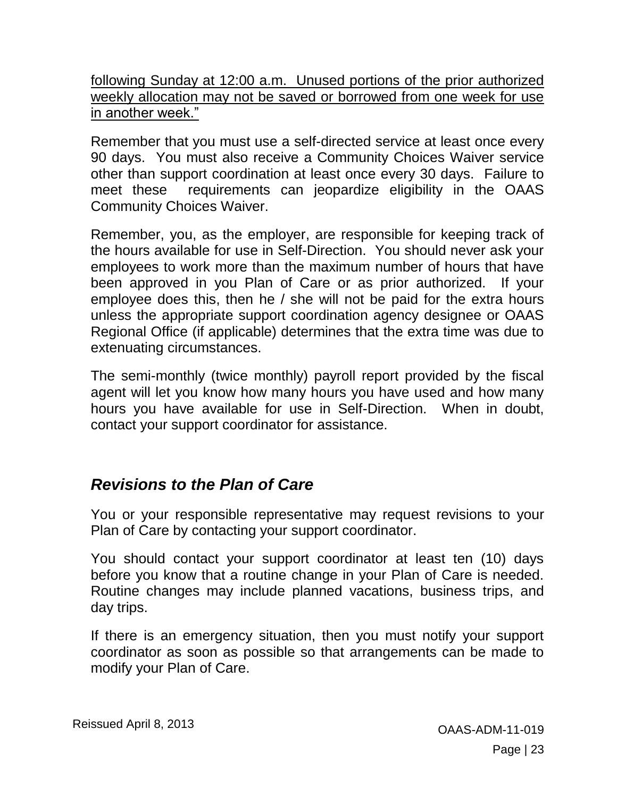following Sunday at 12:00 a.m. Unused portions of the prior authorized weekly allocation may not be saved or borrowed from one week for use in another week."

Remember that you must use a self-directed service at least once every 90 days. You must also receive a Community Choices Waiver service other than support coordination at least once every 30 days. Failure to meet these requirements can jeopardize eligibility in the OAAS Community Choices Waiver.

Remember, you, as the employer, are responsible for keeping track of the hours available for use in Self-Direction. You should never ask your employees to work more than the maximum number of hours that have been approved in you Plan of Care or as prior authorized. If your employee does this, then he / she will not be paid for the extra hours unless the appropriate support coordination agency designee or OAAS Regional Office (if applicable) determines that the extra time was due to extenuating circumstances.

The semi-monthly (twice monthly) payroll report provided by the fiscal agent will let you know how many hours you have used and how many hours you have available for use in Self-Direction. When in doubt, contact your support coordinator for assistance.

## <span id="page-22-0"></span>*Revisions to the Plan of Care*

You or your responsible representative may request revisions to your Plan of Care by contacting your support coordinator.

You should contact your support coordinator at least ten (10) days before you know that a routine change in your Plan of Care is needed. Routine changes may include planned vacations, business trips, and day trips.

If there is an emergency situation, then you must notify your support coordinator as soon as possible so that arrangements can be made to modify your Plan of Care.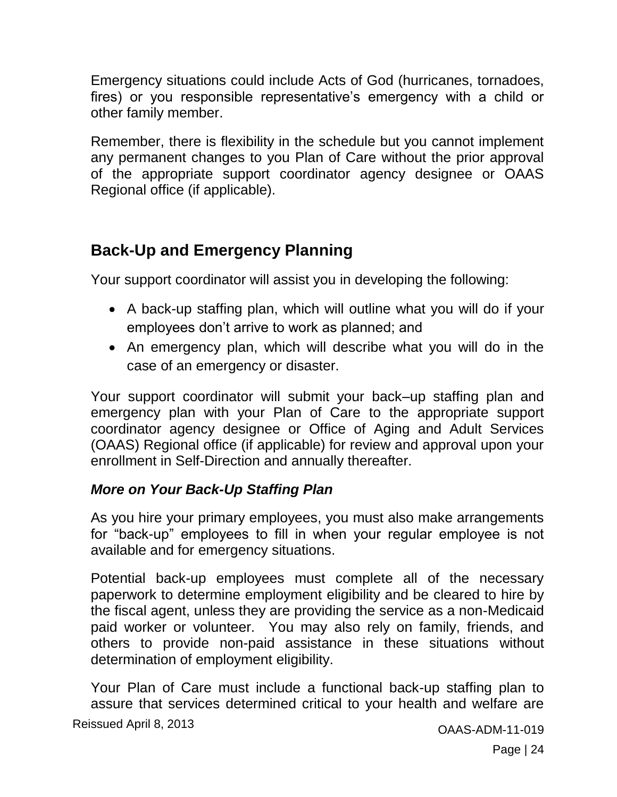Emergency situations could include Acts of God (hurricanes, tornadoes, fires) or you responsible representative's emergency with a child or other family member.

Remember, there is flexibility in the schedule but you cannot implement any permanent changes to you Plan of Care without the prior approval of the appropriate support coordinator agency designee or OAAS Regional office (if applicable).

# <span id="page-23-0"></span>**Back-Up and Emergency Planning**

Your support coordinator will assist you in developing the following:

- A back-up staffing plan, which will outline what you will do if your employees don't arrive to work as planned; and
- An emergency plan, which will describe what you will do in the case of an emergency or disaster.

Your support coordinator will submit your back–up staffing plan and emergency plan with your Plan of Care to the appropriate support coordinator agency designee or Office of Aging and Adult Services (OAAS) Regional office (if applicable) for review and approval upon your enrollment in Self-Direction and annually thereafter.

#### <span id="page-23-1"></span>*More on Your Back-Up Staffing Plan*

As you hire your primary employees, you must also make arrangements for "back-up" employees to fill in when your regular employee is not available and for emergency situations.

Potential back-up employees must complete all of the necessary paperwork to determine employment eligibility and be cleared to hire by the fiscal agent, unless they are providing the service as a non-Medicaid paid worker or volunteer. You may also rely on family, friends, and others to provide non-paid assistance in these situations without determination of employment eligibility.

Your Plan of Care must include a functional back-up staffing plan to assure that services determined critical to your health and welfare are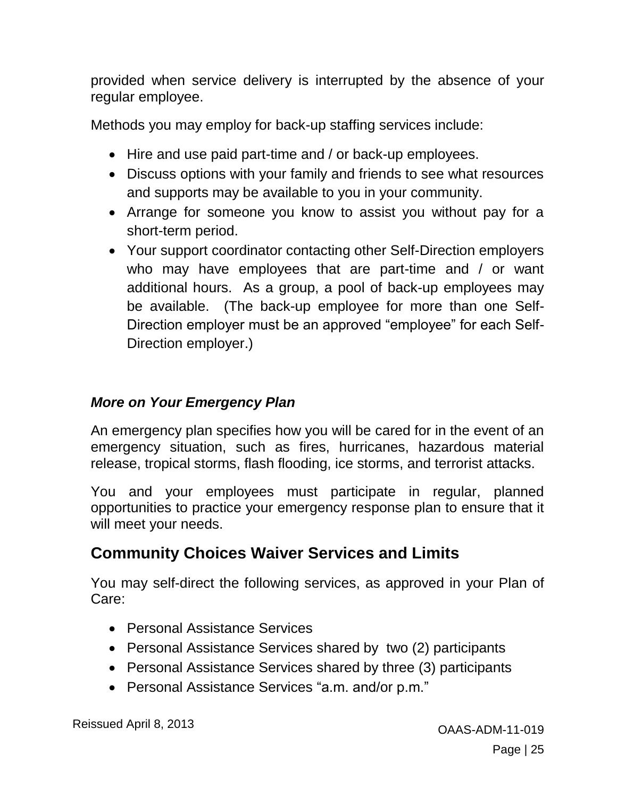provided when service delivery is interrupted by the absence of your regular employee.

Methods you may employ for back-up staffing services include:

- Hire and use paid part-time and / or back-up employees.
- Discuss options with your family and friends to see what resources and supports may be available to you in your community.
- Arrange for someone you know to assist you without pay for a short-term period.
- Your support coordinator contacting other Self-Direction employers who may have employees that are part-time and / or want additional hours. As a group, a pool of back-up employees may be available. (The back-up employee for more than one Self-Direction employer must be an approved "employee" for each Self-Direction employer.)

#### <span id="page-24-0"></span>*More on Your Emergency Plan*

An emergency plan specifies how you will be cared for in the event of an emergency situation, such as fires, hurricanes, hazardous material release, tropical storms, flash flooding, ice storms, and terrorist attacks.

You and your employees must participate in regular, planned opportunities to practice your emergency response plan to ensure that it will meet your needs.

## <span id="page-24-1"></span>**Community Choices Waiver Services and Limits**

You may self-direct the following services, as approved in your Plan of Care:

- Personal Assistance Services
- Personal Assistance Services shared by two (2) participants
- Personal Assistance Services shared by three (3) participants
- Personal Assistance Services "a.m. and/or p.m."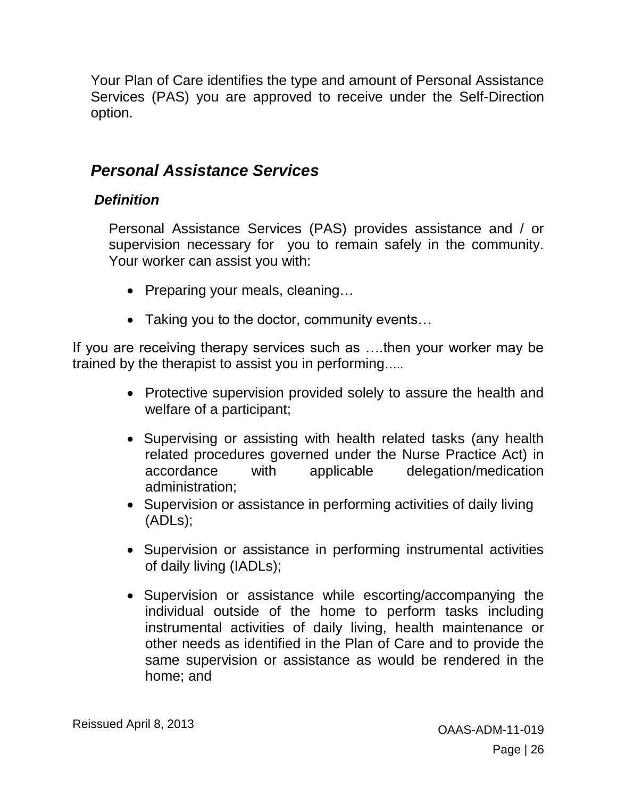Your Plan of Care identifies the type and amount of Personal Assistance Services (PAS) you are approved to receive under the Self-Direction option.

#### <span id="page-25-0"></span>*Personal Assistance Services*

#### <span id="page-25-1"></span>*Definition*

Personal Assistance Services (PAS) provides assistance and / or supervision necessary for you to remain safely in the community. Your worker can assist you with:

- Preparing your meals, cleaning...
- Taking you to the doctor, community events…

If you are receiving therapy services such as ….then your worker may be trained by the therapist to assist you in performing…..

- Protective supervision provided solely to assure the health and welfare of a participant;
- Supervising or assisting with health related tasks (any health related procedures governed under the Nurse Practice Act) in accordance with applicable delegation/medication administration;
- Supervision or assistance in performing activities of daily living (ADLs);
- Supervision or assistance in performing instrumental activities of daily living (IADLs);
- Supervision or assistance while escorting/accompanying the individual outside of the home to perform tasks including instrumental activities of daily living, health maintenance or other needs as identified in the Plan of Care and to provide the same supervision or assistance as would be rendered in the home; and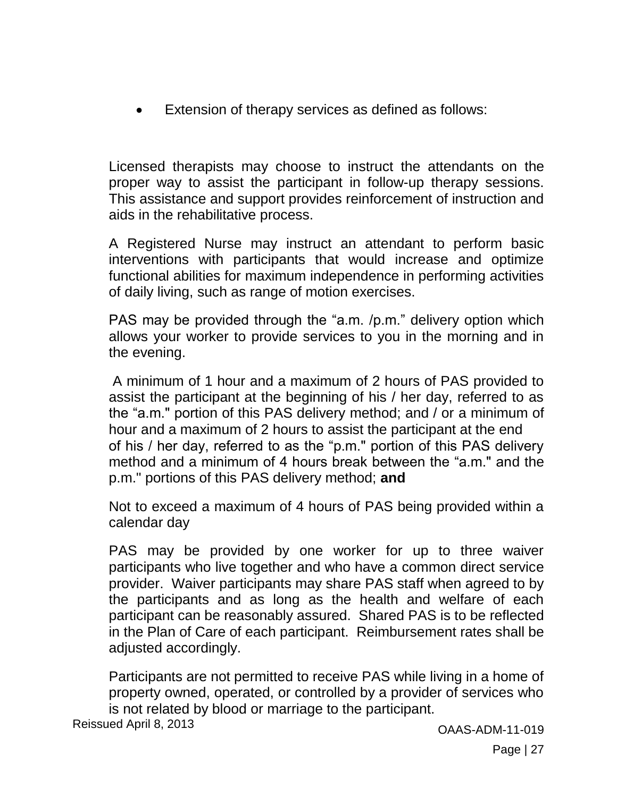Extension of therapy services as defined as follows:

Licensed therapists may choose to instruct the attendants on the proper way to assist the participant in follow-up therapy sessions. This assistance and support provides reinforcement of instruction and aids in the rehabilitative process.

A Registered Nurse may instruct an attendant to perform basic interventions with participants that would increase and optimize functional abilities for maximum independence in performing activities of daily living, such as range of motion exercises.

PAS may be provided through the "a.m. /p.m." delivery option which allows your worker to provide services to you in the morning and in the evening.

A minimum of 1 hour and a maximum of 2 hours of PAS provided to assist the participant at the beginning of his / her day, referred to as the "a.m." portion of this PAS delivery method; and / or a minimum of hour and a maximum of 2 hours to assist the participant at the end of his / her day, referred to as the "p.m." portion of this PAS delivery method and a minimum of 4 hours break between the "a.m." and the p.m." portions of this PAS delivery method; **and**

Not to exceed a maximum of 4 hours of PAS being provided within a calendar day

PAS may be provided by one worker for up to three waiver participants who live together and who have a common direct service provider. Waiver participants may share PAS staff when agreed to by the participants and as long as the health and welfare of each participant can be reasonably assured. Shared PAS is to be reflected in the Plan of Care of each participant. Reimbursement rates shall be adjusted accordingly.

Participants are not permitted to receive PAS while living in a home of property owned, operated, or controlled by a provider of services who is not related by blood or marriage to the participant.

Reissued April 8, 2013 **CALL 1998** COAAS-ADM-11-019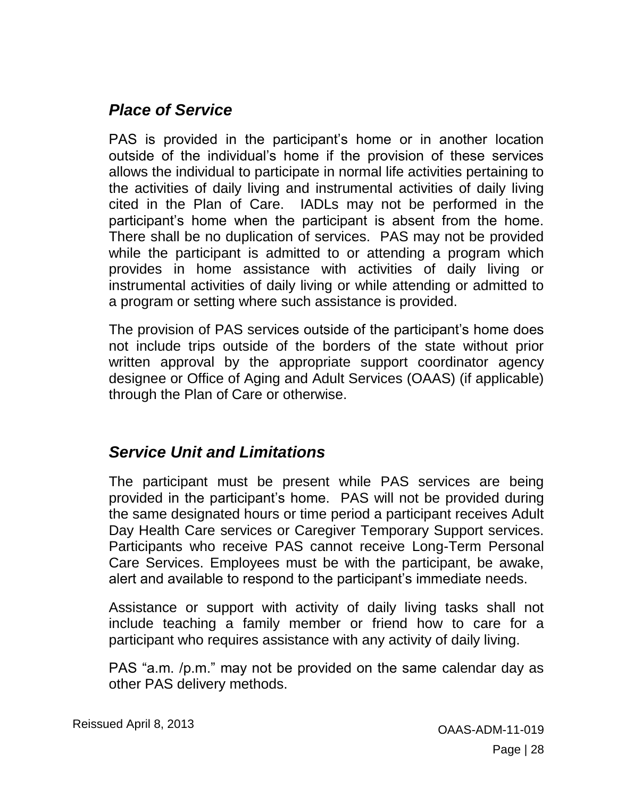#### <span id="page-27-0"></span>*Place of Service*

PAS is provided in the participant's home or in another location outside of the individual's home if the provision of these services allows the individual to participate in normal life activities pertaining to the activities of daily living and instrumental activities of daily living cited in the Plan of Care. IADLs may not be performed in the participant's home when the participant is absent from the home. There shall be no duplication of services. PAS may not be provided while the participant is admitted to or attending a program which provides in home assistance with activities of daily living or instrumental activities of daily living or while attending or admitted to a program or setting where such assistance is provided.

The provision of PAS services outside of the participant's home does not include trips outside of the borders of the state without prior written approval by the appropriate support coordinator agency designee or Office of Aging and Adult Services (OAAS) (if applicable) through the Plan of Care or otherwise.

#### <span id="page-27-1"></span>*Service Unit and Limitations*

The participant must be present while PAS services are being provided in the participant's home. PAS will not be provided during the same designated hours or time period a participant receives Adult Day Health Care services or Caregiver Temporary Support services. Participants who receive PAS cannot receive Long-Term Personal Care Services. Employees must be with the participant, be awake, alert and available to respond to the participant's immediate needs.

Assistance or support with activity of daily living tasks shall not include teaching a family member or friend how to care for a participant who requires assistance with any activity of daily living.

PAS "a.m. /p.m." may not be provided on the same calendar day as other PAS delivery methods.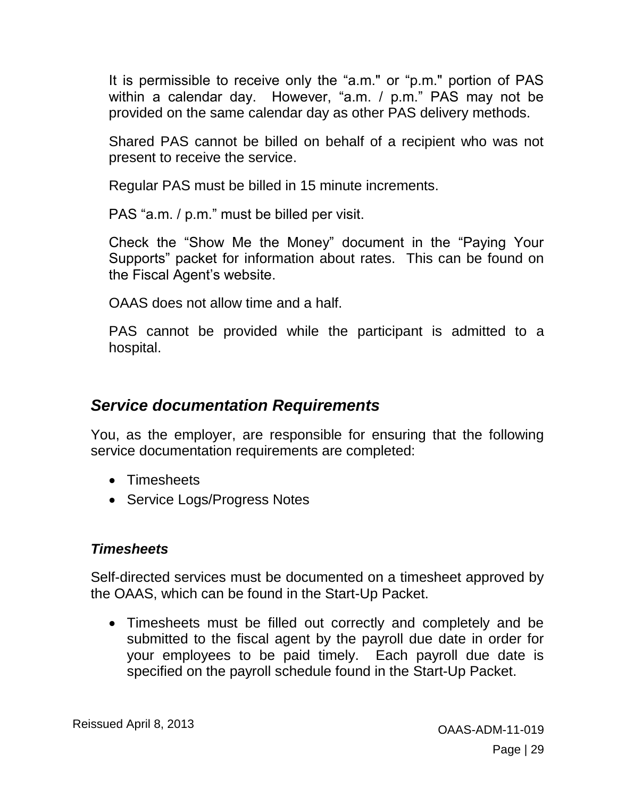It is permissible to receive only the "a.m." or "p.m." portion of PAS within a calendar day. However, "a.m. / p.m." PAS may not be provided on the same calendar day as other PAS delivery methods.

Shared PAS cannot be billed on behalf of a recipient who was not present to receive the service.

Regular PAS must be billed in 15 minute increments.

PAS "a.m. / p.m." must be billed per visit.

Check the "Show Me the Money" document in the "Paying Your Supports" packet for information about rates. This can be found on the Fiscal Agent's website.

OAAS does not allow time and a half.

PAS cannot be provided while the participant is admitted to a hospital.

#### <span id="page-28-0"></span>*Service documentation Requirements*

You, as the employer, are responsible for ensuring that the following service documentation requirements are completed:

- Timesheets
- Service Logs/Progress Notes

#### <span id="page-28-1"></span>*Timesheets*

Self-directed services must be documented on a timesheet approved by the OAAS, which can be found in the Start-Up Packet.

 Timesheets must be filled out correctly and completely and be submitted to the fiscal agent by the payroll due date in order for your employees to be paid timely. Each payroll due date is specified on the payroll schedule found in the Start-Up Packet.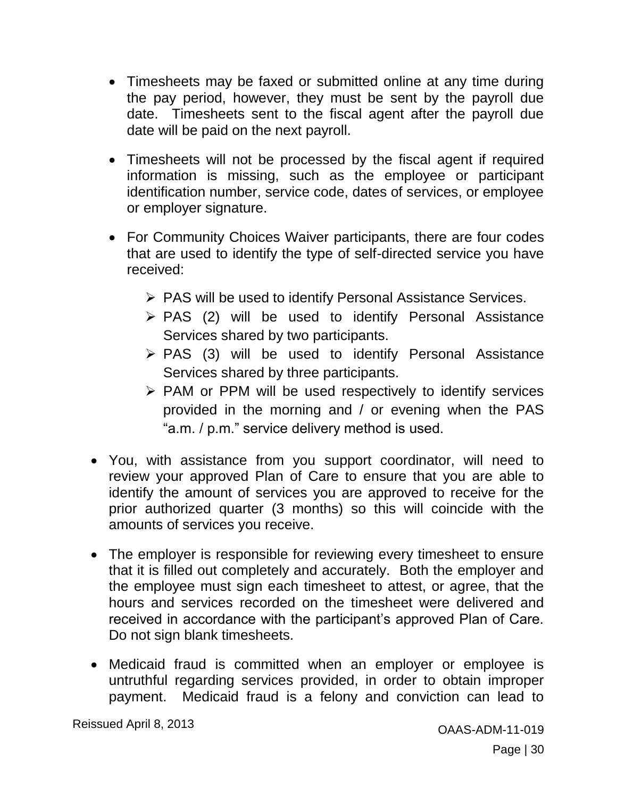- Timesheets may be faxed or submitted online at any time during the pay period, however, they must be sent by the payroll due date. Timesheets sent to the fiscal agent after the payroll due date will be paid on the next payroll.
- Timesheets will not be processed by the fiscal agent if required information is missing, such as the employee or participant identification number, service code, dates of services, or employee or employer signature.
- For Community Choices Waiver participants, there are four codes that are used to identify the type of self-directed service you have received:
	- ▶ PAS will be used to identify Personal Assistance Services.
	- $\triangleright$  PAS (2) will be used to identify Personal Assistance Services shared by two participants.
	- $\triangleright$  PAS (3) will be used to identify Personal Assistance Services shared by three participants.
	- $\triangleright$  PAM or PPM will be used respectively to identify services provided in the morning and / or evening when the PAS "a.m. / p.m." service delivery method is used.
- You, with assistance from you support coordinator, will need to review your approved Plan of Care to ensure that you are able to identify the amount of services you are approved to receive for the prior authorized quarter (3 months) so this will coincide with the amounts of services you receive.
- The employer is responsible for reviewing every timesheet to ensure that it is filled out completely and accurately. Both the employer and the employee must sign each timesheet to attest, or agree, that the hours and services recorded on the timesheet were delivered and received in accordance with the participant's approved Plan of Care. Do not sign blank timesheets.
- Medicaid fraud is committed when an employer or employee is untruthful regarding services provided, in order to obtain improper payment. Medicaid fraud is a felony and conviction can lead to

Reissued April 8, 2013 **CALL 1998** COAAS-ADM-11-019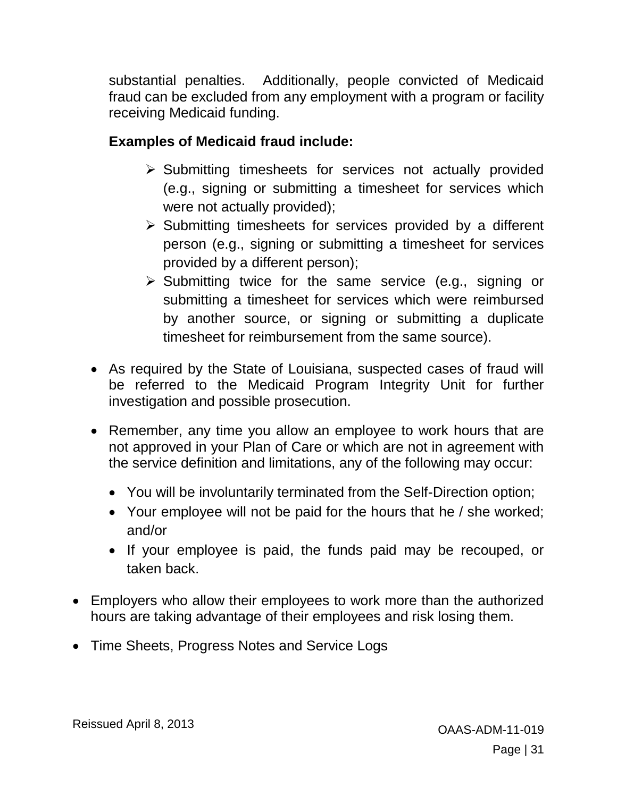substantial penalties. Additionally, people convicted of Medicaid fraud can be excluded from any employment with a program or facility receiving Medicaid funding.

#### **Examples of Medicaid fraud include:**

- $\triangleright$  Submitting timesheets for services not actually provided (e.g., signing or submitting a timesheet for services which were not actually provided);
- $\triangleright$  Submitting timesheets for services provided by a different person (e.g., signing or submitting a timesheet for services provided by a different person);
- $\triangleright$  Submitting twice for the same service (e.g., signing or submitting a timesheet for services which were reimbursed by another source, or signing or submitting a duplicate timesheet for reimbursement from the same source).
- As required by the State of Louisiana, suspected cases of fraud will be referred to the Medicaid Program Integrity Unit for further investigation and possible prosecution.
- Remember, any time you allow an employee to work hours that are not approved in your Plan of Care or which are not in agreement with the service definition and limitations, any of the following may occur:
	- You will be involuntarily terminated from the Self-Direction option;
	- Your employee will not be paid for the hours that he / she worked; and/or
	- If your employee is paid, the funds paid may be recouped, or taken back.
- <span id="page-30-0"></span> Employers who allow their employees to work more than the authorized hours are taking advantage of their employees and risk losing them.
- Time Sheets, Progress Notes and Service Logs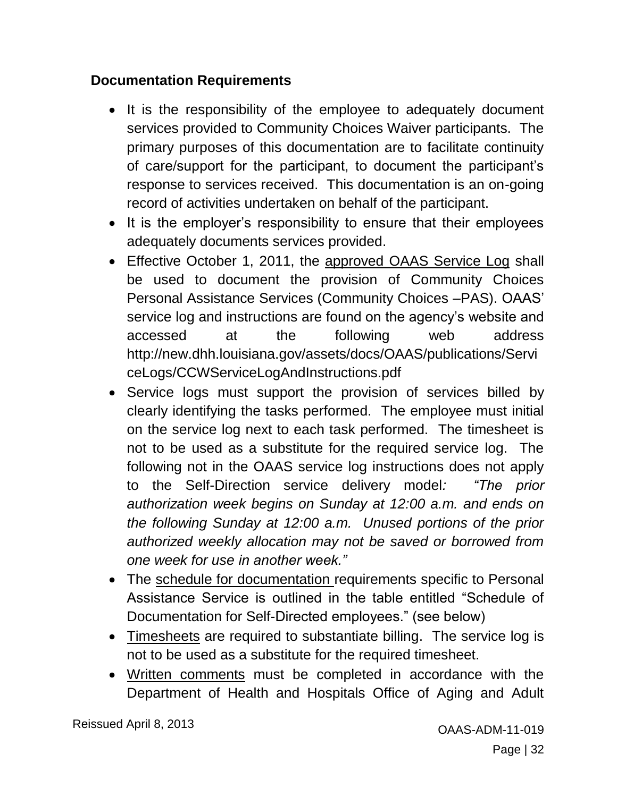#### <span id="page-31-0"></span>**Documentation Requirements**

- It is the responsibility of the employee to adequately document services provided to Community Choices Waiver participants. The primary purposes of this documentation are to facilitate continuity of care/support for the participant, to document the participant's response to services received. This documentation is an on-going record of activities undertaken on behalf of the participant.
- It is the employer's responsibility to ensure that their employees adequately documents services provided.
- Effective October 1, 2011, the approved OAAS Service Log shall be used to document the provision of Community Choices Personal Assistance Services (Community Choices –PAS). OAAS' service log and instructions are found on the agency's website and accessed at the following web address http://new.dhh.louisiana.gov/assets/docs/OAAS/publications/Servi ceLogs/CCWServiceLogAndInstructions.pdf
- Service logs must support the provision of services billed by clearly identifying the tasks performed. The employee must initial on the service log next to each task performed. The timesheet is not to be used as a substitute for the required service log. The following not in the OAAS service log instructions does not apply to the Self-Direction service delivery model*: "The prior authorization week begins on Sunday at 12:00 a.m. and ends on the following Sunday at 12:00 a.m. Unused portions of the prior authorized weekly allocation may not be saved or borrowed from one week for use in another week."*
- The schedule for documentation requirements specific to Personal Assistance Service is outlined in the table entitled "Schedule of Documentation for Self-Directed employees." (see below)
- Timesheets are required to substantiate billing. The service log is not to be used as a substitute for the required timesheet.
- Written comments must be completed in accordance with the Department of Health and Hospitals Office of Aging and Adult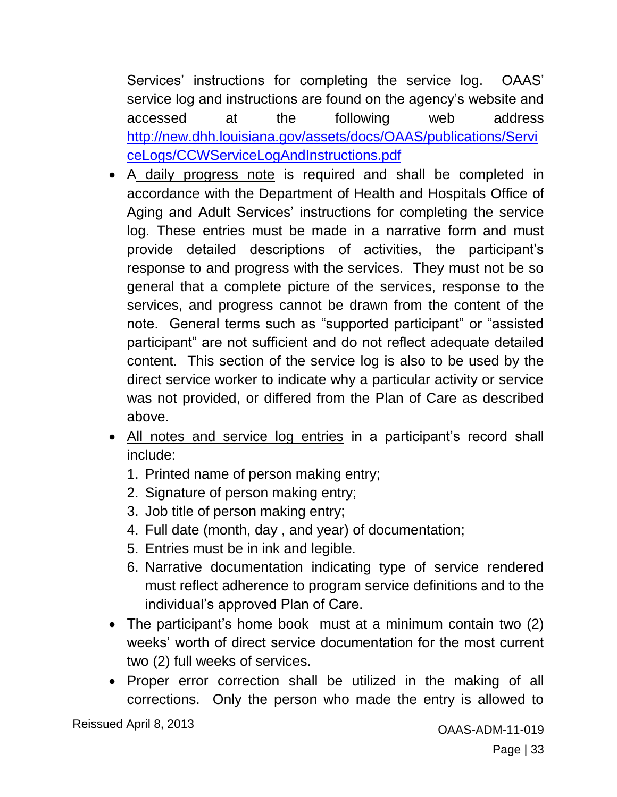Services' instructions for completing the service log. OAAS' service log and instructions are found on the agency's website and accessed at the following web address [http://new.dhh.louisiana.gov/assets/docs/OAAS/publications/Servi](http://new.dhh.louisiana.gov/assets/docs/OAAS/publications/ServiceLogs/CCWServiceLogAndInstructions.pdf) [ceLogs/CCWServiceLogAndInstructions.pdf](http://new.dhh.louisiana.gov/assets/docs/OAAS/publications/ServiceLogs/CCWServiceLogAndInstructions.pdf)

- A daily progress note is required and shall be completed in accordance with the Department of Health and Hospitals Office of Aging and Adult Services' instructions for completing the service log. These entries must be made in a narrative form and must provide detailed descriptions of activities, the participant's response to and progress with the services. They must not be so general that a complete picture of the services, response to the services, and progress cannot be drawn from the content of the note. General terms such as "supported participant" or "assisted participant" are not sufficient and do not reflect adequate detailed content. This section of the service log is also to be used by the direct service worker to indicate why a particular activity or service was not provided, or differed from the Plan of Care as described above.
- All notes and service log entries in a participant's record shall include:
	- 1. Printed name of person making entry;
	- 2. Signature of person making entry;
	- 3. Job title of person making entry;
	- 4. Full date (month, day , and year) of documentation;
	- 5. Entries must be in ink and legible.
	- 6. Narrative documentation indicating type of service rendered must reflect adherence to program service definitions and to the individual's approved Plan of Care.
- The participant's home book must at a minimum contain two (2) weeks' worth of direct service documentation for the most current two (2) full weeks of services.
- Proper error correction shall be utilized in the making of all corrections. Only the person who made the entry is allowed to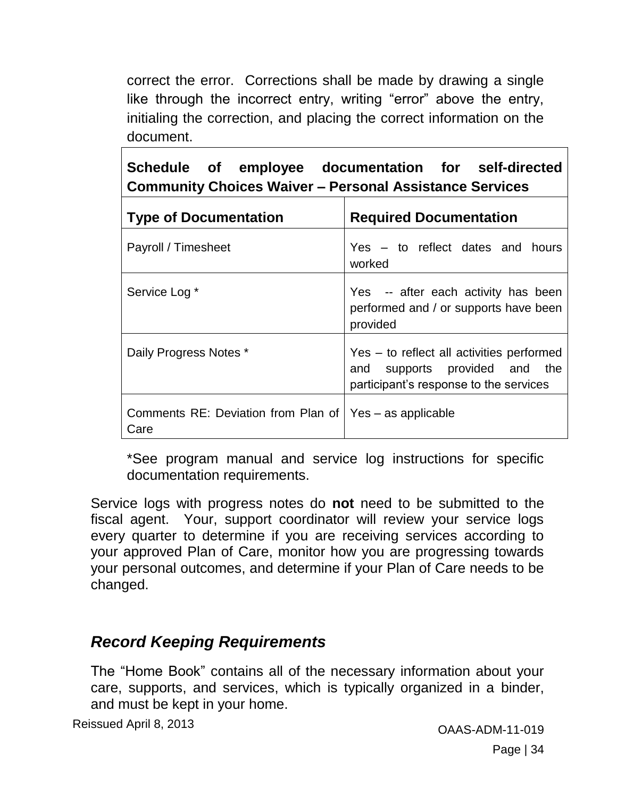correct the error. Corrections shall be made by drawing a single like through the incorrect entry, writing "error" above the entry, initialing the correction, and placing the correct information on the document.

|  | Schedule of employee documentation for self-directed           |  |
|--|----------------------------------------------------------------|--|
|  | <b>Community Choices Waiver - Personal Assistance Services</b> |  |

| <b>Type of Documentation</b>                                      | <b>Required Documentation</b>                                                                                        |
|-------------------------------------------------------------------|----------------------------------------------------------------------------------------------------------------------|
| Payroll / Timesheet                                               | Yes – to reflect dates and hours<br>worked                                                                           |
| Service Log *                                                     | Yes -- after each activity has been<br>performed and / or supports have been<br>provided                             |
| Daily Progress Notes *                                            | Yes – to reflect all activities performed<br>and supports provided and the<br>participant's response to the services |
| Comments RE: Deviation from Plan of   Yes – as applicable<br>Care |                                                                                                                      |

\*See program manual and service log instructions for specific documentation requirements.

Service logs with progress notes do **not** need to be submitted to the fiscal agent. Your, support coordinator will review your service logs every quarter to determine if you are receiving services according to your approved Plan of Care, monitor how you are progressing towards your personal outcomes, and determine if your Plan of Care needs to be changed.

## <span id="page-33-0"></span>*Record Keeping Requirements*

The "Home Book" contains all of the necessary information about your care, supports, and services, which is typically organized in a binder, and must be kept in your home.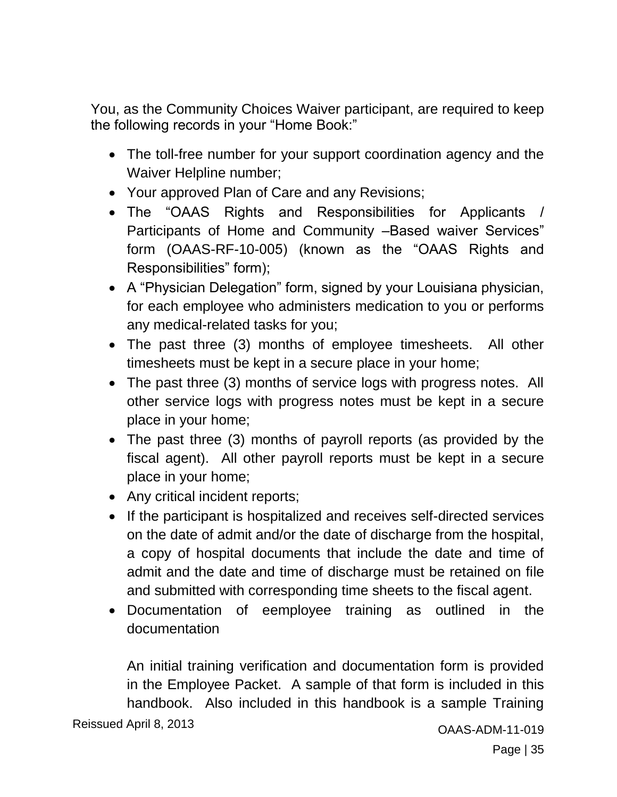You, as the Community Choices Waiver participant, are required to keep the following records in your "Home Book:"

- The toll-free number for your support coordination agency and the Waiver Helpline number;
- Your approved Plan of Care and any Revisions;
- The "OAAS Rights and Responsibilities for Applicants / Participants of Home and Community –Based waiver Services" form (OAAS-RF-10-005) (known as the "OAAS Rights and Responsibilities" form);
- A "Physician Delegation" form, signed by your Louisiana physician, for each employee who administers medication to you or performs any medical-related tasks for you;
- The past three (3) months of employee timesheets. All other timesheets must be kept in a secure place in your home;
- The past three (3) months of service logs with progress notes. All other service logs with progress notes must be kept in a secure place in your home;
- The past three (3) months of payroll reports (as provided by the fiscal agent). All other payroll reports must be kept in a secure place in your home;
- Any critical incident reports;
- If the participant is hospitalized and receives self-directed services on the date of admit and/or the date of discharge from the hospital, a copy of hospital documents that include the date and time of admit and the date and time of discharge must be retained on file and submitted with corresponding time sheets to the fiscal agent.
- Documentation of eemployee training as outlined in the documentation

An initial training verification and documentation form is provided in the Employee Packet. A sample of that form is included in this handbook. Also included in this handbook is a sample Training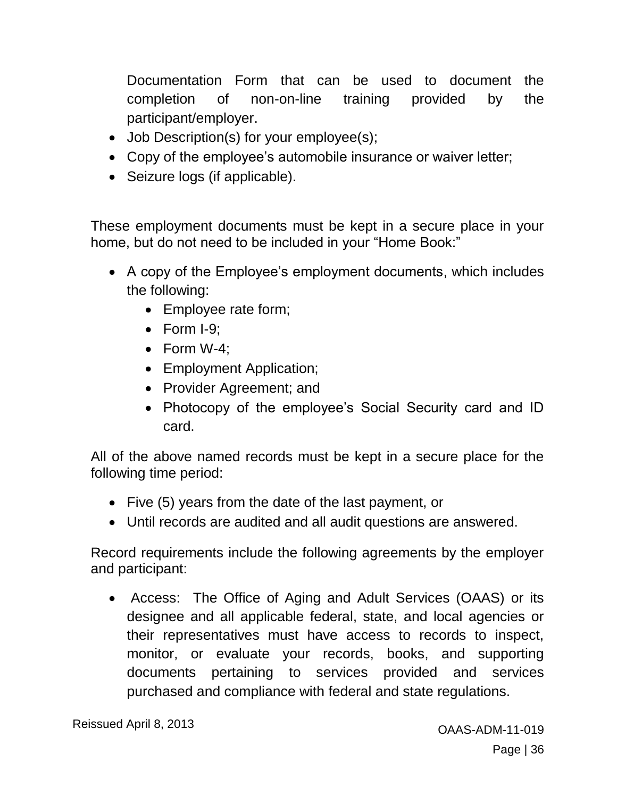Documentation Form that can be used to document the completion of non-on-line training provided by the participant/employer.

- Job Description(s) for your employee(s);
- Copy of the employee's automobile insurance or waiver letter;
- Seizure logs (if applicable).

These employment documents must be kept in a secure place in your home, but do not need to be included in your "Home Book:"

- A copy of the Employee's employment documents, which includes the following:
	- Employee rate form;
	- $\bullet$  Form I-9;
	- Form W-4;
	- Employment Application;
	- Provider Agreement; and
	- Photocopy of the employee's Social Security card and ID card.

All of the above named records must be kept in a secure place for the following time period:

- Five (5) years from the date of the last payment, or
- Until records are audited and all audit questions are answered.

Record requirements include the following agreements by the employer and participant:

 Access: The Office of Aging and Adult Services (OAAS) or its designee and all applicable federal, state, and local agencies or their representatives must have access to records to inspect, monitor, or evaluate your records, books, and supporting documents pertaining to services provided and services purchased and compliance with federal and state regulations.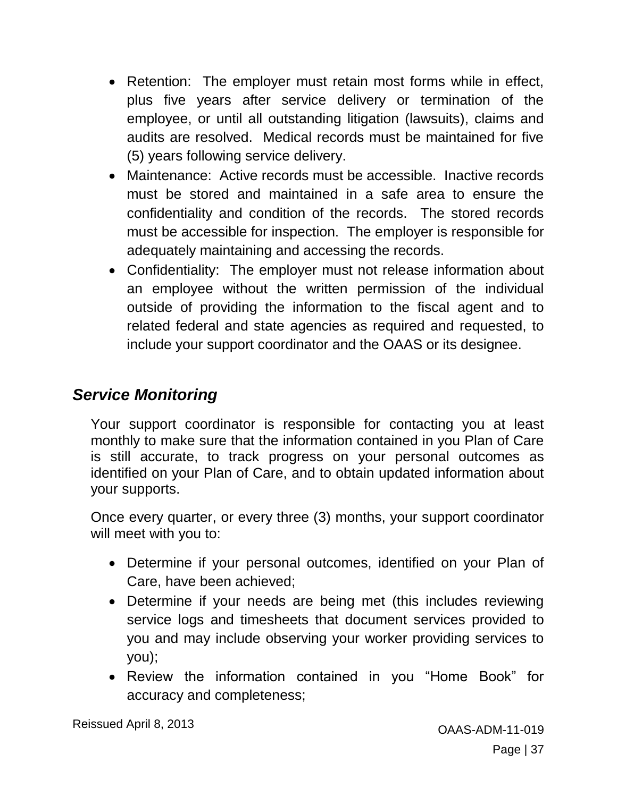- Retention: The employer must retain most forms while in effect, plus five years after service delivery or termination of the employee, or until all outstanding litigation (lawsuits), claims and audits are resolved. Medical records must be maintained for five (5) years following service delivery.
- Maintenance: Active records must be accessible. Inactive records must be stored and maintained in a safe area to ensure the confidentiality and condition of the records. The stored records must be accessible for inspection. The employer is responsible for adequately maintaining and accessing the records.
- Confidentiality: The employer must not release information about an employee without the written permission of the individual outside of providing the information to the fiscal agent and to related federal and state agencies as required and requested, to include your support coordinator and the OAAS or its designee.

## *Service Monitoring*

Your support coordinator is responsible for contacting you at least monthly to make sure that the information contained in you Plan of Care is still accurate, to track progress on your personal outcomes as identified on your Plan of Care, and to obtain updated information about your supports.

Once every quarter, or every three (3) months, your support coordinator will meet with you to:

- Determine if your personal outcomes, identified on your Plan of Care, have been achieved;
- Determine if your needs are being met (this includes reviewing service logs and timesheets that document services provided to you and may include observing your worker providing services to you);
- Review the information contained in you "Home Book" for accuracy and completeness;

Reissued April 8, 2013 **CAAS-ADM-11-019** CAAS-ADM-11-019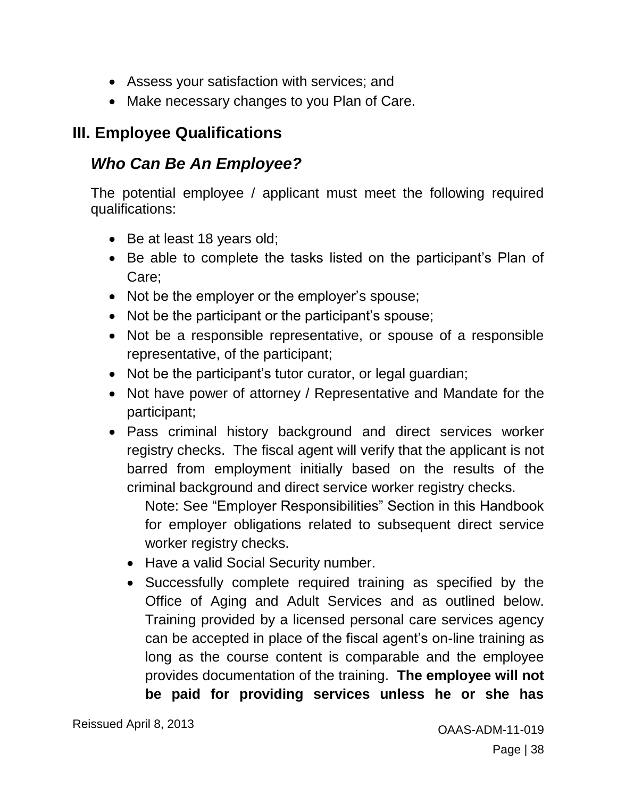- Assess your satisfaction with services; and
- Make necessary changes to you Plan of Care.

## **III. Employee Qualifications**

## *Who Can Be An Employee?*

The potential employee / applicant must meet the following required qualifications:

- Be at least 18 years old;
- Be able to complete the tasks listed on the participant's Plan of Care;
- Not be the employer or the employer's spouse;
- Not be the participant or the participant's spouse;
- Not be a responsible representative, or spouse of a responsible representative, of the participant;
- Not be the participant's tutor curator, or legal guardian;
- Not have power of attorney / Representative and Mandate for the participant;
- Pass criminal history background and direct services worker registry checks. The fiscal agent will verify that the applicant is not barred from employment initially based on the results of the criminal background and direct service worker registry checks.

Note: See "Employer Responsibilities" Section in this Handbook for employer obligations related to subsequent direct service worker registry checks.

- Have a valid Social Security number.
- Successfully complete required training as specified by the Office of Aging and Adult Services and as outlined below. Training provided by a licensed personal care services agency can be accepted in place of the fiscal agent's on-line training as long as the course content is comparable and the employee provides documentation of the training. **The employee will not be paid for providing services unless he or she has**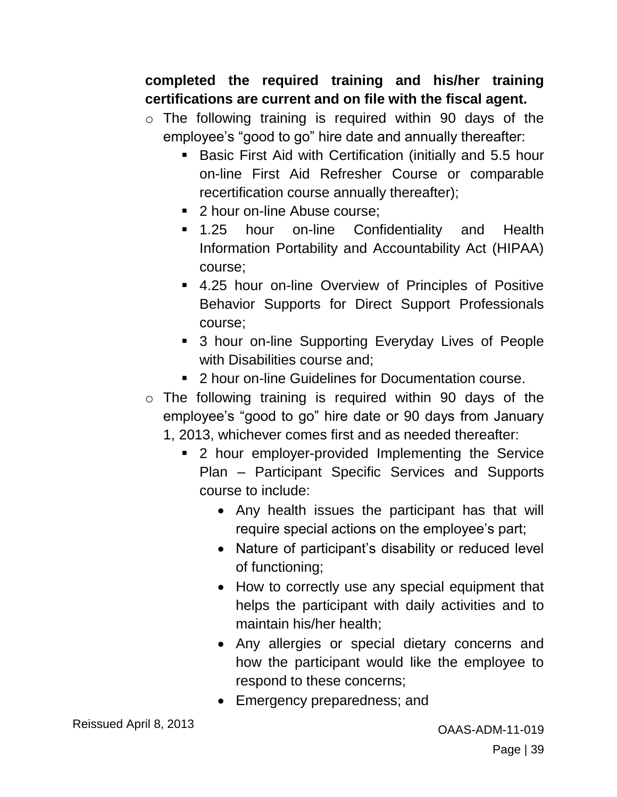#### **completed the required training and his/her training certifications are current and on file with the fiscal agent.**

- o The following training is required within 90 days of the employee's "good to go" hire date and annually thereafter:
	- **Basic First Aid with Certification (initially and 5.5 hour** on-line First Aid Refresher Course or comparable recertification course annually thereafter);
	- 2 hour on-line Abuse course:
	- 1.25 hour on-line Confidentiality and Health Information Portability and Accountability Act (HIPAA) course;
	- 4.25 hour on-line Overview of Principles of Positive Behavior Supports for Direct Support Professionals course;
	- **3 hour on-line Supporting Everyday Lives of People** with Disabilities course and;
	- 2 hour on-line Guidelines for Documentation course.
- o The following training is required within 90 days of the employee's "good to go" hire date or 90 days from January 1, 2013, whichever comes first and as needed thereafter:
	- 2 hour employer-provided Implementing the Service Plan – Participant Specific Services and Supports course to include:
		- Any health issues the participant has that will require special actions on the employee's part;
		- Nature of participant's disability or reduced level of functioning;
		- How to correctly use any special equipment that helps the participant with daily activities and to maintain his/her health;
		- Any allergies or special dietary concerns and how the participant would like the employee to respond to these concerns;
		- Emergency preparedness; and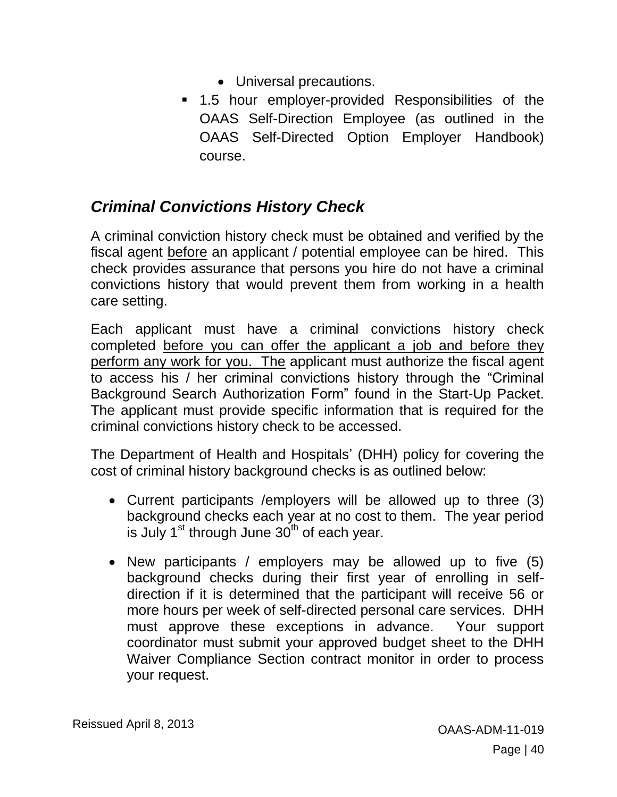- Universal precautions.
- 1.5 hour employer-provided Responsibilities of the OAAS Self-Direction Employee (as outlined in the OAAS Self-Directed Option Employer Handbook) course.

## *Criminal Convictions History Check*

A criminal conviction history check must be obtained and verified by the fiscal agent before an applicant / potential employee can be hired. This check provides assurance that persons you hire do not have a criminal convictions history that would prevent them from working in a health care setting.

Each applicant must have a criminal convictions history check completed before you can offer the applicant a job and before they perform any work for you. The applicant must authorize the fiscal agent to access his / her criminal convictions history through the "Criminal Background Search Authorization Form" found in the Start-Up Packet. The applicant must provide specific information that is required for the criminal convictions history check to be accessed.

The Department of Health and Hospitals' (DHH) policy for covering the cost of criminal history background checks is as outlined below:

- Current participants /employers will be allowed up to three (3) background checks each year at no cost to them. The year period is July  $1<sup>st</sup>$  through June  $30<sup>th</sup>$  of each year.
- New participants / employers may be allowed up to five (5) background checks during their first year of enrolling in selfdirection if it is determined that the participant will receive 56 or more hours per week of self-directed personal care services. DHH must approve these exceptions in advance. Your support coordinator must submit your approved budget sheet to the DHH Waiver Compliance Section contract monitor in order to process your request.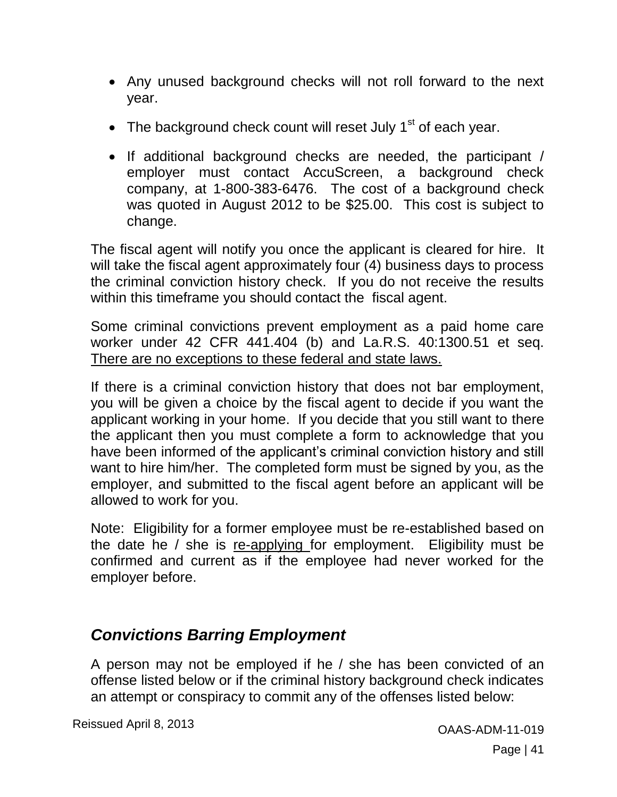- Any unused background checks will not roll forward to the next year.
- The background check count will reset July  $1<sup>st</sup>$  of each year.
- If additional background checks are needed, the participant / employer must contact AccuScreen, a background check company, at 1-800-383-6476. The cost of a background check was quoted in August 2012 to be \$25.00. This cost is subject to change.

The fiscal agent will notify you once the applicant is cleared for hire. It will take the fiscal agent approximately four (4) business days to process the criminal conviction history check. If you do not receive the results within this timeframe you should contact the fiscal agent.

Some criminal convictions prevent employment as a paid home care worker under 42 CFR 441.404 (b) and La.R.S. 40:1300.51 et seq. There are no exceptions to these federal and state laws.

If there is a criminal conviction history that does not bar employment, you will be given a choice by the fiscal agent to decide if you want the applicant working in your home. If you decide that you still want to there the applicant then you must complete a form to acknowledge that you have been informed of the applicant's criminal conviction history and still want to hire him/her. The completed form must be signed by you, as the employer, and submitted to the fiscal agent before an applicant will be allowed to work for you.

Note: Eligibility for a former employee must be re-established based on the date he / she is re-applying for employment. Eligibility must be confirmed and current as if the employee had never worked for the employer before.

## *Convictions Barring Employment*

A person may not be employed if he / she has been convicted of an offense listed below or if the criminal history background check indicates an attempt or conspiracy to commit any of the offenses listed below:

Reissued April 8, 2013 **CALL 2013** COAAS-ADM-11-019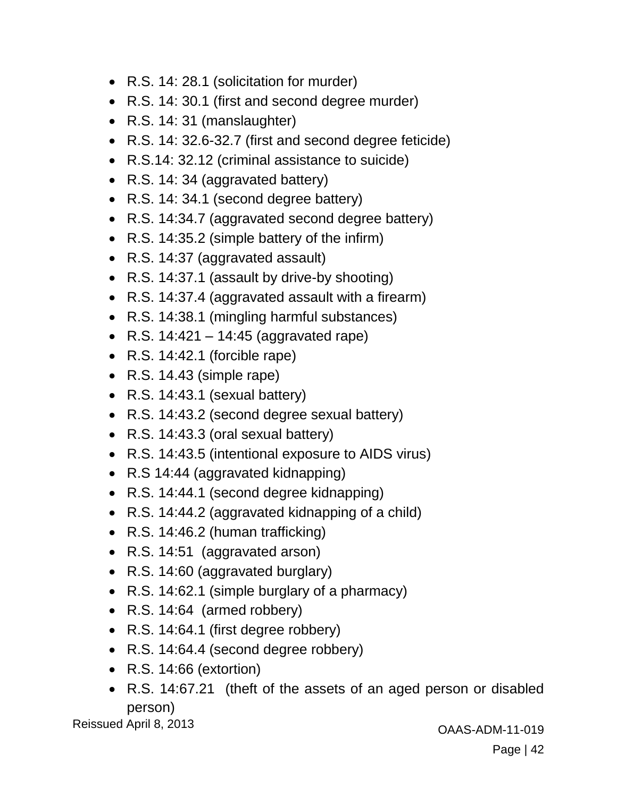- R.S. 14: 28.1 (solicitation for murder)
- R.S. 14: 30.1 (first and second degree murder)
- R.S. 14: 31 (manslaughter)
- R.S. 14: 32.6-32.7 (first and second degree feticide)
- R.S.14: 32.12 (criminal assistance to suicide)
- R.S. 14: 34 (aggravated battery)
- R.S. 14: 34.1 (second degree battery)
- R.S. 14:34.7 (aggravated second degree battery)
- R.S. 14:35.2 (simple battery of the infirm)
- R.S. 14:37 (aggravated assault)
- R.S. 14:37.1 (assault by drive-by shooting)
- R.S. 14:37.4 (aggravated assault with a firearm)
- R.S. 14:38.1 (mingling harmful substances)
- R.S.  $14:421 14:45$  (aggravated rape)
- R.S. 14:42.1 (forcible rape)
- $\bullet$  R.S. 14.43 (simple rape)
- R.S. 14:43.1 (sexual battery)
- R.S. 14:43.2 (second degree sexual battery)
- R.S. 14:43.3 (oral sexual battery)
- R.S. 14:43.5 (intentional exposure to AIDS virus)
- R.S 14:44 (aggravated kidnapping)
- R.S. 14:44.1 (second degree kidnapping)
- R.S. 14:44.2 (aggravated kidnapping of a child)
- R.S. 14:46.2 (human trafficking)
- R.S. 14:51 (aggravated arson)
- R.S. 14:60 (aggravated burglary)
- R.S. 14:62.1 (simple burglary of a pharmacy)
- R.S. 14:64 (armed robbery)
- R.S. 14:64.1 (first degree robbery)
- R.S. 14:64.4 (second degree robbery)
- R.S. 14:66 (extortion)
- R.S. 14:67.21 (theft of the assets of an aged person or disabled person)

Reissued April 8, 2013 **CALL 2013** COAAS-ADM-11-019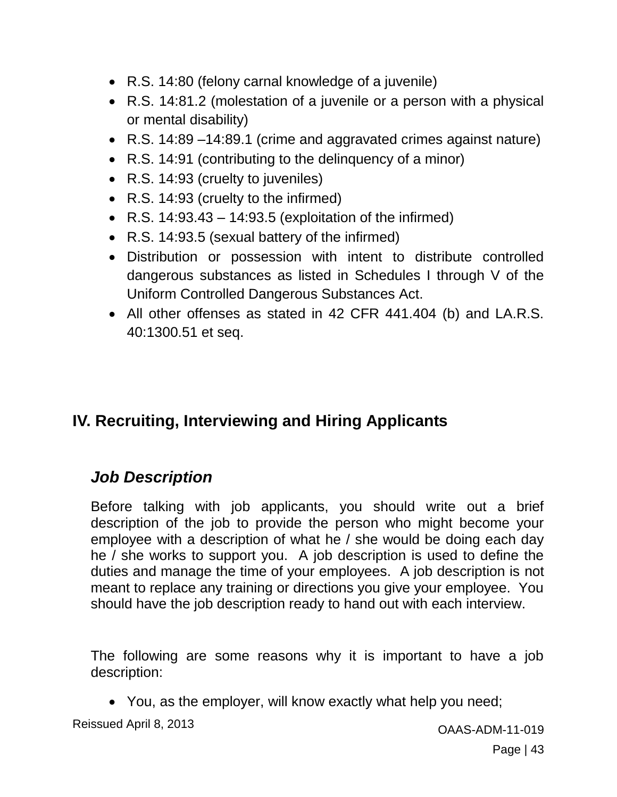- R.S. 14:80 (felony carnal knowledge of a juvenile)
- R.S. 14:81.2 (molestation of a juvenile or a person with a physical or mental disability)
- R.S. 14:89 –14:89.1 (crime and aggravated crimes against nature)
- R.S. 14:91 (contributing to the delinguency of a minor)
- R.S. 14:93 (cruelty to juveniles)
- R.S. 14:93 (cruelty to the infirmed)
- R.S.  $14:93.43 14:93.5$  (exploitation of the infirmed)
- R.S. 14:93.5 (sexual battery of the infirmed)
- Distribution or possession with intent to distribute controlled dangerous substances as listed in Schedules I through V of the Uniform Controlled Dangerous Substances Act.
- All other offenses as stated in 42 CFR 441.404 (b) and LA.R.S. 40:1300.51 et seq.

# **IV. Recruiting, Interviewing and Hiring Applicants**

## *Job Description*

Before talking with job applicants, you should write out a brief description of the job to provide the person who might become your employee with a description of what he / she would be doing each day he / she works to support you. A job description is used to define the duties and manage the time of your employees. A job description is not meant to replace any training or directions you give your employee. You should have the job description ready to hand out with each interview.

The following are some reasons why it is important to have a job description:

You, as the employer, will know exactly what help you need;

Reissued April 8, 2013 **CONSERVING ACCESS** CONSIDER A CONSERVERSE CONSIDER A CONSERVERSE CONSERVERSE CONSERVERSE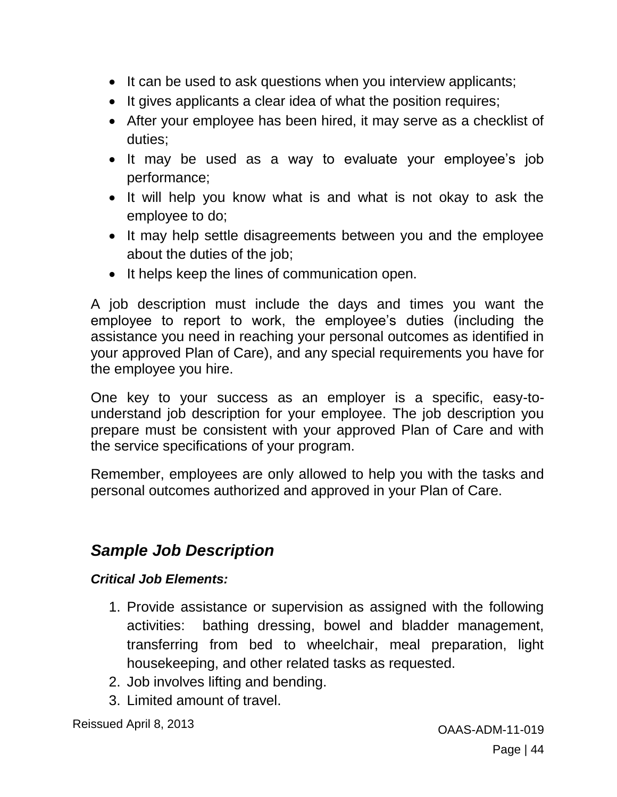- It can be used to ask questions when you interview applicants;
- It gives applicants a clear idea of what the position requires;
- After your employee has been hired, it may serve as a checklist of duties;
- It may be used as a way to evaluate your employee's job performance;
- It will help you know what is and what is not okay to ask the employee to do;
- It may help settle disagreements between you and the employee about the duties of the job;
- It helps keep the lines of communication open.

A job description must include the days and times you want the employee to report to work, the employee's duties (including the assistance you need in reaching your personal outcomes as identified in your approved Plan of Care), and any special requirements you have for the employee you hire.

One key to your success as an employer is a specific, easy-tounderstand job description for your employee. The job description you prepare must be consistent with your approved Plan of Care and with the service specifications of your program.

Remember, employees are only allowed to help you with the tasks and personal outcomes authorized and approved in your Plan of Care.

# *Sample Job Description*

#### *Critical Job Elements:*

- 1. Provide assistance or supervision as assigned with the following activities: bathing dressing, bowel and bladder management, transferring from bed to wheelchair, meal preparation, light housekeeping, and other related tasks as requested.
- 2. Job involves lifting and bending.
- 3. Limited amount of travel.

Reissued April 8, 2013 **CAAS-ADM-11-019** CAAS-ADM-11-019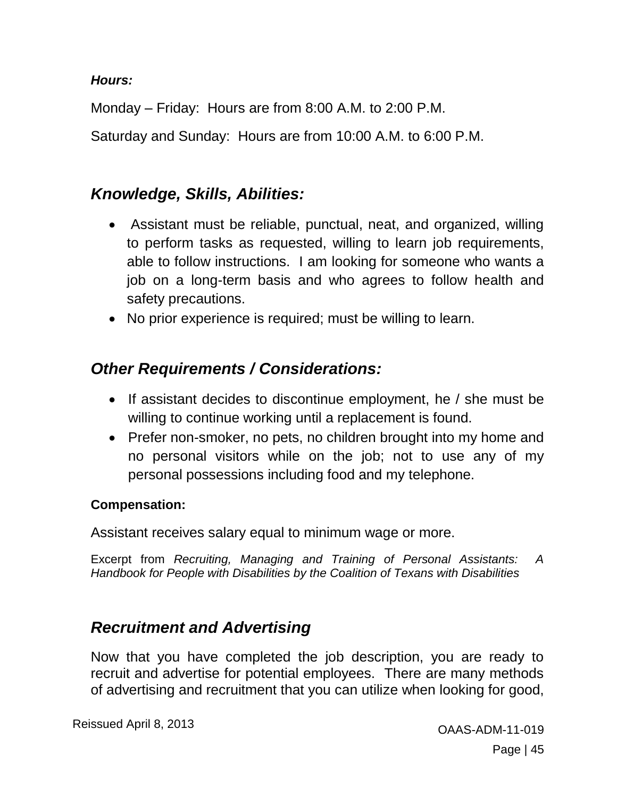#### *Hours:*

Monday – Friday: Hours are from 8:00 A.M. to 2:00 P.M.

Saturday and Sunday: Hours are from 10:00 A.M. to 6:00 P.M.

#### *Knowledge, Skills, Abilities:*

- Assistant must be reliable, punctual, neat, and organized, willing to perform tasks as requested, willing to learn job requirements, able to follow instructions. I am looking for someone who wants a job on a long-term basis and who agrees to follow health and safety precautions.
- No prior experience is required; must be willing to learn.

## *Other Requirements / Considerations:*

- If assistant decides to discontinue employment, he / she must be willing to continue working until a replacement is found.
- Prefer non-smoker, no pets, no children brought into my home and no personal visitors while on the job; not to use any of my personal possessions including food and my telephone.

#### **Compensation:**

Assistant receives salary equal to minimum wage or more.

Excerpt from *Recruiting, Managing and Training of Personal Assistants: A Handbook for People with Disabilities by the Coalition of Texans with Disabilities*

#### *Recruitment and Advertising*

Now that you have completed the job description, you are ready to recruit and advertise for potential employees. There are many methods of advertising and recruitment that you can utilize when looking for good,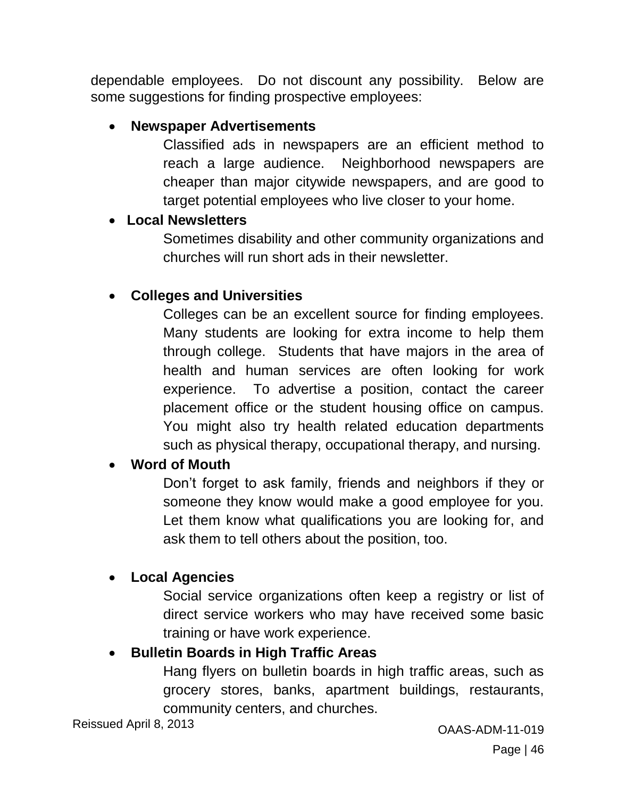dependable employees. Do not discount any possibility. Below are some suggestions for finding prospective employees:

#### **Newspaper Advertisements**

Classified ads in newspapers are an efficient method to reach a large audience. Neighborhood newspapers are cheaper than major citywide newspapers, and are good to target potential employees who live closer to your home.

#### **Local Newsletters**

Sometimes disability and other community organizations and churches will run short ads in their newsletter.

#### **Colleges and Universities**

Colleges can be an excellent source for finding employees. Many students are looking for extra income to help them through college. Students that have majors in the area of health and human services are often looking for work experience. To advertise a position, contact the career placement office or the student housing office on campus. You might also try health related education departments such as physical therapy, occupational therapy, and nursing.

#### **Word of Mouth**

Don't forget to ask family, friends and neighbors if they or someone they know would make a good employee for you. Let them know what qualifications you are looking for, and ask them to tell others about the position, too.

#### **Local Agencies**

Social service organizations often keep a registry or list of direct service workers who may have received some basic training or have work experience.

#### **Bulletin Boards in High Traffic Areas**

Hang flyers on bulletin boards in high traffic areas, such as grocery stores, banks, apartment buildings, restaurants, community centers, and churches.

Reissued April 8, 2013 **CAAS-ADM-11-019** CAAS-ADM-11-019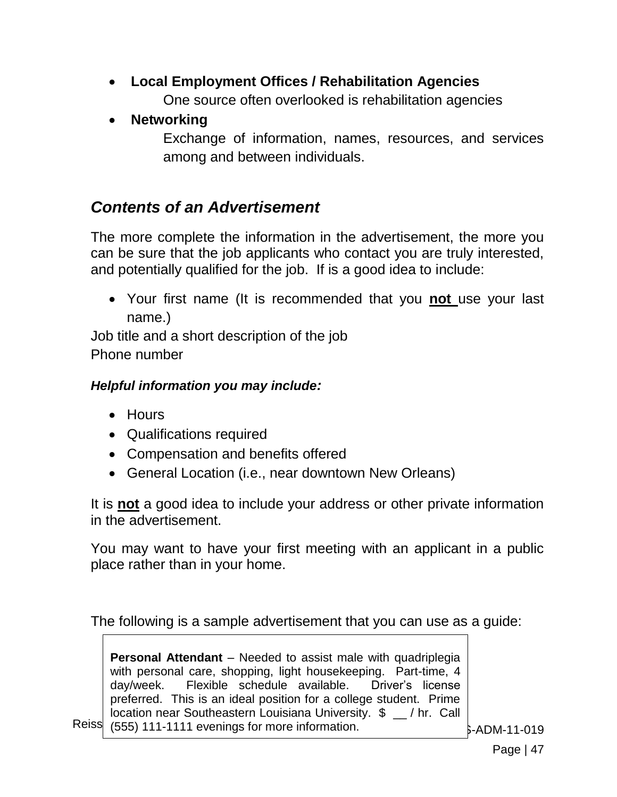- **Local Employment Offices / Rehabilitation Agencies** One source often overlooked is rehabilitation agencies
- **Networking**

Exchange of information, names, resources, and services among and between individuals.

## *Contents of an Advertisement*

The more complete the information in the advertisement, the more you can be sure that the job applicants who contact you are truly interested, and potentially qualified for the job. If is a good idea to include:

 Your first name (It is recommended that you **not** use your last name.)

Job title and a short description of the job Phone number

#### *Helpful information you may include:*

- Hours
- Qualifications required
- Compensation and benefits offered
- General Location (i.e., near downtown New Orleans)

It is **not** a good idea to include your address or other private information in the advertisement.

You may want to have your first meeting with an applicant in a public place rather than in your home.

The following is a sample advertisement that you can use as a guide:

Reiss (555) 111-1111 evenings for more information.  $\overline{\hspace{1cm}}$   $\overline{\hspace{1cm}}$   $\overline{\hspace{1cm}}$   $\overline{\hspace{1cm}}$   $\overline{\hspace{1cm}}$   $\overline{\hspace{1cm}}$   $\overline{\hspace{1cm}}$   $\overline{\hspace{1cm}}$   $\overline{\hspace{1cm}}$   $\overline{\hspace{1cm}}$   $\overline{\hspace{1cm}}$   $\overline{\hspace{1cm}}$   $\overline{\hspace{1cm}}$  **Personal Attendant** – Needed to assist male with quadriplegia with personal care, shopping, light housekeeping. Part-time, 4 day/week. Flexible schedule available. Driver's license preferred. This is an ideal position for a college student. Prime location near Southeastern Louisiana University. \$ \_\_ / hr. Call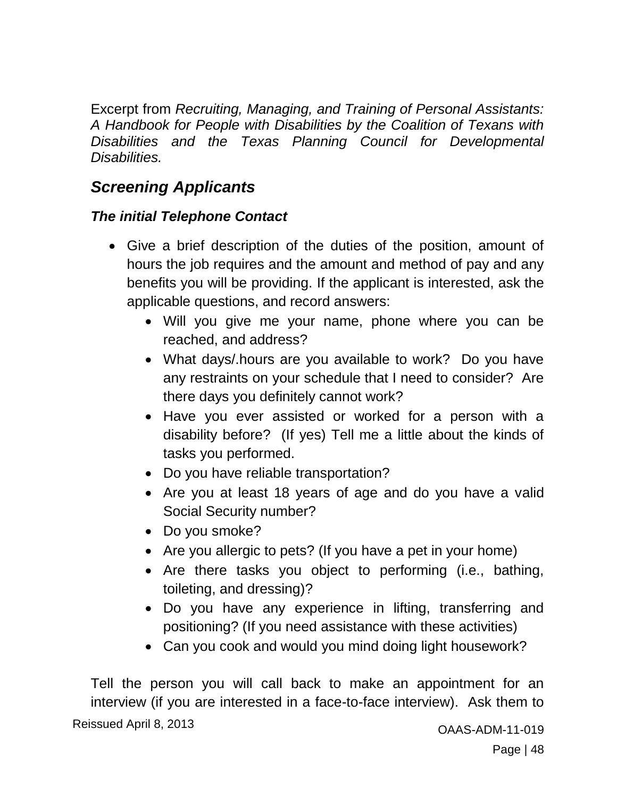Excerpt from *Recruiting, Managing, and Training of Personal Assistants: A Handbook for People with Disabilities by the Coalition of Texans with Disabilities and the Texas Planning Council for Developmental Disabilities.*

# *Screening Applicants*

#### *The initial Telephone Contact*

- Give a brief description of the duties of the position, amount of hours the job requires and the amount and method of pay and any benefits you will be providing. If the applicant is interested, ask the applicable questions, and record answers:
	- Will you give me your name, phone where you can be reached, and address?
	- What days/.hours are you available to work? Do you have any restraints on your schedule that I need to consider? Are there days you definitely cannot work?
	- Have you ever assisted or worked for a person with a disability before? (If yes) Tell me a little about the kinds of tasks you performed.
	- Do you have reliable transportation?
	- Are you at least 18 years of age and do you have a valid Social Security number?
	- Do you smoke?
	- Are you allergic to pets? (If you have a pet in your home)
	- Are there tasks you object to performing (i.e., bathing, toileting, and dressing)?
	- Do you have any experience in lifting, transferring and positioning? (If you need assistance with these activities)
	- Can you cook and would you mind doing light housework?

Reissued April 8, 2013 **CALL 1998** COAAS-ADM-11-019 Tell the person you will call back to make an appointment for an interview (if you are interested in a face-to-face interview). Ask them to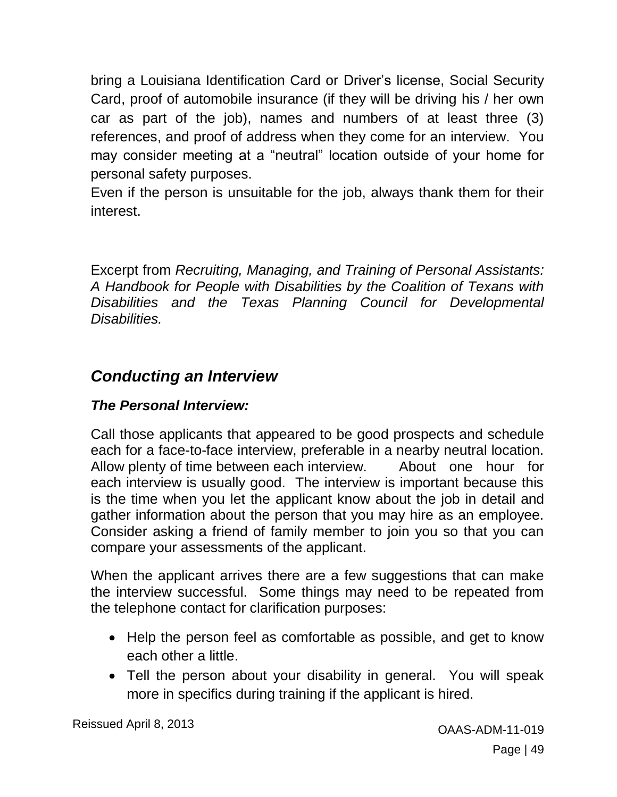bring a Louisiana Identification Card or Driver's license, Social Security Card, proof of automobile insurance (if they will be driving his / her own car as part of the job), names and numbers of at least three (3) references, and proof of address when they come for an interview. You may consider meeting at a "neutral" location outside of your home for personal safety purposes.

Even if the person is unsuitable for the job, always thank them for their interest.

Excerpt from *Recruiting, Managing, and Training of Personal Assistants: A Handbook for People with Disabilities by the Coalition of Texans with Disabilities and the Texas Planning Council for Developmental Disabilities.*

## *Conducting an Interview*

#### *The Personal Interview:*

Call those applicants that appeared to be good prospects and schedule each for a face-to-face interview, preferable in a nearby neutral location. Allow plenty of time between each interview. About one hour for each interview is usually good. The interview is important because this is the time when you let the applicant know about the job in detail and gather information about the person that you may hire as an employee. Consider asking a friend of family member to join you so that you can compare your assessments of the applicant.

When the applicant arrives there are a few suggestions that can make the interview successful. Some things may need to be repeated from the telephone contact for clarification purposes:

- Help the person feel as comfortable as possible, and get to know each other a little.
- Tell the person about your disability in general. You will speak more in specifics during training if the applicant is hired.

Reissued April 8, 2013 **CAAS-ADM-11-019** CAAS-ADM-11-019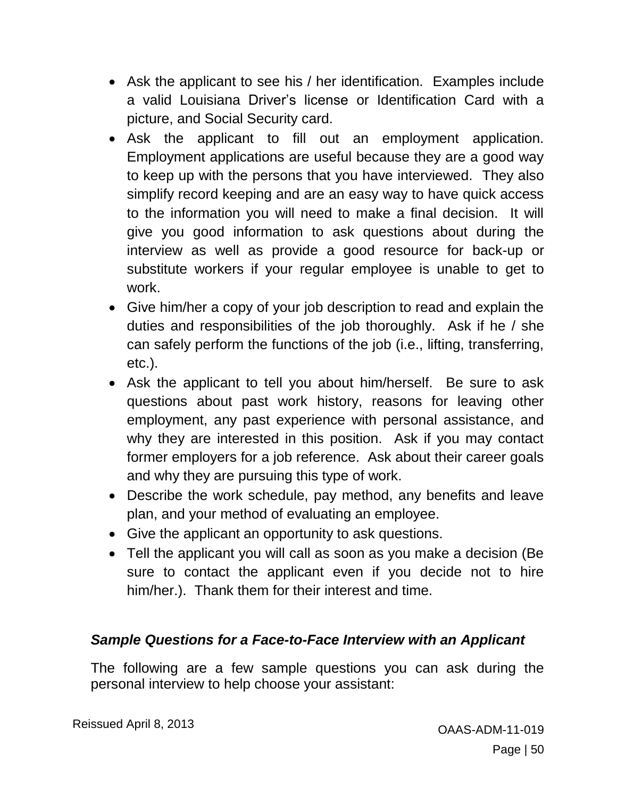- Ask the applicant to see his / her identification. Examples include a valid Louisiana Driver's license or Identification Card with a picture, and Social Security card.
- Ask the applicant to fill out an employment application. Employment applications are useful because they are a good way to keep up with the persons that you have interviewed. They also simplify record keeping and are an easy way to have quick access to the information you will need to make a final decision. It will give you good information to ask questions about during the interview as well as provide a good resource for back-up or substitute workers if your regular employee is unable to get to work.
- Give him/her a copy of your job description to read and explain the duties and responsibilities of the job thoroughly. Ask if he / she can safely perform the functions of the job (i.e., lifting, transferring, etc.).
- Ask the applicant to tell you about him/herself. Be sure to ask questions about past work history, reasons for leaving other employment, any past experience with personal assistance, and why they are interested in this position. Ask if you may contact former employers for a job reference. Ask about their career goals and why they are pursuing this type of work.
- Describe the work schedule, pay method, any benefits and leave plan, and your method of evaluating an employee.
- Give the applicant an opportunity to ask questions.
- Tell the applicant you will call as soon as you make a decision (Be sure to contact the applicant even if you decide not to hire him/her.). Thank them for their interest and time.

#### *Sample Questions for a Face-to-Face Interview with an Applicant*

The following are a few sample questions you can ask during the personal interview to help choose your assistant: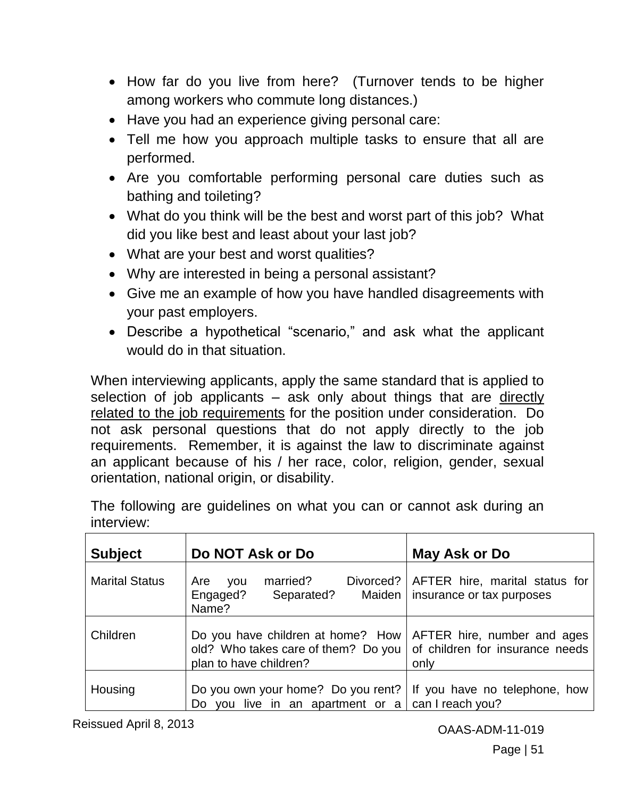- How far do you live from here? (Turnover tends to be higher among workers who commute long distances.)
- Have you had an experience giving personal care:
- Tell me how you approach multiple tasks to ensure that all are performed.
- Are you comfortable performing personal care duties such as bathing and toileting?
- What do you think will be the best and worst part of this job? What did you like best and least about your last job?
- What are your best and worst qualities?
- Why are interested in being a personal assistant?
- Give me an example of how you have handled disagreements with your past employers.
- Describe a hypothetical "scenario," and ask what the applicant would do in that situation.

When interviewing applicants, apply the same standard that is applied to selection of job applicants – ask only about things that are directly related to the job requirements for the position under consideration. Do not ask personal questions that do not apply directly to the job requirements. Remember, it is against the law to discriminate against an applicant because of his / her race, color, religion, gender, sexual orientation, national origin, or disability.

| <b>Subject</b>        | Do NOT Ask or Do                                                                                   | May Ask or Do                                                          |
|-----------------------|----------------------------------------------------------------------------------------------------|------------------------------------------------------------------------|
| <b>Marital Status</b> | married?<br>Divorced?<br>Are<br>you<br>Separated?<br>Engaged?<br>Maiden  <br>Name?                 | AFTER hire, marital status for<br>insurance or tax purposes            |
| Children              | Do you have children at home? How<br>old? Who takes care of them? Do you<br>plan to have children? | AFTER hire, number and ages<br>of children for insurance needs<br>only |
| Housing               | Do you own your home? Do you rent?<br>Do you live in an apartment or $a$                           | If you have no telephone, how<br>can I reach you?                      |

The following are guidelines on what you can or cannot ask during an interview:

Reissued April 8, 2013 **CAAS-ADM-11-019** CAAS-ADM-11-019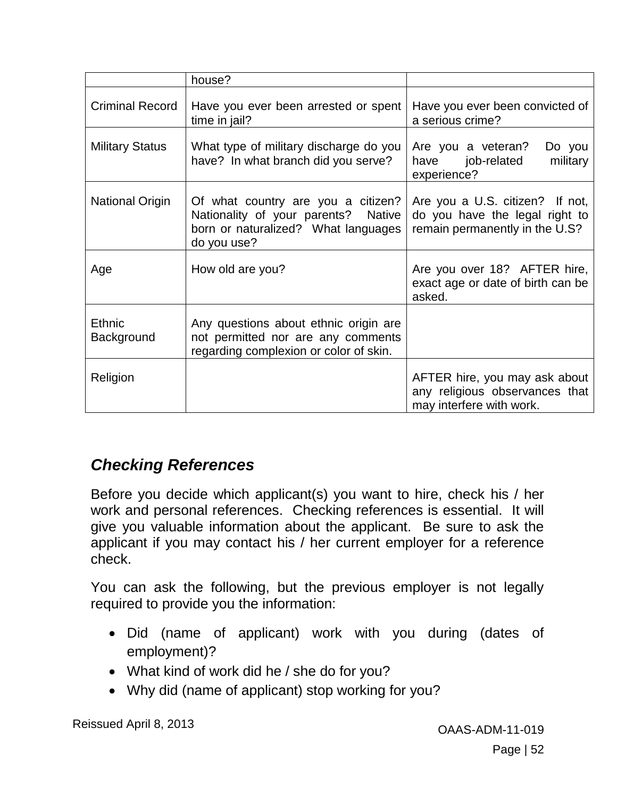|                             | house?                                                                                                                          |                                                                                                     |
|-----------------------------|---------------------------------------------------------------------------------------------------------------------------------|-----------------------------------------------------------------------------------------------------|
| <b>Criminal Record</b>      | Have you ever been arrested or spent<br>time in jail?                                                                           | Have you ever been convicted of<br>a serious crime?                                                 |
| <b>Military Status</b>      | What type of military discharge do you<br>have? In what branch did you serve?                                                   | Are you a veteran?<br>Do you<br>military<br>have job-related<br>experience?                         |
| <b>National Origin</b>      | Of what country are you a citizen?<br>Nationality of your parents? Native<br>born or naturalized? What languages<br>do you use? | Are you a U.S. citizen? If not,<br>do you have the legal right to<br>remain permanently in the U.S? |
| Age                         | How old are you?                                                                                                                | Are you over 18? AFTER hire,<br>exact age or date of birth can be<br>asked.                         |
| <b>Ethnic</b><br>Background | Any questions about ethnic origin are<br>not permitted nor are any comments<br>regarding complexion or color of skin.           |                                                                                                     |
| Religion                    |                                                                                                                                 | AFTER hire, you may ask about<br>any religious observances that<br>may interfere with work.         |

## *Checking References*

Before you decide which applicant(s) you want to hire, check his / her work and personal references. Checking references is essential. It will give you valuable information about the applicant. Be sure to ask the applicant if you may contact his / her current employer for a reference check.

You can ask the following, but the previous employer is not legally required to provide you the information:

- Did (name of applicant) work with you during (dates of employment)?
- What kind of work did he / she do for you?
- Why did (name of applicant) stop working for you?

Reissued April 8, 2013 **CALCE 10 13 And COAAS-ADM-11-019** OAAS-ADM-11-019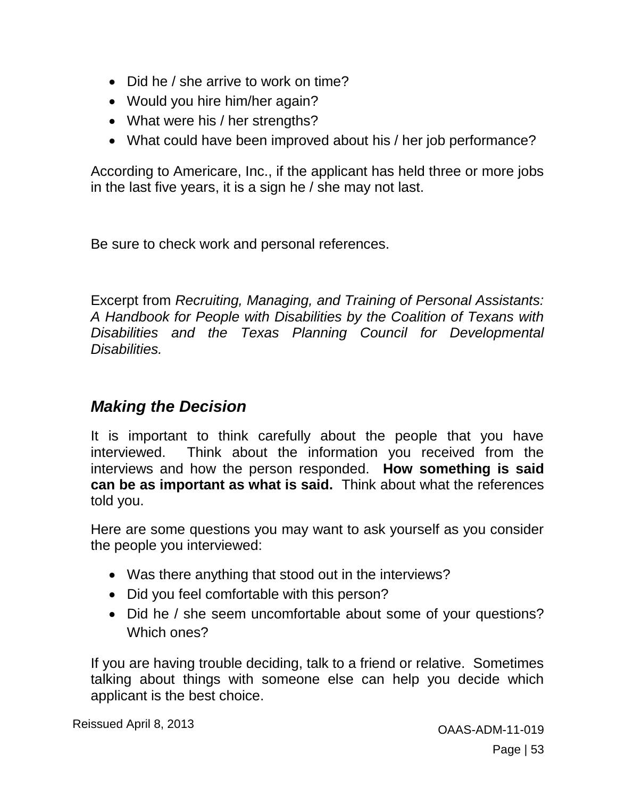- Did he / she arrive to work on time?
- Would you hire him/her again?
- What were his / her strengths?
- What could have been improved about his / her job performance?

According to Americare, Inc., if the applicant has held three or more jobs in the last five years, it is a sign he / she may not last.

Be sure to check work and personal references.

Excerpt from *Recruiting, Managing, and Training of Personal Assistants: A Handbook for People with Disabilities by the Coalition of Texans with Disabilities and the Texas Planning Council for Developmental Disabilities.*

## *Making the Decision*

It is important to think carefully about the people that you have interviewed. Think about the information you received from the interviews and how the person responded. **How something is said can be as important as what is said.** Think about what the references told you.

Here are some questions you may want to ask yourself as you consider the people you interviewed:

- Was there anything that stood out in the interviews?
- Did you feel comfortable with this person?
- Did he / she seem uncomfortable about some of your questions? Which ones?

If you are having trouble deciding, talk to a friend or relative. Sometimes talking about things with someone else can help you decide which applicant is the best choice.

Reissued April 8, 2013 **CAAS-ADM-11-019** CAAS-ADM-11-019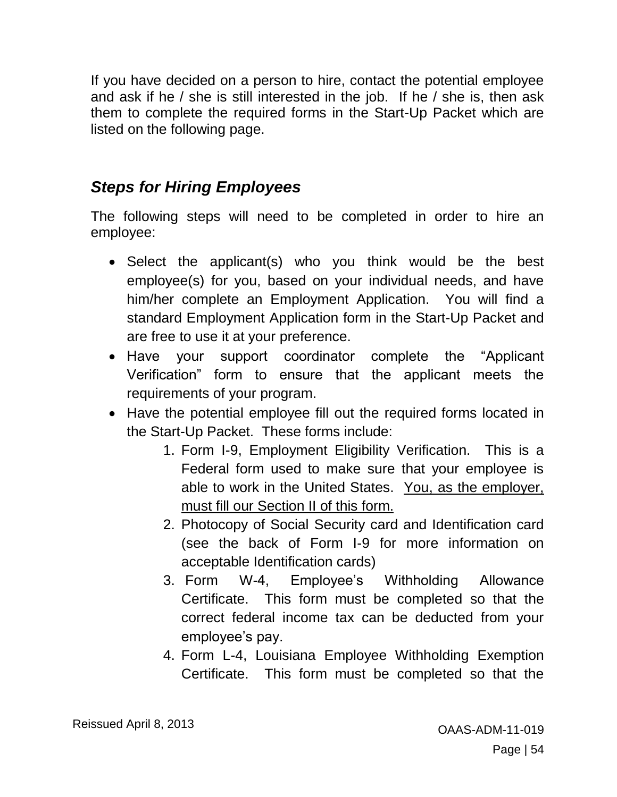If you have decided on a person to hire, contact the potential employee and ask if he / she is still interested in the job. If he / she is, then ask them to complete the required forms in the Start-Up Packet which are listed on the following page.

## *Steps for Hiring Employees*

The following steps will need to be completed in order to hire an employee:

- Select the applicant(s) who you think would be the best employee(s) for you, based on your individual needs, and have him/her complete an Employment Application. You will find a standard Employment Application form in the Start-Up Packet and are free to use it at your preference.
- Have your support coordinator complete the "Applicant Verification" form to ensure that the applicant meets the requirements of your program.
- Have the potential employee fill out the required forms located in the Start-Up Packet. These forms include:
	- 1. Form I-9, Employment Eligibility Verification. This is a Federal form used to make sure that your employee is able to work in the United States. You, as the employer, must fill our Section II of this form.
	- 2. Photocopy of Social Security card and Identification card (see the back of Form I-9 for more information on acceptable Identification cards)
	- 3. Form W-4, Employee's Withholding Allowance Certificate. This form must be completed so that the correct federal income tax can be deducted from your employee's pay.
	- 4. Form L-4, Louisiana Employee Withholding Exemption Certificate. This form must be completed so that the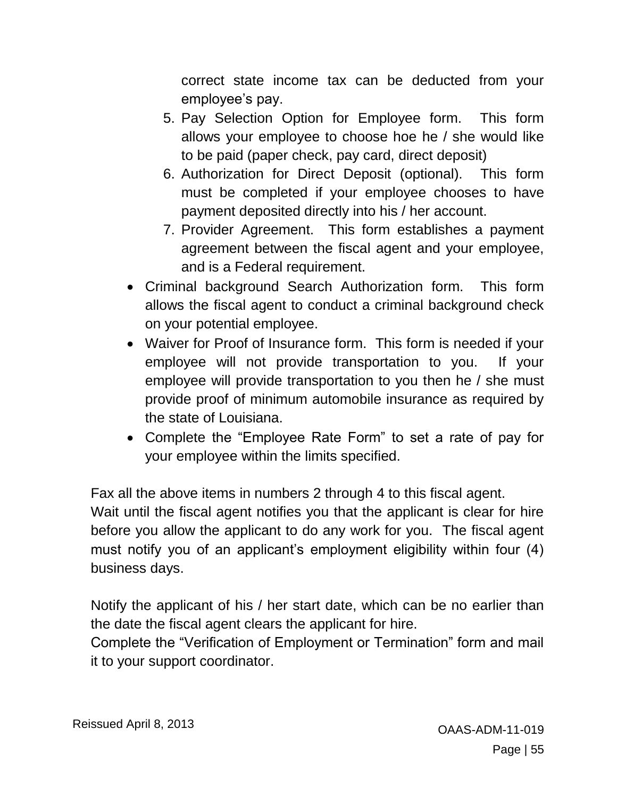correct state income tax can be deducted from your employee's pay.

- 5. Pay Selection Option for Employee form. This form allows your employee to choose hoe he / she would like to be paid (paper check, pay card, direct deposit)
- 6. Authorization for Direct Deposit (optional). This form must be completed if your employee chooses to have payment deposited directly into his / her account.
- 7. Provider Agreement. This form establishes a payment agreement between the fiscal agent and your employee, and is a Federal requirement.
- Criminal background Search Authorization form. This form allows the fiscal agent to conduct a criminal background check on your potential employee.
- Waiver for Proof of Insurance form. This form is needed if your employee will not provide transportation to you. If your employee will provide transportation to you then he / she must provide proof of minimum automobile insurance as required by the state of Louisiana.
- Complete the "Employee Rate Form" to set a rate of pay for your employee within the limits specified.

Fax all the above items in numbers 2 through 4 to this fiscal agent.

Wait until the fiscal agent notifies you that the applicant is clear for hire before you allow the applicant to do any work for you. The fiscal agent must notify you of an applicant's employment eligibility within four (4) business days.

Notify the applicant of his / her start date, which can be no earlier than the date the fiscal agent clears the applicant for hire.

Complete the "Verification of Employment or Termination" form and mail it to your support coordinator.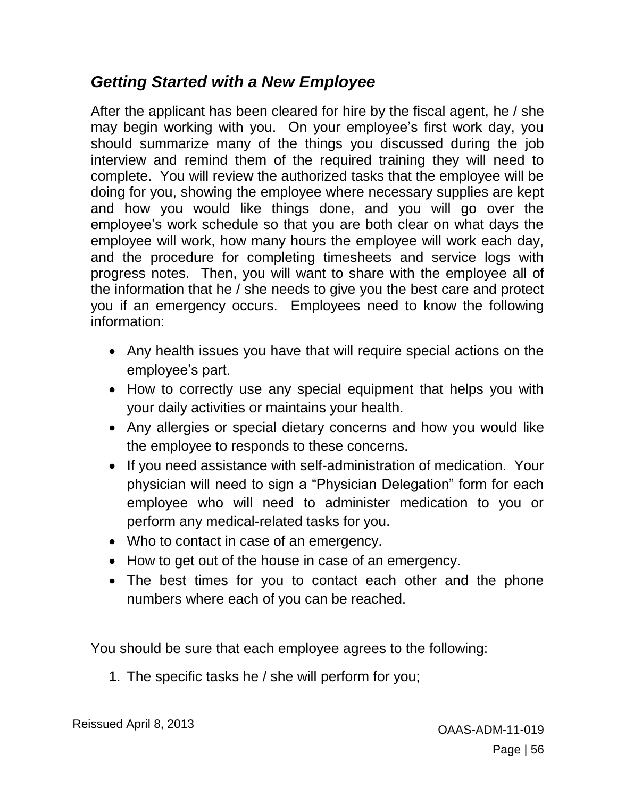## *Getting Started with a New Employee*

After the applicant has been cleared for hire by the fiscal agent, he / she may begin working with you. On your employee's first work day, you should summarize many of the things you discussed during the job interview and remind them of the required training they will need to complete. You will review the authorized tasks that the employee will be doing for you, showing the employee where necessary supplies are kept and how you would like things done, and you will go over the employee's work schedule so that you are both clear on what days the employee will work, how many hours the employee will work each day, and the procedure for completing timesheets and service logs with progress notes. Then, you will want to share with the employee all of the information that he / she needs to give you the best care and protect you if an emergency occurs. Employees need to know the following information:

- Any health issues you have that will require special actions on the employee's part.
- How to correctly use any special equipment that helps you with your daily activities or maintains your health.
- Any allergies or special dietary concerns and how you would like the employee to responds to these concerns.
- If you need assistance with self-administration of medication. Your physician will need to sign a "Physician Delegation" form for each employee who will need to administer medication to you or perform any medical-related tasks for you.
- Who to contact in case of an emergency.
- How to get out of the house in case of an emergency.
- The best times for you to contact each other and the phone numbers where each of you can be reached.

You should be sure that each employee agrees to the following:

1. The specific tasks he / she will perform for you;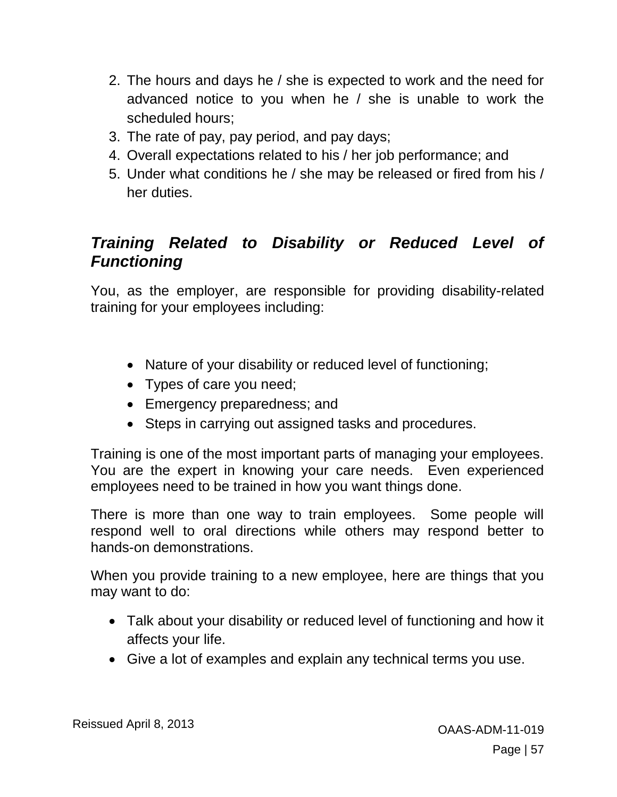- 2. The hours and days he / she is expected to work and the need for advanced notice to you when he / she is unable to work the scheduled hours;
- 3. The rate of pay, pay period, and pay days;
- 4. Overall expectations related to his / her job performance; and
- 5. Under what conditions he / she may be released or fired from his / her duties.

## *Training Related to Disability or Reduced Level of Functioning*

You, as the employer, are responsible for providing disability-related training for your employees including:

- Nature of your disability or reduced level of functioning;
- Types of care you need;
- Emergency preparedness; and
- Steps in carrying out assigned tasks and procedures.

Training is one of the most important parts of managing your employees. You are the expert in knowing your care needs. Even experienced employees need to be trained in how you want things done.

There is more than one way to train employees. Some people will respond well to oral directions while others may respond better to hands-on demonstrations.

When you provide training to a new employee, here are things that you may want to do:

- Talk about your disability or reduced level of functioning and how it affects your life.
- Give a lot of examples and explain any technical terms you use.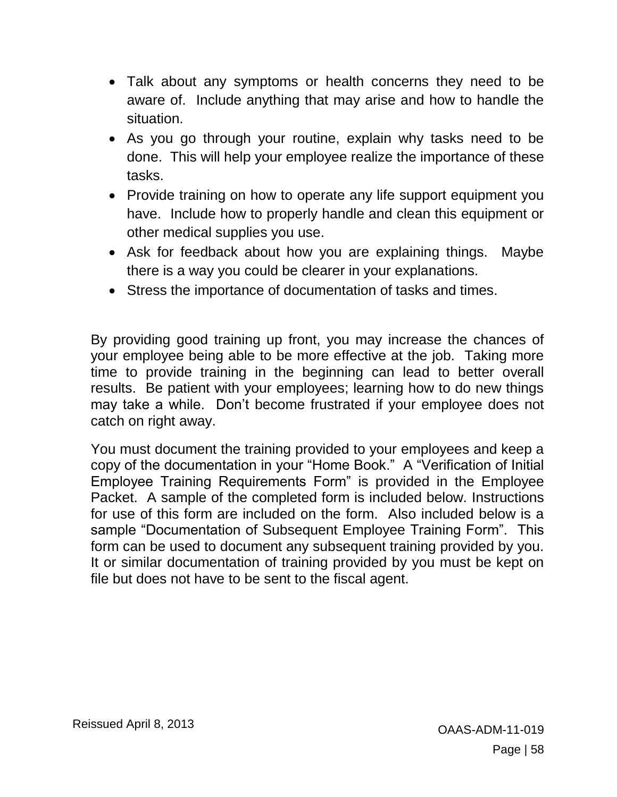- Talk about any symptoms or health concerns they need to be aware of. Include anything that may arise and how to handle the situation.
- As you go through your routine, explain why tasks need to be done. This will help your employee realize the importance of these tasks.
- Provide training on how to operate any life support equipment you have. Include how to properly handle and clean this equipment or other medical supplies you use.
- Ask for feedback about how you are explaining things. Maybe there is a way you could be clearer in your explanations.
- Stress the importance of documentation of tasks and times.

By providing good training up front, you may increase the chances of your employee being able to be more effective at the job. Taking more time to provide training in the beginning can lead to better overall results. Be patient with your employees; learning how to do new things may take a while. Don't become frustrated if your employee does not catch on right away.

You must document the training provided to your employees and keep a copy of the documentation in your "Home Book." A "Verification of Initial Employee Training Requirements Form" is provided in the Employee Packet. A sample of the completed form is included below. Instructions for use of this form are included on the form. Also included below is a sample "Documentation of Subsequent Employee Training Form". This form can be used to document any subsequent training provided by you. It or similar documentation of training provided by you must be kept on file but does not have to be sent to the fiscal agent.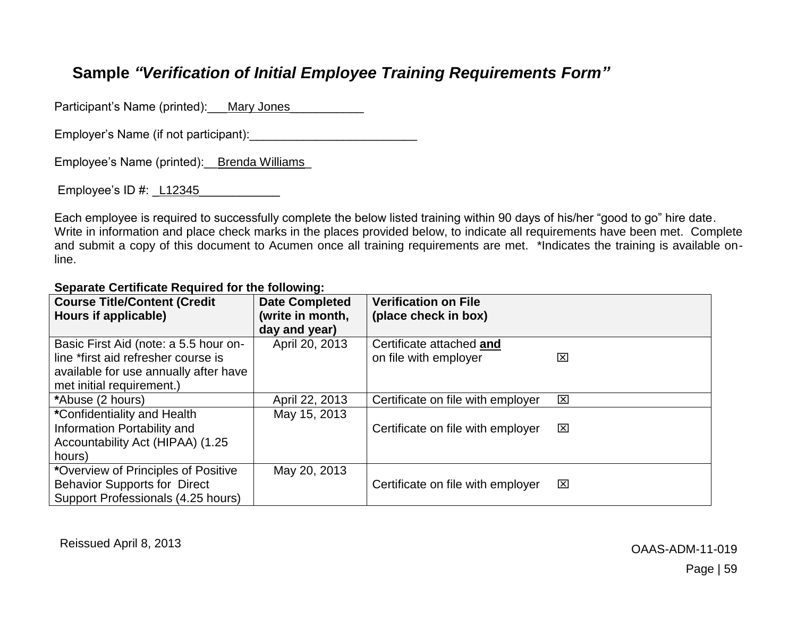## **Sample** *"Verification of Initial Employee Training Requirements Form"*

Participant's Name (printed): Mary Jones\_

Employer's Name (if not participant):

Employee's Name (printed):\_\_Brenda Williams\_

Employee's  $ID \#$ : L12345

Each employee is required to successfully complete the below listed training within 90 days of his/her "good to go" hire date. Write in information and place check marks in the places provided below, to indicate all requirements have been met. Complete and submit a copy of this document to Acumen once all training requirements are met. \*Indicates the training is available online.

#### **Course Title/Content (Credit Hours if applicable) Date Completed (write in month, day and year) Verification on File (place check in box)** Basic First Aid (note: a 5.5 hour online \*first aid refresher course is available for use annually after have met initial requirement.) April 20, 2013 Certificate attached **and** on file with employer TZI \*Abuse (2 hours)  $\blacksquare$  April 22, 2013 Certificate on file with employer  $\boxtimes$ **\***Confidentiality and Health Information Portability and Accountability Act (HIPAA) (1.25 hours) May 15, 2013 Certificate on file with employer  $\boxtimes$ **\***Overview of Principles of Positive Behavior Supports for Direct Support Professionals (4.25 hours) May 20, 2013 Certificate on file with employer  $\boxtimes$

#### **Separate Certificate Required for the following:**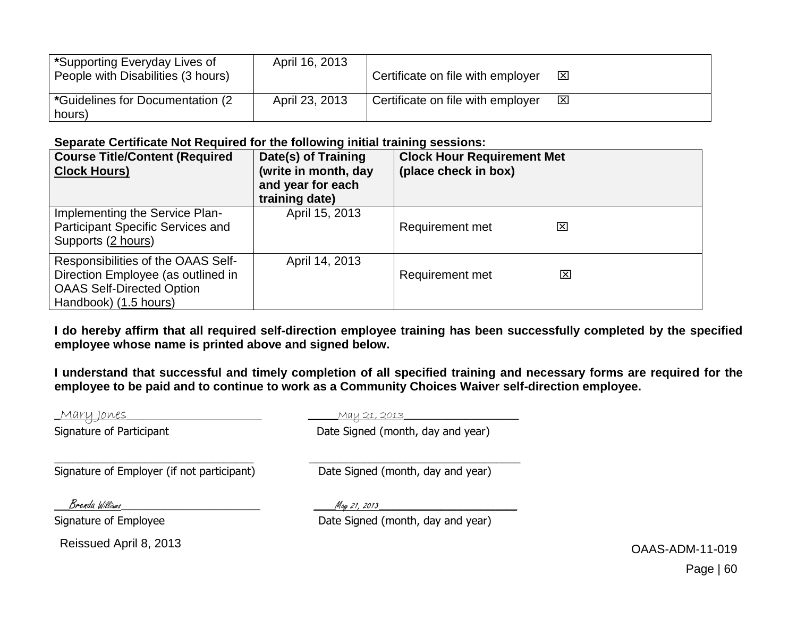| *Supporting Everyday Lives of<br>People with Disabilities (3 hours) | April 16, 2013 | Certificate on file with employer | $\overline{\mathbf{x}}$ |
|---------------------------------------------------------------------|----------------|-----------------------------------|-------------------------|
| *Guidelines for Documentation (2)<br>hours)                         | April 23, 2013 | Certificate on file with employer | $\overline{\mathbf{x}}$ |

#### **Separate Certificate Not Required for the following initial training sessions:**

| <b>Course Title/Content (Required</b><br><b>Clock Hours)</b>                                                                          | Date(s) of Training<br>(write in month, day<br>and year for each<br>training date) | <b>Clock Hour Requirement Met</b><br>(place check in box) |   |
|---------------------------------------------------------------------------------------------------------------------------------------|------------------------------------------------------------------------------------|-----------------------------------------------------------|---|
| Implementing the Service Plan-<br><b>Participant Specific Services and</b><br>Supports (2 hours)                                      | April 15, 2013                                                                     | Requirement met                                           | ⊠ |
| Responsibilities of the OAAS Self-<br>Direction Employee (as outlined in<br><b>OAAS Self-Directed Option</b><br>Handbook) (1.5 hours) | April 14, 2013                                                                     | <b>Requirement met</b>                                    | ⊠ |

**I do hereby affirm that all required self-direction employee training has been successfully completed by the specified employee whose name is printed above and signed below.** 

**I understand that successful and timely completion of all specified training and necessary forms are required for the employee to be paid and to continue to work as a Community Choices Waiver self-direction employee.** 

| <u>Mary Jones</u>                          | <u>May 21, 2013</u>               |                 |
|--------------------------------------------|-----------------------------------|-----------------|
| Signature of Participant                   | Date Signed (month, day and year) |                 |
| Signature of Employer (if not participant) | Date Signed (month, day and year) |                 |
| Brenda Williams                            | May 21, 2013                      |                 |
| Signature of Employee                      | Date Signed (month, day and year) |                 |
| Reissued April 8, 2013                     |                                   | OAAS-ADM-11-019 |

Page | 60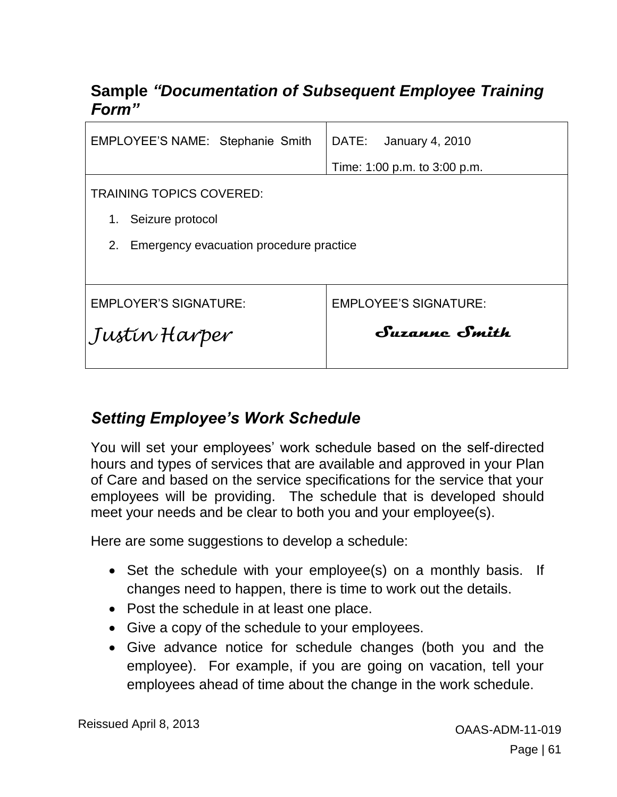## **Sample** *"Documentation of Subsequent Employee Training Form"*

| EMPLOYEE'S NAME: Stephanie Smith              | <b>January 4, 2010</b><br>DATE: |  |  |  |
|-----------------------------------------------|---------------------------------|--|--|--|
|                                               | Time: 1:00 p.m. to 3:00 p.m.    |  |  |  |
| <b>TRAINING TOPICS COVERED:</b>               |                                 |  |  |  |
| Seizure protocol<br>1.                        |                                 |  |  |  |
| Emergency evacuation procedure practice<br>2. |                                 |  |  |  |
|                                               |                                 |  |  |  |
| <b>EMPLOYER'S SIGNATURE:</b>                  | <b>EMPLOYEE'S SIGNATURE:</b>    |  |  |  |
| Justin Harper                                 | Suzanne Smith                   |  |  |  |
|                                               |                                 |  |  |  |

## *Setting Employee's Work Schedule*

You will set your employees' work schedule based on the self-directed hours and types of services that are available and approved in your Plan of Care and based on the service specifications for the service that your employees will be providing. The schedule that is developed should meet your needs and be clear to both you and your employee(s).

Here are some suggestions to develop a schedule:

- Set the schedule with your employee(s) on a monthly basis. If changes need to happen, there is time to work out the details.
- Post the schedule in at least one place.
- Give a copy of the schedule to your employees.
- Give advance notice for schedule changes (both you and the employee). For example, if you are going on vacation, tell your employees ahead of time about the change in the work schedule.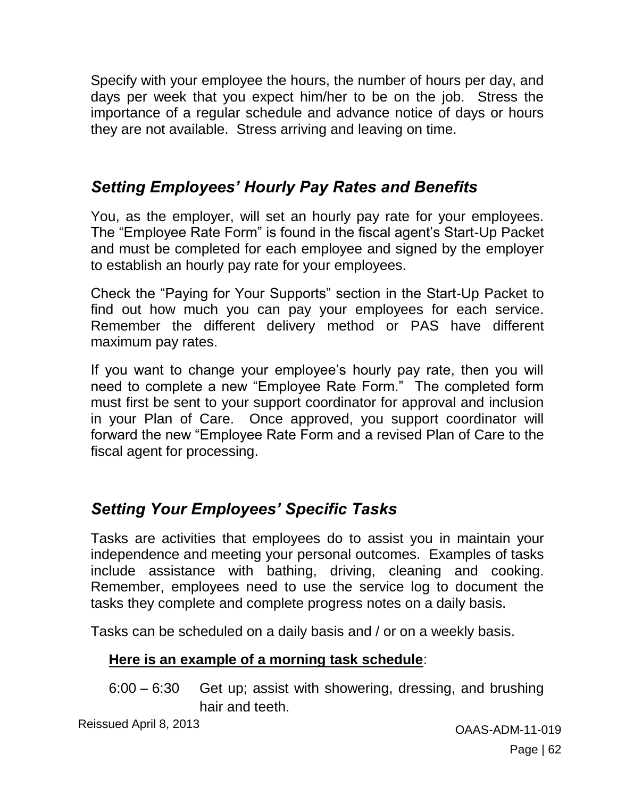Specify with your employee the hours, the number of hours per day, and days per week that you expect him/her to be on the job. Stress the importance of a regular schedule and advance notice of days or hours they are not available. Stress arriving and leaving on time.

## *Setting Employees' Hourly Pay Rates and Benefits*

You, as the employer, will set an hourly pay rate for your employees. The "Employee Rate Form" is found in the fiscal agent's Start-Up Packet and must be completed for each employee and signed by the employer to establish an hourly pay rate for your employees.

Check the "Paying for Your Supports" section in the Start-Up Packet to find out how much you can pay your employees for each service. Remember the different delivery method or PAS have different maximum pay rates.

If you want to change your employee's hourly pay rate, then you will need to complete a new "Employee Rate Form." The completed form must first be sent to your support coordinator for approval and inclusion in your Plan of Care. Once approved, you support coordinator will forward the new "Employee Rate Form and a revised Plan of Care to the fiscal agent for processing.

# *Setting Your Employees' Specific Tasks*

Tasks are activities that employees do to assist you in maintain your independence and meeting your personal outcomes. Examples of tasks include assistance with bathing, driving, cleaning and cooking. Remember, employees need to use the service log to document the tasks they complete and complete progress notes on a daily basis.

Tasks can be scheduled on a daily basis and / or on a weekly basis.

#### **Here is an example of a morning task schedule**:

6:00 – 6:30 Get up; assist with showering, dressing, and brushing hair and teeth.

Reissued April 8, 2013 **Canadian Strategier April 19 and 2013** OAAS-ADM-11-019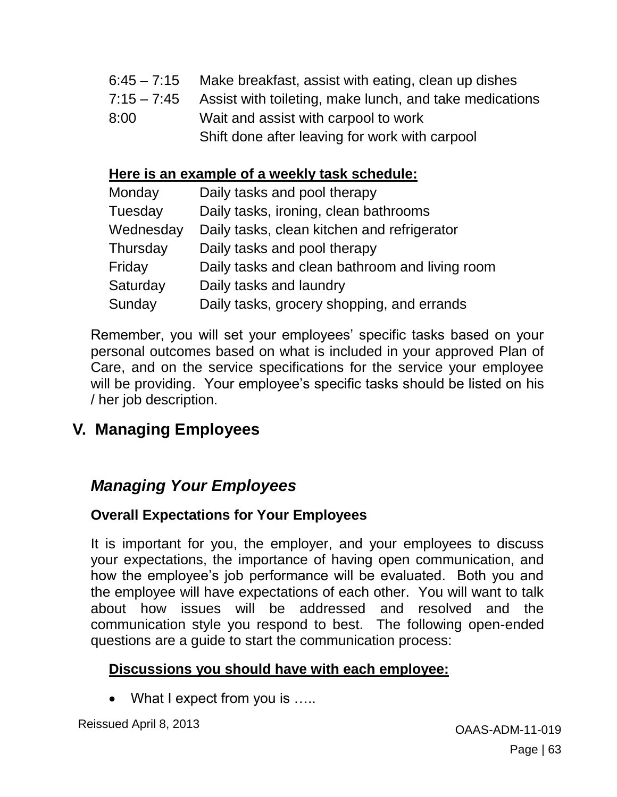- 6:45 7:15 Make breakfast, assist with eating, clean up dishes
- 7:15 7:45 Assist with toileting, make lunch, and take medications
- 8:00 Wait and assist with carpool to work
	- Shift done after leaving for work with carpool

#### **Here is an example of a weekly task schedule:**

| Monday    | Daily tasks and pool therapy                   |
|-----------|------------------------------------------------|
| Tuesday   | Daily tasks, ironing, clean bathrooms          |
| Wednesday | Daily tasks, clean kitchen and refrigerator    |
| Thursday  | Daily tasks and pool therapy                   |
| Friday    | Daily tasks and clean bathroom and living room |
| Saturday  | Daily tasks and laundry                        |
| Sunday    | Daily tasks, grocery shopping, and errands     |

Remember, you will set your employees' specific tasks based on your personal outcomes based on what is included in your approved Plan of Care, and on the service specifications for the service your employee will be providing. Your employee's specific tasks should be listed on his / her job description.

# **V. Managing Employees**

## *Managing Your Employees*

#### **Overall Expectations for Your Employees**

It is important for you, the employer, and your employees to discuss your expectations, the importance of having open communication, and how the employee's job performance will be evaluated. Both you and the employee will have expectations of each other. You will want to talk about how issues will be addressed and resolved and the communication style you respond to best. The following open-ended questions are a guide to start the communication process:

#### **Discussions you should have with each employee:**

What I expect from you is .....

Reissued April 8, 2013 **Canadian Strategier April 19 and 2013** OAAS-ADM-11-019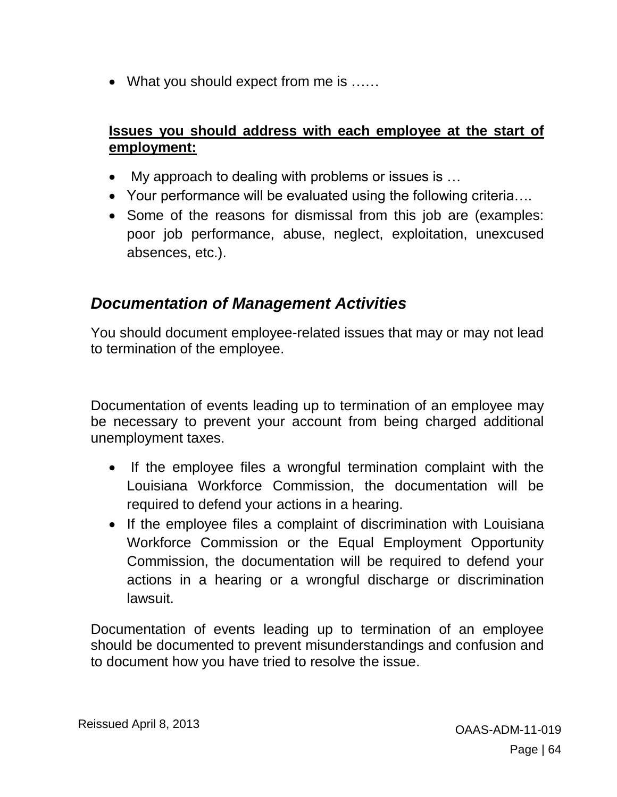• What you should expect from me is ......

#### **Issues you should address with each employee at the start of employment:**

- My approach to dealing with problems or issues is …
- Your performance will be evaluated using the following criteria….
- Some of the reasons for dismissal from this job are (examples: poor job performance, abuse, neglect, exploitation, unexcused absences, etc.).

## *Documentation of Management Activities*

You should document employee-related issues that may or may not lead to termination of the employee.

Documentation of events leading up to termination of an employee may be necessary to prevent your account from being charged additional unemployment taxes.

- If the employee files a wrongful termination complaint with the Louisiana Workforce Commission, the documentation will be required to defend your actions in a hearing.
- If the employee files a complaint of discrimination with Louisiana Workforce Commission or the Equal Employment Opportunity Commission, the documentation will be required to defend your actions in a hearing or a wrongful discharge or discrimination lawsuit.

Documentation of events leading up to termination of an employee should be documented to prevent misunderstandings and confusion and to document how you have tried to resolve the issue.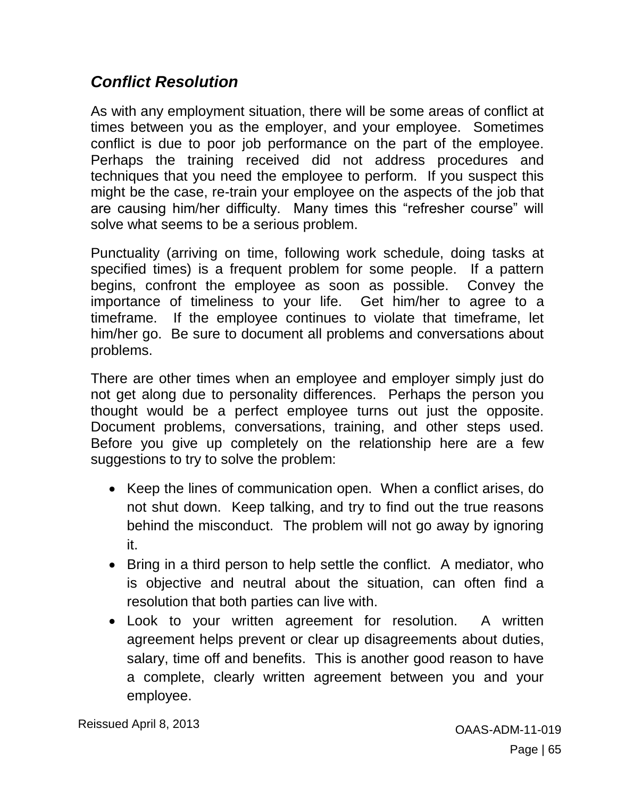## *Conflict Resolution*

As with any employment situation, there will be some areas of conflict at times between you as the employer, and your employee. Sometimes conflict is due to poor job performance on the part of the employee. Perhaps the training received did not address procedures and techniques that you need the employee to perform. If you suspect this might be the case, re-train your employee on the aspects of the job that are causing him/her difficulty. Many times this "refresher course" will solve what seems to be a serious problem.

Punctuality (arriving on time, following work schedule, doing tasks at specified times) is a frequent problem for some people. If a pattern begins, confront the employee as soon as possible. Convey the importance of timeliness to your life. Get him/her to agree to a timeframe. If the employee continues to violate that timeframe, let him/her go. Be sure to document all problems and conversations about problems.

There are other times when an employee and employer simply just do not get along due to personality differences. Perhaps the person you thought would be a perfect employee turns out just the opposite. Document problems, conversations, training, and other steps used. Before you give up completely on the relationship here are a few suggestions to try to solve the problem:

- Keep the lines of communication open. When a conflict arises, do not shut down. Keep talking, and try to find out the true reasons behind the misconduct. The problem will not go away by ignoring it.
- Bring in a third person to help settle the conflict. A mediator, who is objective and neutral about the situation, can often find a resolution that both parties can live with.
- Look to your written agreement for resolution. A written agreement helps prevent or clear up disagreements about duties, salary, time off and benefits. This is another good reason to have a complete, clearly written agreement between you and your employee.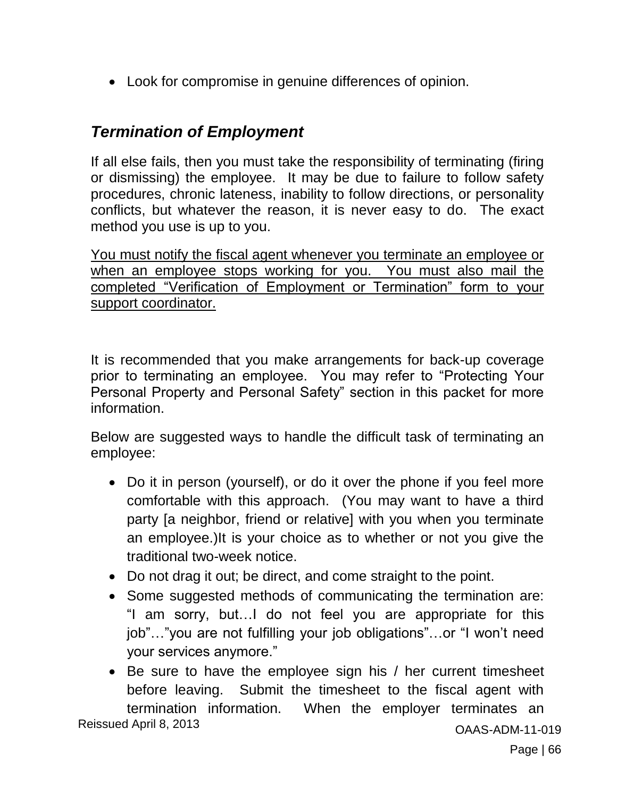Look for compromise in genuine differences of opinion.

## *Termination of Employment*

If all else fails, then you must take the responsibility of terminating (firing or dismissing) the employee. It may be due to failure to follow safety procedures, chronic lateness, inability to follow directions, or personality conflicts, but whatever the reason, it is never easy to do. The exact method you use is up to you.

You must notify the fiscal agent whenever you terminate an employee or when an employee stops working for you. You must also mail the completed "Verification of Employment or Termination" form to your support coordinator.

It is recommended that you make arrangements for back-up coverage prior to terminating an employee. You may refer to "Protecting Your Personal Property and Personal Safety" section in this packet for more information.

Below are suggested ways to handle the difficult task of terminating an employee:

- Do it in person (yourself), or do it over the phone if you feel more comfortable with this approach. (You may want to have a third party [a neighbor, friend or relative] with you when you terminate an employee.)It is your choice as to whether or not you give the traditional two-week notice.
- Do not drag it out; be direct, and come straight to the point.
- Some suggested methods of communicating the termination are: "I am sorry, but…I do not feel you are appropriate for this job"…"you are not fulfilling your job obligations"…or "I won't need your services anymore."
- Be sure to have the employee sign his / her current timesheet before leaving. Submit the timesheet to the fiscal agent with termination information. When the employer terminates an

Reissued April 8, 2013 **Canadian Strategier April 19 and 2013** OAAS-ADM-11-019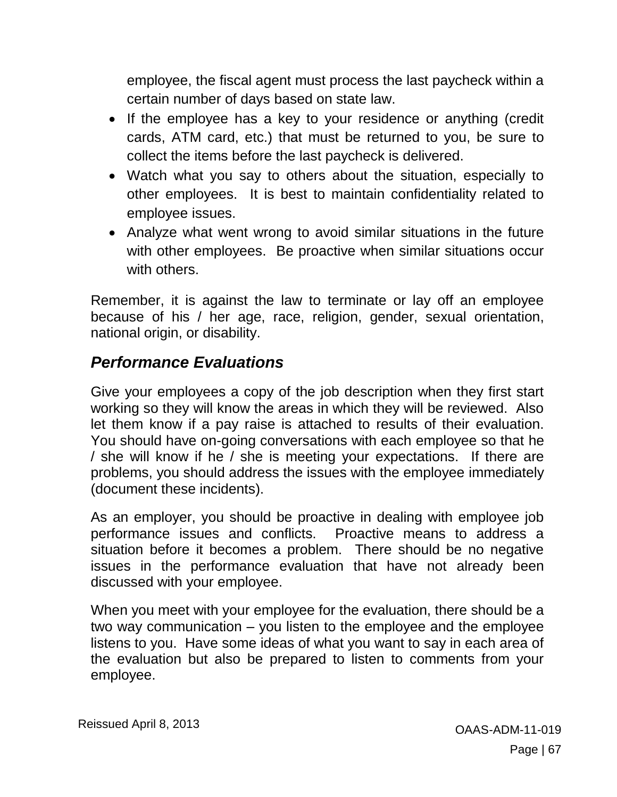employee, the fiscal agent must process the last paycheck within a certain number of days based on state law.

- If the employee has a key to your residence or anything (credit cards, ATM card, etc.) that must be returned to you, be sure to collect the items before the last paycheck is delivered.
- Watch what you say to others about the situation, especially to other employees. It is best to maintain confidentiality related to employee issues.
- Analyze what went wrong to avoid similar situations in the future with other employees. Be proactive when similar situations occur with others.

Remember, it is against the law to terminate or lay off an employee because of his / her age, race, religion, gender, sexual orientation, national origin, or disability.

## *Performance Evaluations*

Give your employees a copy of the job description when they first start working so they will know the areas in which they will be reviewed. Also let them know if a pay raise is attached to results of their evaluation. You should have on-going conversations with each employee so that he / she will know if he / she is meeting your expectations. If there are problems, you should address the issues with the employee immediately (document these incidents).

As an employer, you should be proactive in dealing with employee job performance issues and conflicts. Proactive means to address a situation before it becomes a problem. There should be no negative issues in the performance evaluation that have not already been discussed with your employee.

When you meet with your employee for the evaluation, there should be a two way communication – you listen to the employee and the employee listens to you. Have some ideas of what you want to say in each area of the evaluation but also be prepared to listen to comments from your employee.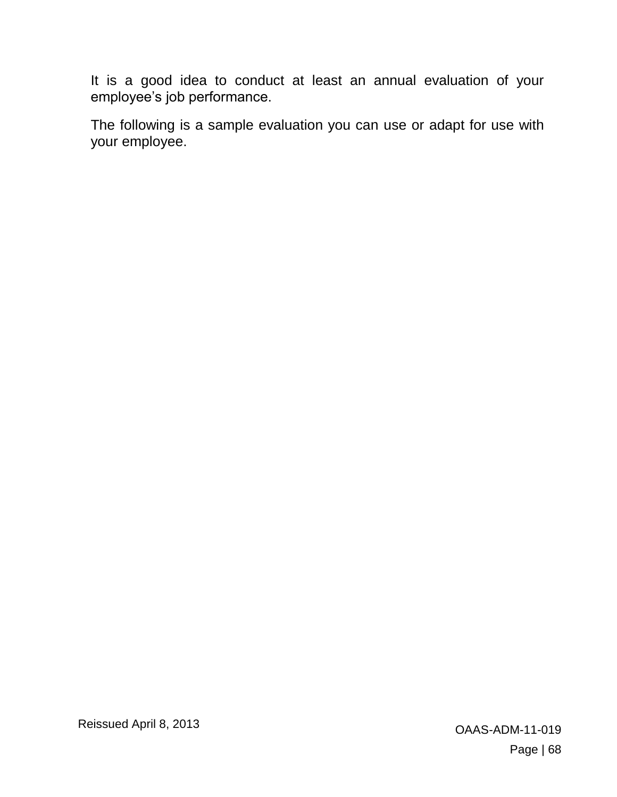It is a good idea to conduct at least an annual evaluation of your employee's job performance.

The following is a sample evaluation you can use or adapt for use with your employee.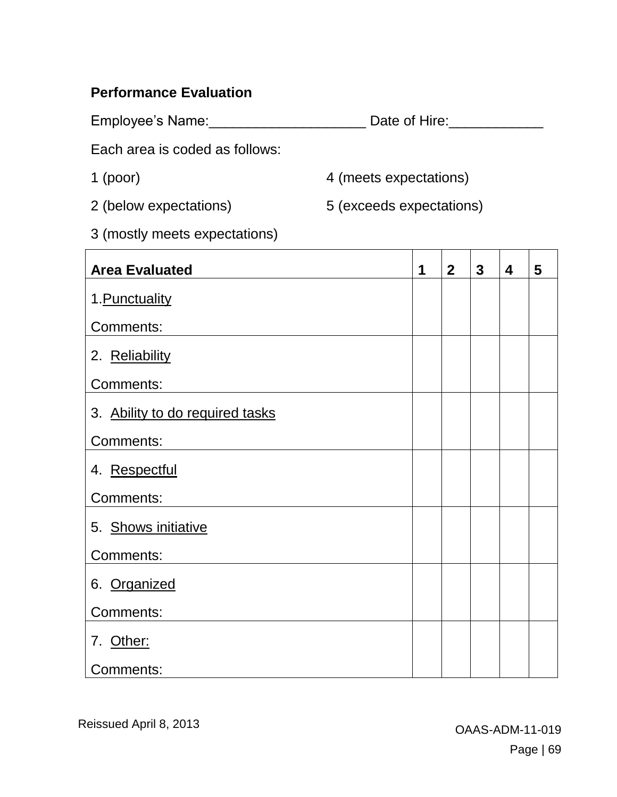#### **Performance Evaluation**

Employee's Name:\_\_\_\_\_\_\_\_\_\_\_\_\_\_\_\_\_\_\_\_\_\_\_\_\_\_\_\_\_\_\_\_\_\_\_Date of Hire:\_\_\_\_\_\_\_\_\_\_\_\_\_\_\_\_

Each area is coded as follows:

- 
- 2 (below expectations) 5 (exceeds expectations)

1 (poor) 4 (meets expectations)

3 (mostly meets expectations)

| <b>Area Evaluated</b>           | 1 | 2 <sup>1</sup> | $\overline{\mathbf{3}}$ | $\overline{\mathbf{4}}$ | 5 |
|---------------------------------|---|----------------|-------------------------|-------------------------|---|
| 1. Punctuality                  |   |                |                         |                         |   |
| Comments:                       |   |                |                         |                         |   |
| 2. Reliability                  |   |                |                         |                         |   |
| Comments:                       |   |                |                         |                         |   |
| 3. Ability to do required tasks |   |                |                         |                         |   |
| Comments:                       |   |                |                         |                         |   |
| 4. Respectful                   |   |                |                         |                         |   |
| Comments:                       |   |                |                         |                         |   |
| 5. Shows initiative             |   |                |                         |                         |   |
| Comments:                       |   |                |                         |                         |   |
| 6. Organized                    |   |                |                         |                         |   |
| Comments:                       |   |                |                         |                         |   |
| 7. Other:                       |   |                |                         |                         |   |
| Comments:                       |   |                |                         |                         |   |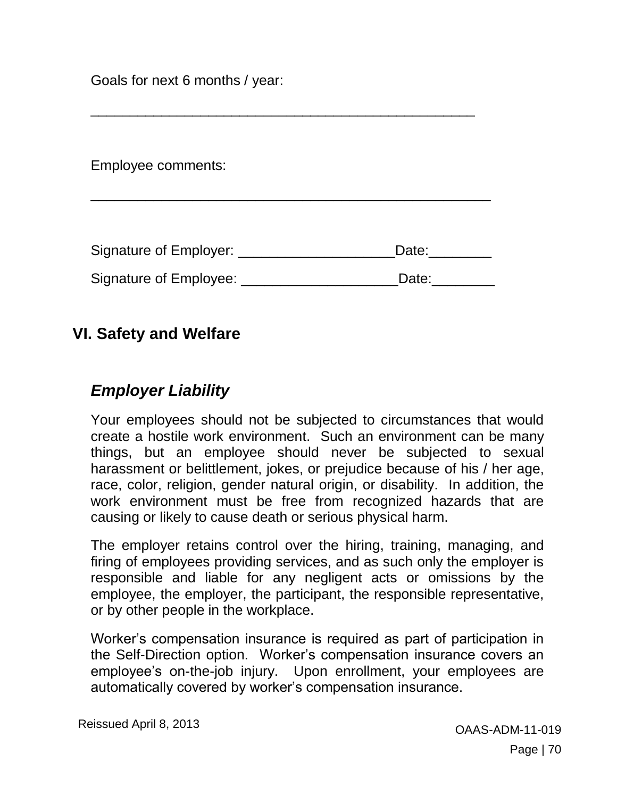Goals for next 6 months / year:

Employee comments:

| Signature of Employer: | Date: |
|------------------------|-------|
| Signature of Employee: | Date: |

\_\_\_\_\_\_\_\_\_\_\_\_\_\_\_\_\_\_\_\_\_\_\_\_\_\_\_\_\_\_\_\_\_\_\_\_\_\_\_\_\_\_\_\_\_\_\_\_\_\_\_

\_\_\_\_\_\_\_\_\_\_\_\_\_\_\_\_\_\_\_\_\_\_\_\_\_\_\_\_\_\_\_\_\_\_\_\_\_\_\_\_\_\_\_\_\_\_\_\_\_

#### **VI. Safety and Welfare**

#### *Employer Liability*

Your employees should not be subjected to circumstances that would create a hostile work environment. Such an environment can be many things, but an employee should never be subjected to sexual harassment or belittlement, jokes, or prejudice because of his / her age, race, color, religion, gender natural origin, or disability. In addition, the work environment must be free from recognized hazards that are causing or likely to cause death or serious physical harm.

The employer retains control over the hiring, training, managing, and firing of employees providing services, and as such only the employer is responsible and liable for any negligent acts or omissions by the employee, the employer, the participant, the responsible representative, or by other people in the workplace.

Worker's compensation insurance is required as part of participation in the Self-Direction option. Worker's compensation insurance covers an employee's on-the-job injury. Upon enrollment, your employees are automatically covered by worker's compensation insurance.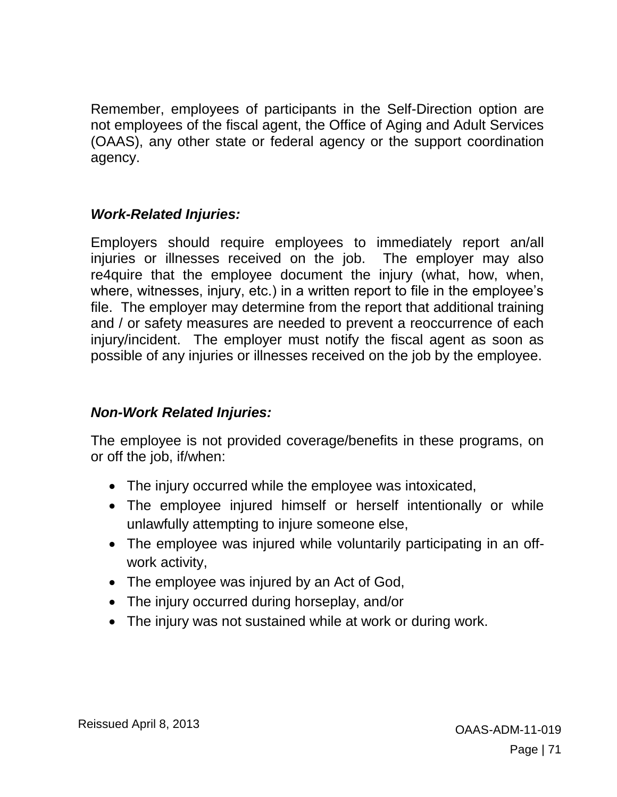Remember, employees of participants in the Self-Direction option are not employees of the fiscal agent, the Office of Aging and Adult Services (OAAS), any other state or federal agency or the support coordination agency.

#### *Work-Related Injuries:*

Employers should require employees to immediately report an/all injuries or illnesses received on the job. The employer may also re4quire that the employee document the injury (what, how, when, where, witnesses, injury, etc.) in a written report to file in the employee's file. The employer may determine from the report that additional training and / or safety measures are needed to prevent a reoccurrence of each injury/incident. The employer must notify the fiscal agent as soon as possible of any injuries or illnesses received on the job by the employee.

#### *Non-Work Related Injuries:*

The employee is not provided coverage/benefits in these programs, on or off the job, if/when:

- The injury occurred while the employee was intoxicated,
- The employee injured himself or herself intentionally or while unlawfully attempting to injure someone else,
- The employee was injured while voluntarily participating in an offwork activity,
- The employee was injured by an Act of God,
- The injury occurred during horseplay, and/or
- The injury was not sustained while at work or during work.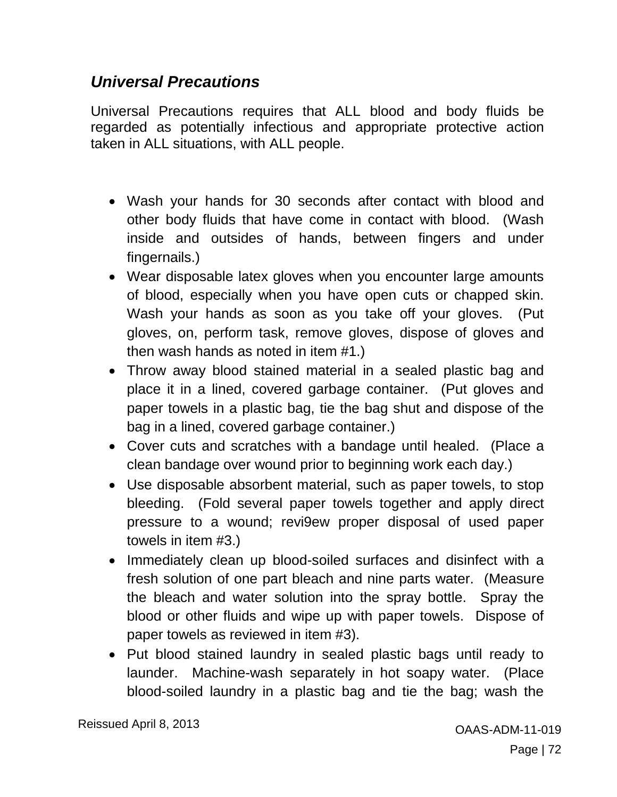## *Universal Precautions*

Universal Precautions requires that ALL blood and body fluids be regarded as potentially infectious and appropriate protective action taken in ALL situations, with ALL people.

- Wash your hands for 30 seconds after contact with blood and other body fluids that have come in contact with blood. (Wash inside and outsides of hands, between fingers and under fingernails.)
- Wear disposable latex gloves when you encounter large amounts of blood, especially when you have open cuts or chapped skin. Wash your hands as soon as you take off your gloves. (Put gloves, on, perform task, remove gloves, dispose of gloves and then wash hands as noted in item #1.)
- Throw away blood stained material in a sealed plastic bag and place it in a lined, covered garbage container. (Put gloves and paper towels in a plastic bag, tie the bag shut and dispose of the bag in a lined, covered garbage container.)
- Cover cuts and scratches with a bandage until healed. (Place a clean bandage over wound prior to beginning work each day.)
- Use disposable absorbent material, such as paper towels, to stop bleeding. (Fold several paper towels together and apply direct pressure to a wound; revi9ew proper disposal of used paper towels in item #3.)
- Immediately clean up blood-soiled surfaces and disinfect with a fresh solution of one part bleach and nine parts water. (Measure the bleach and water solution into the spray bottle. Spray the blood or other fluids and wipe up with paper towels. Dispose of paper towels as reviewed in item #3).
- Put blood stained laundry in sealed plastic bags until ready to launder. Machine-wash separately in hot soapy water. (Place blood-soiled laundry in a plastic bag and tie the bag; wash the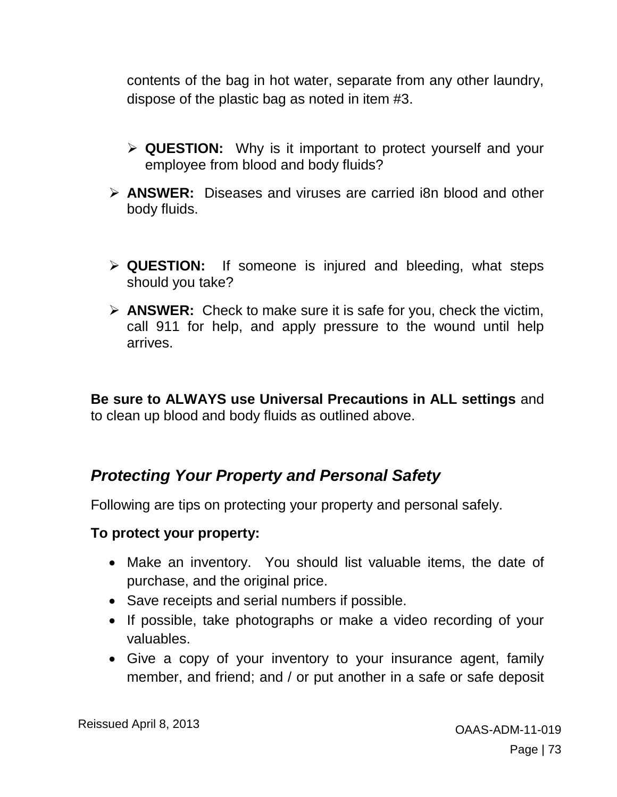contents of the bag in hot water, separate from any other laundry, dispose of the plastic bag as noted in item #3.

- **QUESTION:** Why is it important to protect yourself and your employee from blood and body fluids?
- **ANSWER:** Diseases and viruses are carried i8n blood and other body fluids.
- **QUESTION:** If someone is injured and bleeding, what steps should you take?
- **ANSWER:** Check to make sure it is safe for you, check the victim, call 911 for help, and apply pressure to the wound until help arrives.

**Be sure to ALWAYS use Universal Precautions in ALL settings** and to clean up blood and body fluids as outlined above.

## *Protecting Your Property and Personal Safety*

Following are tips on protecting your property and personal safely.

#### **To protect your property:**

- Make an inventory. You should list valuable items, the date of purchase, and the original price.
- Save receipts and serial numbers if possible.
- If possible, take photographs or make a video recording of your valuables.
- Give a copy of your inventory to your insurance agent, family member, and friend; and / or put another in a safe or safe deposit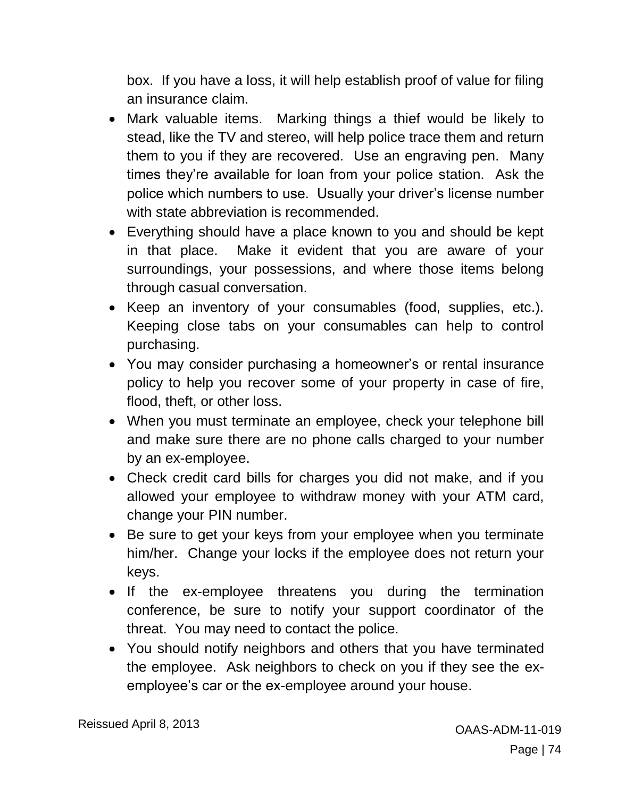box. If you have a loss, it will help establish proof of value for filing an insurance claim.

- Mark valuable items. Marking things a thief would be likely to stead, like the TV and stereo, will help police trace them and return them to you if they are recovered. Use an engraving pen. Many times they're available for loan from your police station. Ask the police which numbers to use. Usually your driver's license number with state abbreviation is recommended.
- Everything should have a place known to you and should be kept in that place. Make it evident that you are aware of your surroundings, your possessions, and where those items belong through casual conversation.
- Keep an inventory of your consumables (food, supplies, etc.). Keeping close tabs on your consumables can help to control purchasing.
- You may consider purchasing a homeowner's or rental insurance policy to help you recover some of your property in case of fire, flood, theft, or other loss.
- When you must terminate an employee, check your telephone bill and make sure there are no phone calls charged to your number by an ex-employee.
- Check credit card bills for charges you did not make, and if you allowed your employee to withdraw money with your ATM card, change your PIN number.
- Be sure to get your keys from your employee when you terminate him/her. Change your locks if the employee does not return your keys.
- If the ex-employee threatens you during the termination conference, be sure to notify your support coordinator of the threat. You may need to contact the police.
- You should notify neighbors and others that you have terminated the employee. Ask neighbors to check on you if they see the exemployee's car or the ex-employee around your house.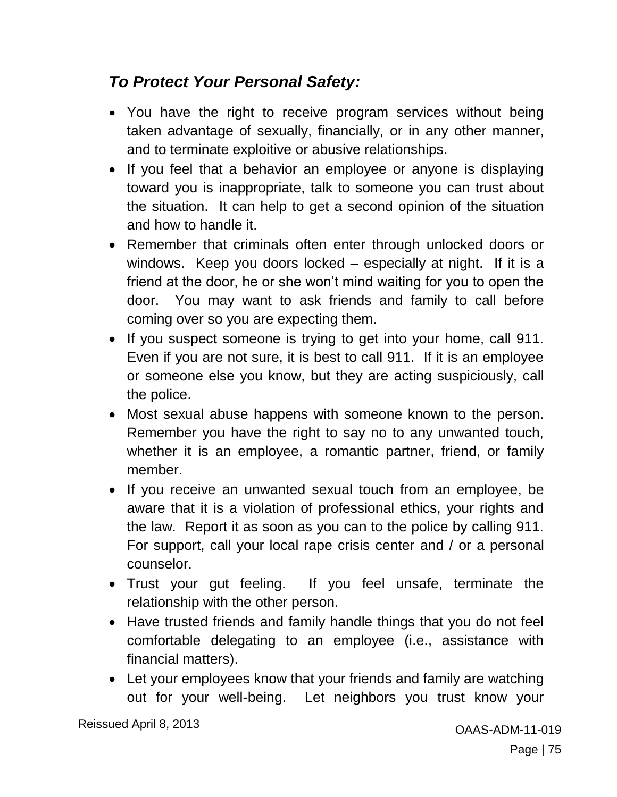# *To Protect Your Personal Safety:*

- You have the right to receive program services without being taken advantage of sexually, financially, or in any other manner, and to terminate exploitive or abusive relationships.
- If you feel that a behavior an employee or anyone is displaying toward you is inappropriate, talk to someone you can trust about the situation. It can help to get a second opinion of the situation and how to handle it.
- Remember that criminals often enter through unlocked doors or windows. Keep you doors locked – especially at night. If it is a friend at the door, he or she won't mind waiting for you to open the door. You may want to ask friends and family to call before coming over so you are expecting them.
- If you suspect someone is trying to get into your home, call 911. Even if you are not sure, it is best to call 911. If it is an employee or someone else you know, but they are acting suspiciously, call the police.
- Most sexual abuse happens with someone known to the person. Remember you have the right to say no to any unwanted touch, whether it is an employee, a romantic partner, friend, or family member.
- If you receive an unwanted sexual touch from an employee, be aware that it is a violation of professional ethics, your rights and the law. Report it as soon as you can to the police by calling 911. For support, call your local rape crisis center and / or a personal counselor.
- Trust your gut feeling. If you feel unsafe, terminate the relationship with the other person.
- Have trusted friends and family handle things that you do not feel comfortable delegating to an employee (i.e., assistance with financial matters).
- Let your employees know that your friends and family are watching out for your well-being. Let neighbors you trust know your

Reissued April 8, 2013 **Canadian Strategier April 19 and 2013** OAAS-ADM-11-019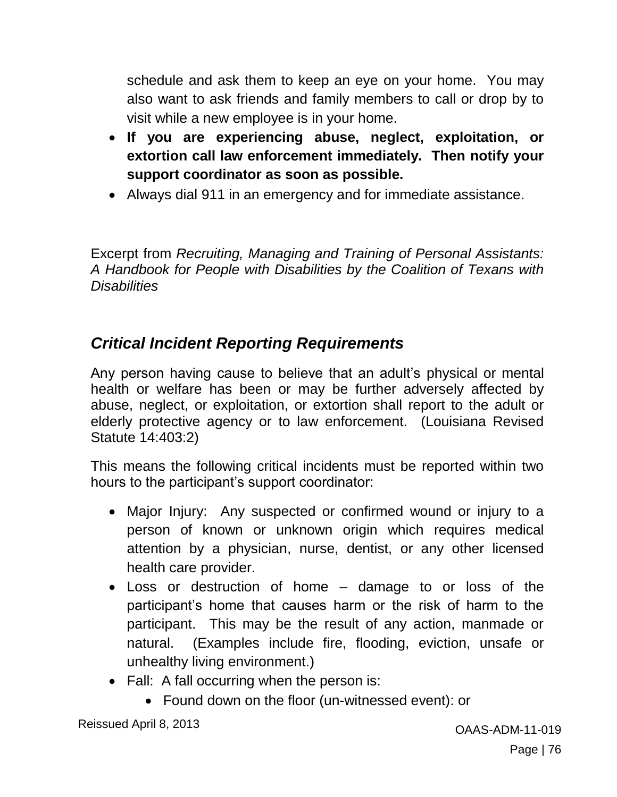schedule and ask them to keep an eye on your home. You may also want to ask friends and family members to call or drop by to visit while a new employee is in your home.

- **If you are experiencing abuse, neglect, exploitation, or extortion call law enforcement immediately. Then notify your support coordinator as soon as possible.**
- Always dial 911 in an emergency and for immediate assistance.

Excerpt from *Recruiting, Managing and Training of Personal Assistants: A Handbook for People with Disabilities by the Coalition of Texans with Disabilities*

## *Critical Incident Reporting Requirements*

Any person having cause to believe that an adult's physical or mental health or welfare has been or may be further adversely affected by abuse, neglect, or exploitation, or extortion shall report to the adult or elderly protective agency or to law enforcement. (Louisiana Revised Statute 14:403:2)

This means the following critical incidents must be reported within two hours to the participant's support coordinator:

- Major Injury: Any suspected or confirmed wound or injury to a person of known or unknown origin which requires medical attention by a physician, nurse, dentist, or any other licensed health care provider.
- Loss or destruction of home damage to or loss of the participant's home that causes harm or the risk of harm to the participant. This may be the result of any action, manmade or natural. (Examples include fire, flooding, eviction, unsafe or unhealthy living environment.)
- Fall: A fall occurring when the person is:
	- Found down on the floor (un-witnessed event): or

Reissued April 8, 2013 **Canadian Strategier April 19 and 2013** OAAS-ADM-11-019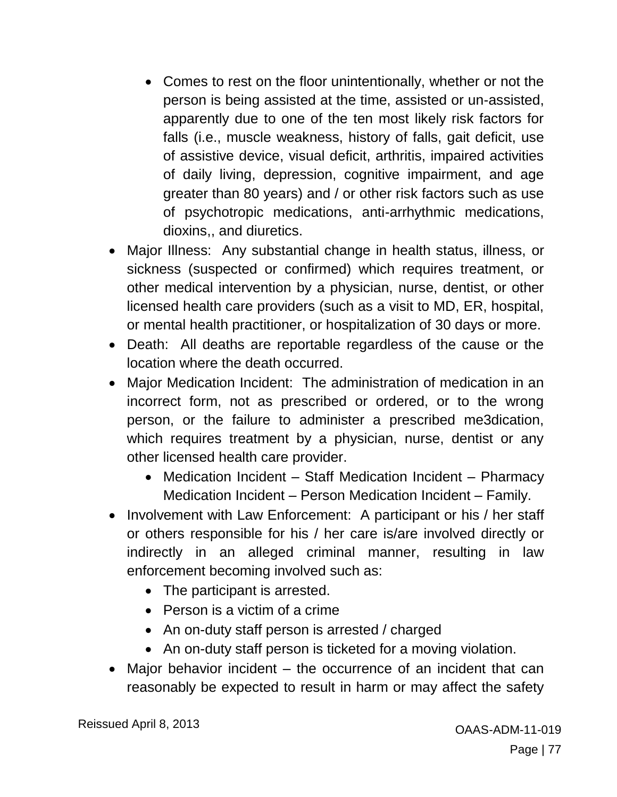- Comes to rest on the floor unintentionally, whether or not the person is being assisted at the time, assisted or un-assisted, apparently due to one of the ten most likely risk factors for falls (i.e., muscle weakness, history of falls, gait deficit, use of assistive device, visual deficit, arthritis, impaired activities of daily living, depression, cognitive impairment, and age greater than 80 years) and / or other risk factors such as use of psychotropic medications, anti-arrhythmic medications, dioxins,, and diuretics.
- Major Illness: Any substantial change in health status, illness, or sickness (suspected or confirmed) which requires treatment, or other medical intervention by a physician, nurse, dentist, or other licensed health care providers (such as a visit to MD, ER, hospital, or mental health practitioner, or hospitalization of 30 days or more.
- Death: All deaths are reportable regardless of the cause or the location where the death occurred.
- Major Medication Incident: The administration of medication in an incorrect form, not as prescribed or ordered, or to the wrong person, or the failure to administer a prescribed me3dication, which requires treatment by a physician, nurse, dentist or any other licensed health care provider.
	- Medication Incident Staff Medication Incident Pharmacy Medication Incident – Person Medication Incident – Family.
- Involvement with Law Enforcement: A participant or his / her staff or others responsible for his / her care is/are involved directly or indirectly in an alleged criminal manner, resulting in law enforcement becoming involved such as:
	- The participant is arrested.
	- Person is a victim of a crime
	- An on-duty staff person is arrested / charged
	- An on-duty staff person is ticketed for a moving violation.
- Major behavior incident the occurrence of an incident that can reasonably be expected to result in harm or may affect the safety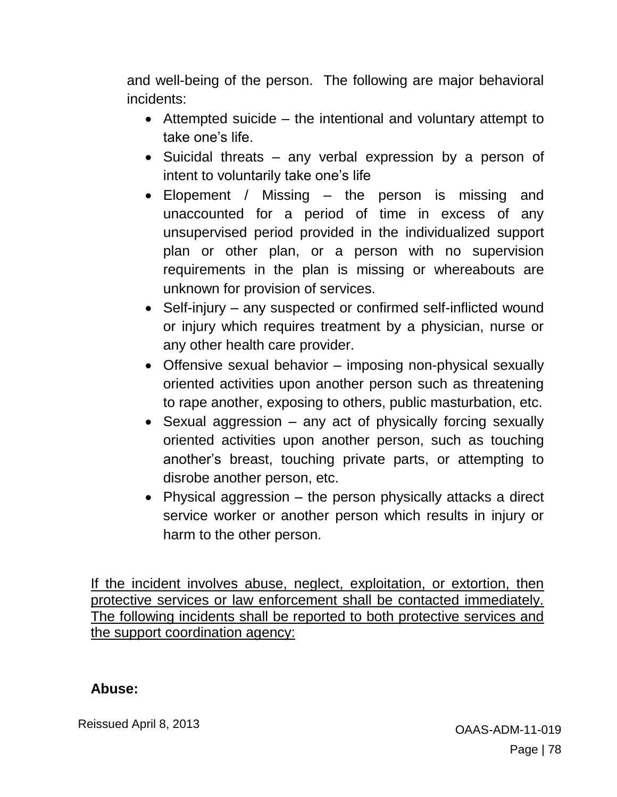and well-being of the person. The following are major behavioral incidents:

- Attempted suicide the intentional and voluntary attempt to take one's life.
- Suicidal threats any verbal expression by a person of intent to voluntarily take one's life
- Elopement / Missing the person is missing and unaccounted for a period of time in excess of any unsupervised period provided in the individualized support plan or other plan, or a person with no supervision requirements in the plan is missing or whereabouts are unknown for provision of services.
- Self-injury any suspected or confirmed self-inflicted wound or injury which requires treatment by a physician, nurse or any other health care provider.
- Offensive sexual behavior imposing non-physical sexually oriented activities upon another person such as threatening to rape another, exposing to others, public masturbation, etc.
- Sexual aggression any act of physically forcing sexually oriented activities upon another person, such as touching another's breast, touching private parts, or attempting to disrobe another person, etc.
- Physical aggression the person physically attacks a direct service worker or another person which results in injury or harm to the other person.

If the incident involves abuse, neglect, exploitation, or extortion, then protective services or law enforcement shall be contacted immediately. The following incidents shall be reported to both protective services and the support coordination agency:

#### **Abuse:**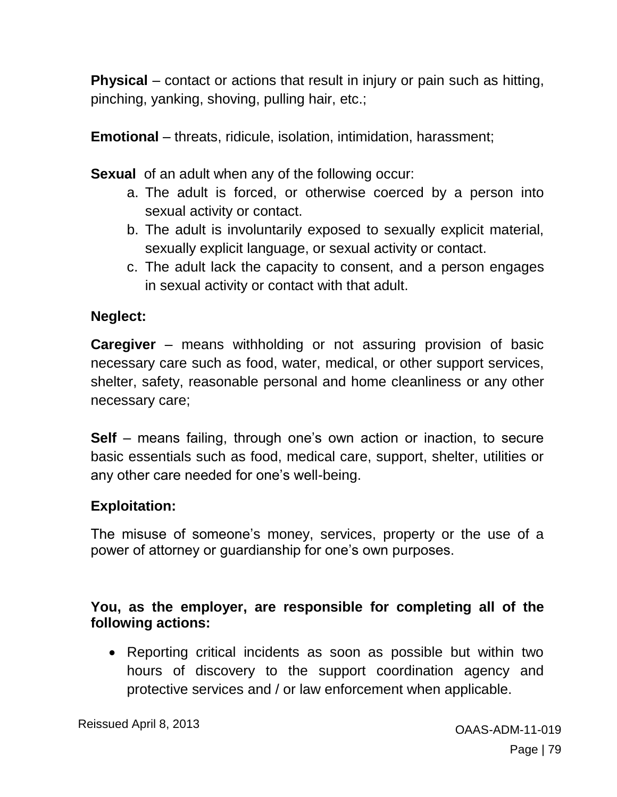**Physical** – contact or actions that result in injury or pain such as hitting, pinching, yanking, shoving, pulling hair, etc.;

**Emotional** – threats, ridicule, isolation, intimidation, harassment;

**Sexual** of an adult when any of the following occur:

- a. The adult is forced, or otherwise coerced by a person into sexual activity or contact.
- b. The adult is involuntarily exposed to sexually explicit material, sexually explicit language, or sexual activity or contact.
- c. The adult lack the capacity to consent, and a person engages in sexual activity or contact with that adult.

### **Neglect:**

**Caregiver** – means withholding or not assuring provision of basic necessary care such as food, water, medical, or other support services, shelter, safety, reasonable personal and home cleanliness or any other necessary care;

**Self** – means failing, through one's own action or inaction, to secure basic essentials such as food, medical care, support, shelter, utilities or any other care needed for one's well-being.

### **Exploitation:**

The misuse of someone's money, services, property or the use of a power of attorney or guardianship for one's own purposes.

### **You, as the employer, are responsible for completing all of the following actions:**

• Reporting critical incidents as soon as possible but within two hours of discovery to the support coordination agency and protective services and / or law enforcement when applicable.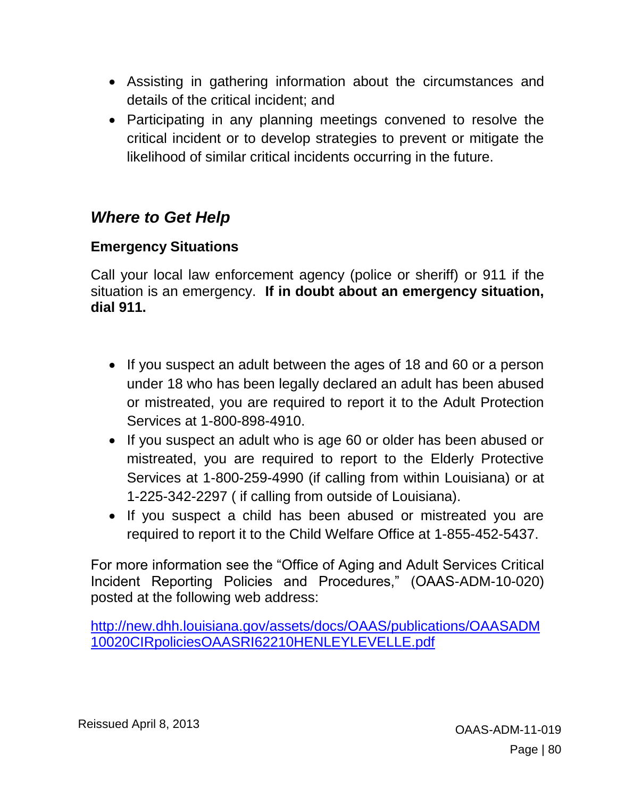- Assisting in gathering information about the circumstances and details of the critical incident; and
- Participating in any planning meetings convened to resolve the critical incident or to develop strategies to prevent or mitigate the likelihood of similar critical incidents occurring in the future.

# *Where to Get Help*

### **Emergency Situations**

Call your local law enforcement agency (police or sheriff) or 911 if the situation is an emergency. **If in doubt about an emergency situation, dial 911.**

- If you suspect an adult between the ages of 18 and 60 or a person under 18 who has been legally declared an adult has been abused or mistreated, you are required to report it to the Adult Protection Services at 1-800-898-4910.
- If you suspect an adult who is age 60 or older has been abused or mistreated, you are required to report to the Elderly Protective Services at 1-800-259-4990 (if calling from within Louisiana) or at 1-225-342-2297 ( if calling from outside of Louisiana).
- If you suspect a child has been abused or mistreated you are required to report it to the Child Welfare Office at 1-855-452-5437.

For more information see the "Office of Aging and Adult Services Critical Incident Reporting Policies and Procedures," (OAAS-ADM-10-020) posted at the following web address:

[http://new.dhh.louisiana.gov/assets/docs/OAAS/publications/OAASADM](http://new.dhh.louisiana.gov/assets/docs/OAAS/publications/OAASADM10020CIRpoliciesOAASRI62210HENLEYLEVELLE.pdf) [10020CIRpoliciesOAASRI62210HENLEYLEVELLE.pdf](http://new.dhh.louisiana.gov/assets/docs/OAAS/publications/OAASADM10020CIRpoliciesOAASRI62210HENLEYLEVELLE.pdf)